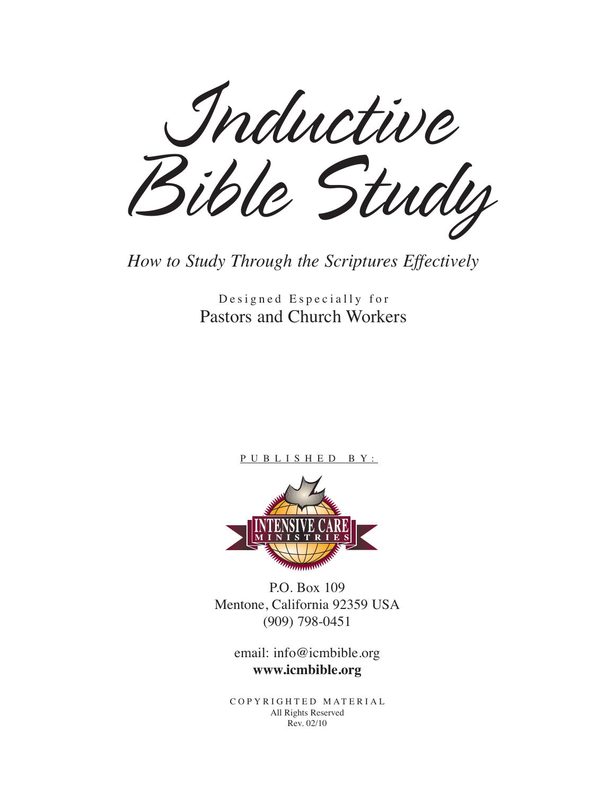*Inductive Bible Study*

*How to Study Through the Scriptures Effectively*

Designed Especially for Pastors and Church Workers

#### P U B L I S H E D B Y :



P.O. Box 109 Mentone, California 92359 USA (909) 798-0451

> email: info@icmbible.org **www.icmbible.org**

C O P Y R I G H T E D M AT E R I A L All Rights Reserved Rev. 02/10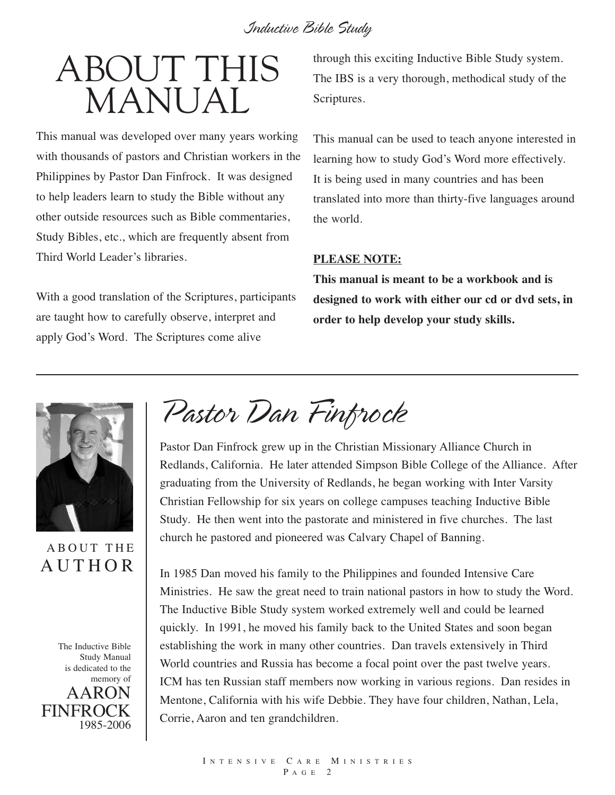# ABOUT THIS MANUAL

This manual was developed over many years working with thousands of pastors and Christian workers in the Philippines by Pastor Dan Finfrock. It was designed to help leaders learn to study the Bible without any other outside resources such as Bible commentaries, Study Bibles, etc., which are frequently absent from Third World Leader's libraries.

With a good translation of the Scriptures, participants are taught how to carefully observe, interpret and apply God's Word. The Scriptures come alive

through this exciting Inductive Bible Study system. The IBS is a very thorough, methodical study of the Scriptures.

This manual can be used to teach anyone interested in learning how to study God's Word more effectively. It is being used in many countries and has been translated into more than thirty-five languages around the world.

#### **PLEASE NOTE:**

**This manual is meant to be a workbook and is designed to work with either our cd or dvd sets, in order to help develop your study skills.**



#### A B OUT THE **AUTHOR**



*Pastor Dan Finfrock*

Pastor Dan Finfrock grew up in the Christian Missionary Alliance Church in Redlands, California. He later attended Simpson Bible College of the Alliance. After graduating from the University of Redlands, he began working with Inter Varsity Christian Fellowship for six years on college campuses teaching Inductive Bible Study. He then went into the pastorate and ministered in five churches. The last church he pastored and pioneered was Calvary Chapel of Banning.

In 1985 Dan moved his family to the Philippines and founded Intensive Care Ministries. He saw the great need to train national pastors in how to study the Word. The Inductive Bible Study system worked extremely well and could be learned quickly. In 1991, he moved his family back to the United States and soon began establishing the work in many other countries. Dan travels extensively in Third World countries and Russia has become a focal point over the past twelve years. ICM has ten Russian staff members now working in various regions. Dan resides in Mentone, California with his wife Debbie. They have four children, Nathan, Lela, Corrie, Aaron and ten grandchildren.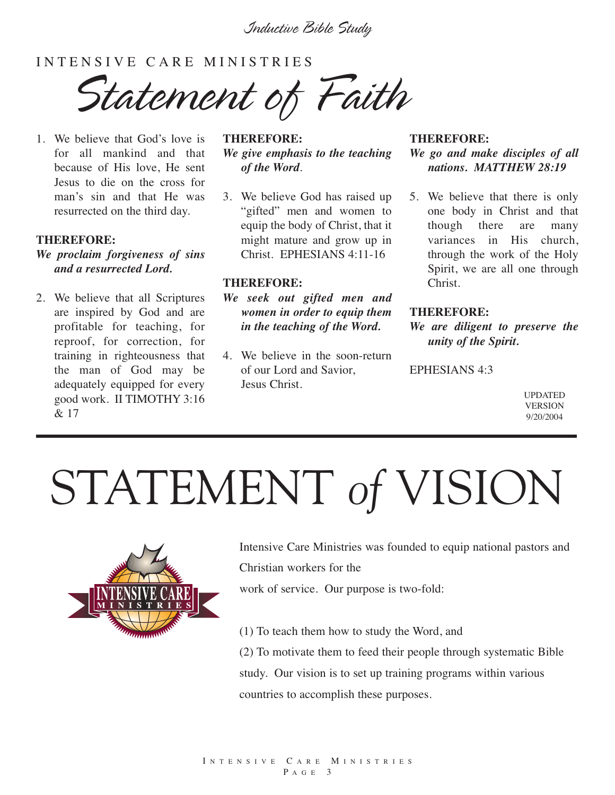#### INTENSIVE CARE MINISTRIES

*Statement of Faith*

1. We believe that God's love is for all mankind and that because of His love, He sent Jesus to die on the cross for man's sin and that He was resurrected on the third day.

#### **THEREFORE:**

- *We proclaim forgiveness of sins and a resurrected Lord.*
- 2. We believe that all Scriptures are inspired by God and are profitable for teaching, for reproof, for correction, for training in righteousness that the man of God may be adequately equipped for every good work. II TIMOTHY 3:16 & 17

#### **THEREFORE:** *We give emphasis to the teaching of the Word*.

3. We believe God has raised up "gifted" men and women to equip the body of Christ, that it might mature and grow up in Christ. EPHESIANS 4:11-16

#### **THEREFORE:**

- *We seek out gifted men and women in order to equip them in the teaching of the Word.*
- 4. We believe in the soon-return of our Lord and Savior, Jesus Christ.

#### **THEREFORE:** *We go and make disciples of all nations. MATTHEW 28:19*

5. We believe that there is only one body in Christ and that though there are many variances in His church, through the work of the Holy Spirit, we are all one through Christ.

#### **THEREFORE:**

*We are diligent to preserve the unity of the Spirit.*

EPHESIANS 4:3

UPDATED **VERSION** 9/20/2004

# STATEMENT *of* VISION



Intensive Care Ministries was founded to equip national pastors and Christian workers for the

work of service. Our purpose is two-fold:

(1) To teach them how to study the Word, and

(2) To motivate them to feed their people through systematic Bible study. Our vision is to set up training programs within various countries to accomplish these purposes.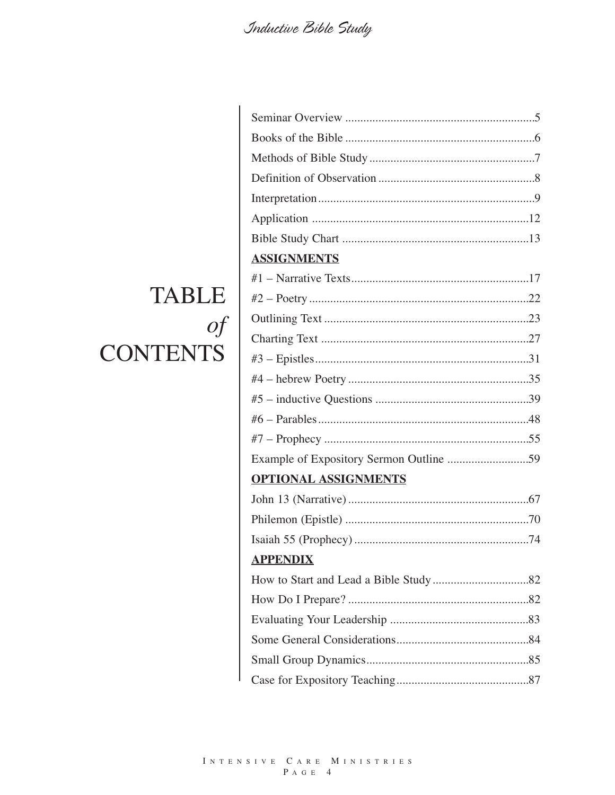| <b>ASSIGNMENTS</b>                      |  |
|-----------------------------------------|--|
|                                         |  |
|                                         |  |
|                                         |  |
|                                         |  |
|                                         |  |
|                                         |  |
|                                         |  |
|                                         |  |
|                                         |  |
| Example of Expository Sermon Outline 59 |  |
| <b>OPTIONAL ASSIGNMENTS</b>             |  |
|                                         |  |
|                                         |  |
|                                         |  |
| <b>APPENDIX</b>                         |  |
|                                         |  |
|                                         |  |
|                                         |  |
|                                         |  |
|                                         |  |
|                                         |  |

# **TABLE**  $\int$ **CONTENTS**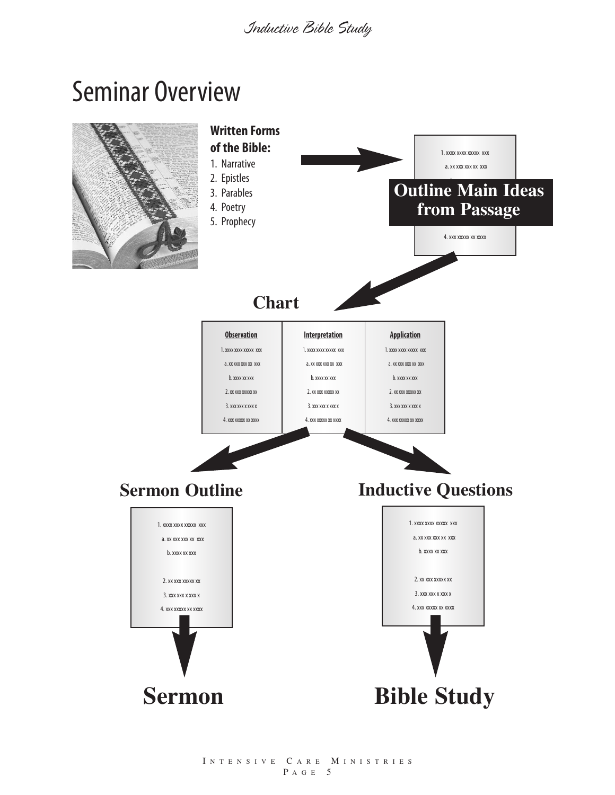# Seminar Overview

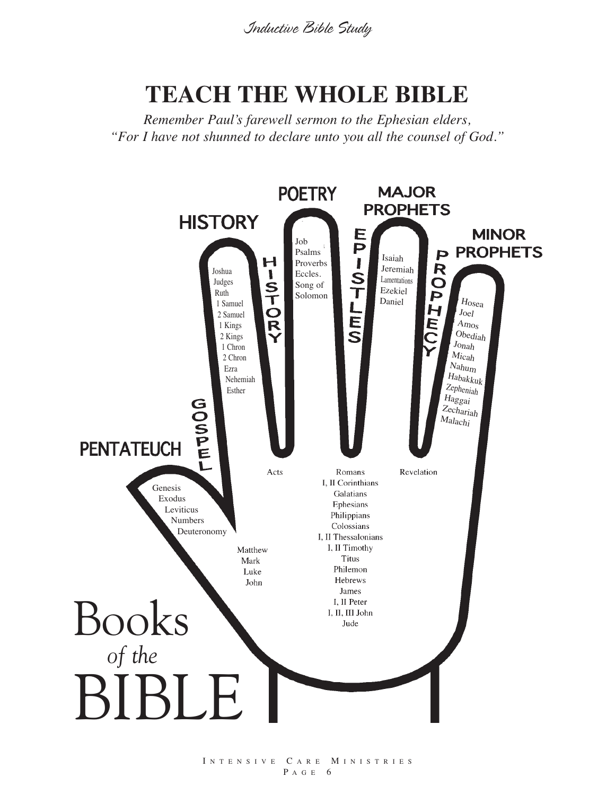# **TEACH THE WHOLE BIBLE**

*Remember Paul's farewell sermon to the Ephesian elders, "For I have not shunned to declare unto you all the counsel of God."*



I N T E N S I V E C A R E M I N I S T R I E S P A G E 6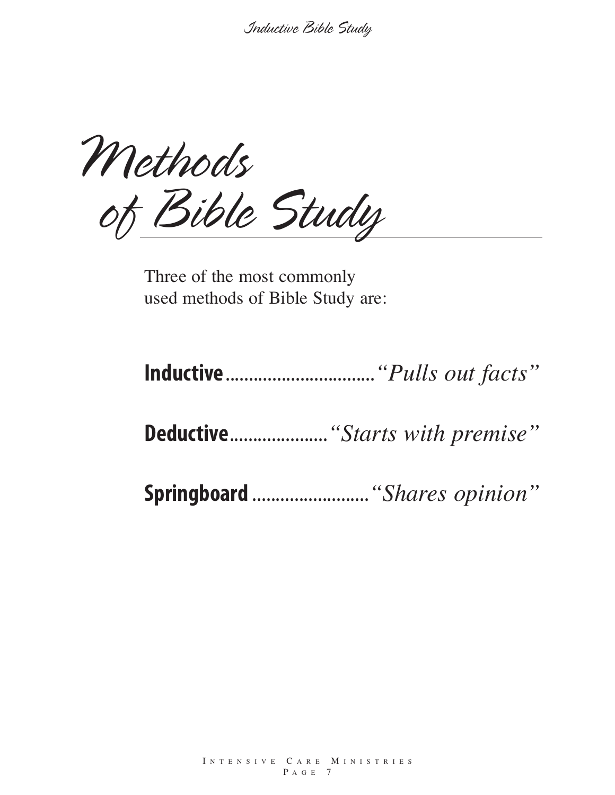*Methods of Bible Study*

Three of the most commonly used methods of Bible Study are:

**Inductive**................................*"Pulls out facts"*

**Deductive**.....................*"Starts with premise"*

**Springboard** .........................*"Shares opinion"*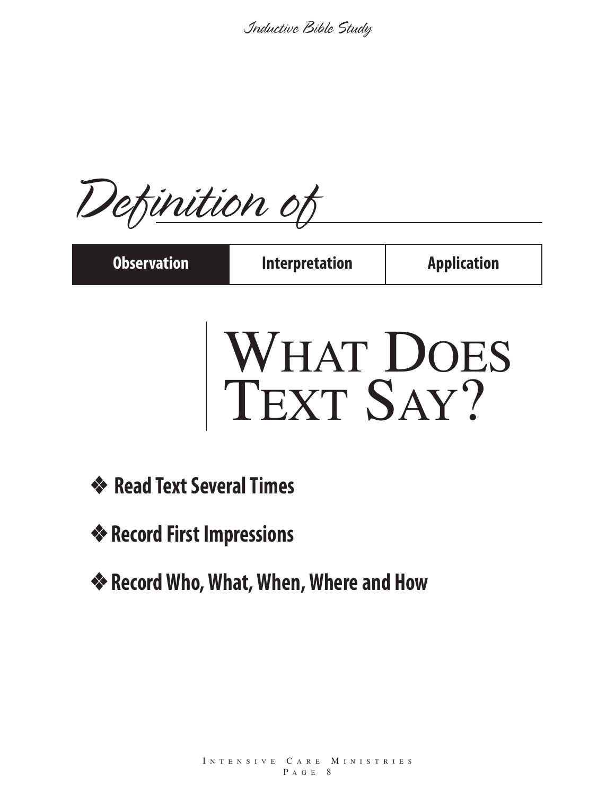*Definition of*

| <b>Observation</b> | <b>Interpretation</b> | <b>Application</b> |
|--------------------|-----------------------|--------------------|
|                    |                       |                    |

# WHAT DOES TEXT SAY?

- **❖ Read Text Several Times**
- ❖ **Record First Impressions**
- ❖ **RecordWho,What,When,Where and How**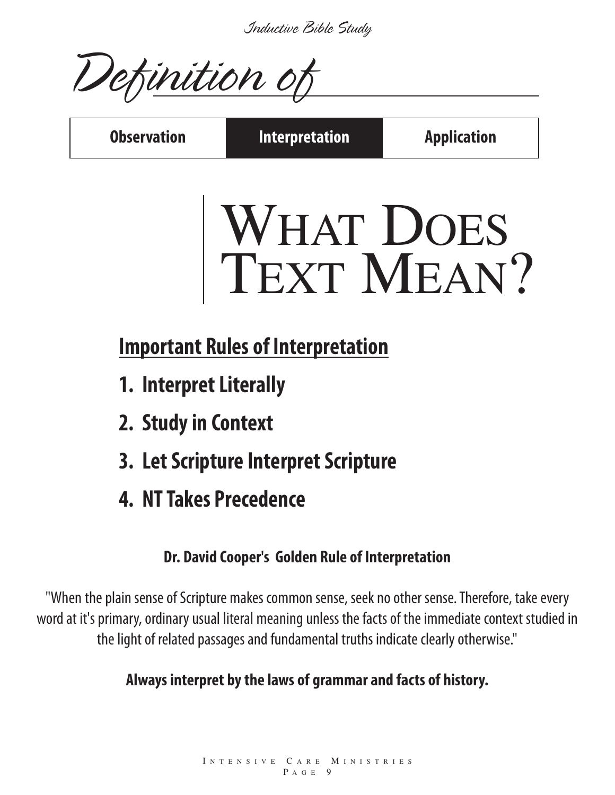*Definition of*

**Observation Interpretation Application**

# WHAT DOES TEXT MEAN?

# **Important Rules of Interpretation**

- **1. Interpret Literally**
- **2. Studyin Context**
- **3. LetScripture InterpretScripture**
- **4. NTTakes Precedence**

## **Dr. David Cooper's Golden Rule of Interpretation**

"When the plain sense of Scripture makes common sense, seek no other sense. Therefore, take every word at it's primary, ordinary usual literal meaning unless the facts of the immediate context studied in the light of related passages and fundamental truths indicate clearly otherwise."

## **Always interpret bythe laws of grammar and facts of history.**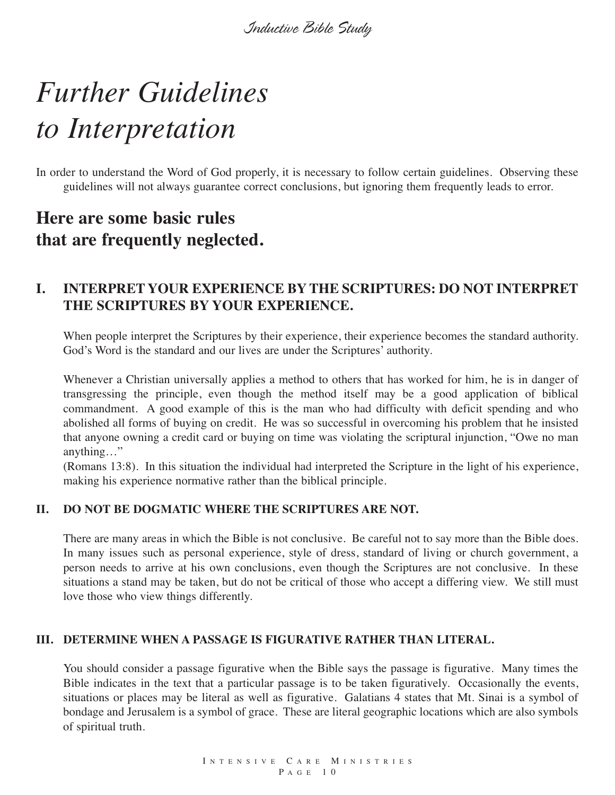# *Further Guidelines to Interpretation*

In order to understand the Word of God properly, it is necessary to follow certain guidelines. Observing these guidelines will not always guarantee correct conclusions, but ignoring them frequently leads to error.

### **Here are some basic rules that are frequently neglected.**

#### **I. INTERPRET YOUR EXPERIENCE BY THE SCRIPTURES: DO NOT INTERPRET THE SCRIPTURES BY YOUR EXPERIENCE.**

When people interpret the Scriptures by their experience, their experience becomes the standard authority. God's Word is the standard and our lives are under the Scriptures' authority.

Whenever a Christian universally applies a method to others that has worked for him, he is in danger of transgressing the principle, even though the method itself may be a good application of biblical commandment. A good example of this is the man who had difficulty with deficit spending and who abolished all forms of buying on credit. He was so successful in overcoming his problem that he insisted that anyone owning a credit card or buying on time was violating the scriptural injunction, "Owe no man anything…"

(Romans 13:8). In this situation the individual had interpreted the Scripture in the light of his experience, making his experience normative rather than the biblical principle.

#### **II. DO NOT BE DOGMATIC WHERE THE SCRIPTURES ARE NOT.**

There are many areas in which the Bible is not conclusive. Be careful not to say more than the Bible does. In many issues such as personal experience, style of dress, standard of living or church government, a person needs to arrive at his own conclusions, even though the Scriptures are not conclusive. In these situations a stand may be taken, but do not be critical of those who accept a differing view. We still must love those who view things differently.

#### **III. DETERMINE WHEN A PASSAGE IS FIGURATIVE RATHER THAN LITERAL.**

You should consider a passage figurative when the Bible says the passage is figurative. Many times the Bible indicates in the text that a particular passage is to be taken figuratively. Occasionally the events, situations or places may be literal as well as figurative. Galatians 4 states that Mt. Sinai is a symbol of bondage and Jerusalem is a symbol of grace. These are literal geographic locations which are also symbols of spiritual truth.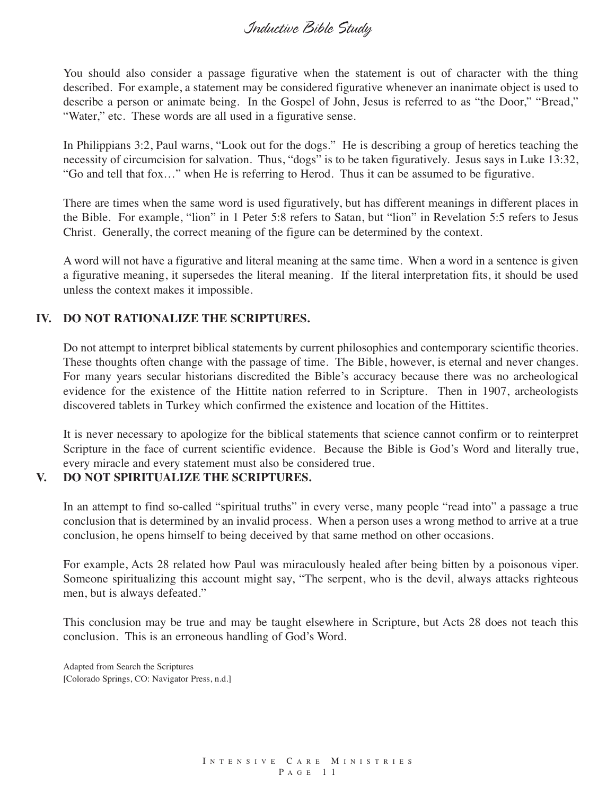You should also consider a passage figurative when the statement is out of character with the thing described. For example, a statement may be considered figurative whenever an inanimate object is used to describe a person or animate being. In the Gospel of John, Jesus is referred to as "the Door," "Bread," "Water," etc. These words are all used in a figurative sense.

In Philippians 3:2, Paul warns, "Look out for the dogs." He is describing a group of heretics teaching the necessity of circumcision for salvation. Thus, "dogs" is to be taken figuratively. Jesus says in Luke 13:32, "Go and tell that fox…" when He is referring to Herod. Thus it can be assumed to be figurative.

There are times when the same word is used figuratively, but has different meanings in different places in the Bible. For example, "lion" in 1 Peter 5:8 refers to Satan, but "lion" in Revelation 5:5 refers to Jesus Christ. Generally, the correct meaning of the figure can be determined by the context.

A word will not have a figurative and literal meaning at the same time. When a word in a sentence is given a figurative meaning, it supersedes the literal meaning. If the literal interpretation fits, it should be used unless the context makes it impossible.

#### **IV. DO NOT RATIONALIZE THE SCRIPTURES.**

Do not attempt to interpret biblical statements by current philosophies and contemporary scientific theories. These thoughts often change with the passage of time. The Bible, however, is eternal and never changes. For many years secular historians discredited the Bible's accuracy because there was no archeological evidence for the existence of the Hittite nation referred to in Scripture. Then in 1907, archeologists discovered tablets in Turkey which confirmed the existence and location of the Hittites.

It is never necessary to apologize for the biblical statements that science cannot confirm or to reinterpret Scripture in the face of current scientific evidence. Because the Bible is God's Word and literally true, every miracle and every statement must also be considered true.

#### **V. DO NOT SPIRITUALIZE THE SCRIPTURES.**

In an attempt to find so-called "spiritual truths" in every verse, many people "read into" a passage a true conclusion that is determined by an invalid process. When a person uses a wrong method to arrive at a true conclusion, he opens himself to being deceived by that same method on other occasions.

For example, Acts 28 related how Paul was miraculously healed after being bitten by a poisonous viper. Someone spiritualizing this account might say, "The serpent, who is the devil, always attacks righteous men, but is always defeated."

This conclusion may be true and may be taught elsewhere in Scripture, but Acts 28 does not teach this conclusion. This is an erroneous handling of God's Word.

Adapted from Search the Scriptures [Colorado Springs, CO: Navigator Press, n.d.]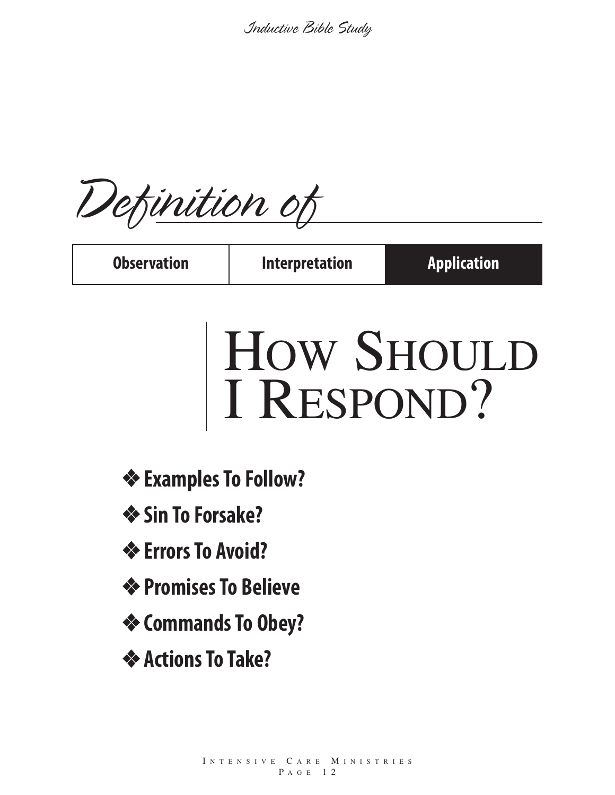*Definition of*

**Observation Interpretation Application**

# HOW SHOULD I RESPOND?

- ❖ **ExamplesTo Follow?**
- ❖ **Sin To Forsake?**
- ❖ **ErrorsTo Avoid?**
- ❖ **PromisesTo Believe**
- ❖ **CommandsTo Obey?**
- ❖ **ActionsTo Take?**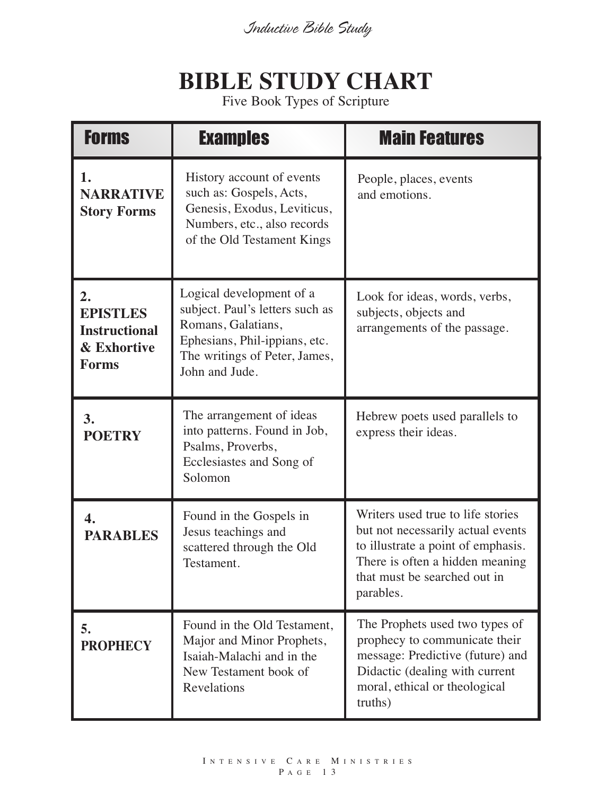# **BIBLE STUDY CHART**

Five Book Types of Scripture

| <b>Forms</b>                                                                 | <b>Examples</b>                                                                                                                                                       | <b>Main Features</b>                                                                                                                                                                         |
|------------------------------------------------------------------------------|-----------------------------------------------------------------------------------------------------------------------------------------------------------------------|----------------------------------------------------------------------------------------------------------------------------------------------------------------------------------------------|
| 1.<br><b>NARRATIVE</b><br><b>Story Forms</b>                                 | History account of events<br>such as: Gospels, Acts,<br>Genesis, Exodus, Leviticus,<br>Numbers, etc., also records<br>of the Old Testament Kings                      | People, places, events<br>and emotions.                                                                                                                                                      |
| 2.<br><b>EPISTLES</b><br><b>Instructional</b><br>& Exhortive<br><b>Forms</b> | Logical development of a<br>subject. Paul's letters such as<br>Romans, Galatians,<br>Ephesians, Phil-ippians, etc.<br>The writings of Peter, James,<br>John and Jude. | Look for ideas, words, verbs,<br>subjects, objects and<br>arrangements of the passage.                                                                                                       |
| 3.<br><b>POETRY</b>                                                          | The arrangement of ideas<br>into patterns. Found in Job,<br>Psalms, Proverbs,<br>Ecclesiastes and Song of<br>Solomon                                                  | Hebrew poets used parallels to<br>express their ideas.                                                                                                                                       |
| 4.<br><b>PARABLES</b>                                                        | Found in the Gospels in<br>Jesus teachings and<br>scattered through the Old<br>Testament.                                                                             | Writers used true to life stories<br>but not necessarily actual events<br>to illustrate a point of emphasis.<br>There is often a hidden meaning<br>that must be searched out in<br>parables. |
| 5.<br><b>PROPHECY</b>                                                        | Found in the Old Testament,<br>Major and Minor Prophets,<br>Isaiah-Malachi and in the<br>New Testament book of<br><b>Revelations</b>                                  | The Prophets used two types of<br>prophecy to communicate their<br>message: Predictive (future) and<br>Didactic (dealing with current<br>moral, ethical or theological<br>truths)            |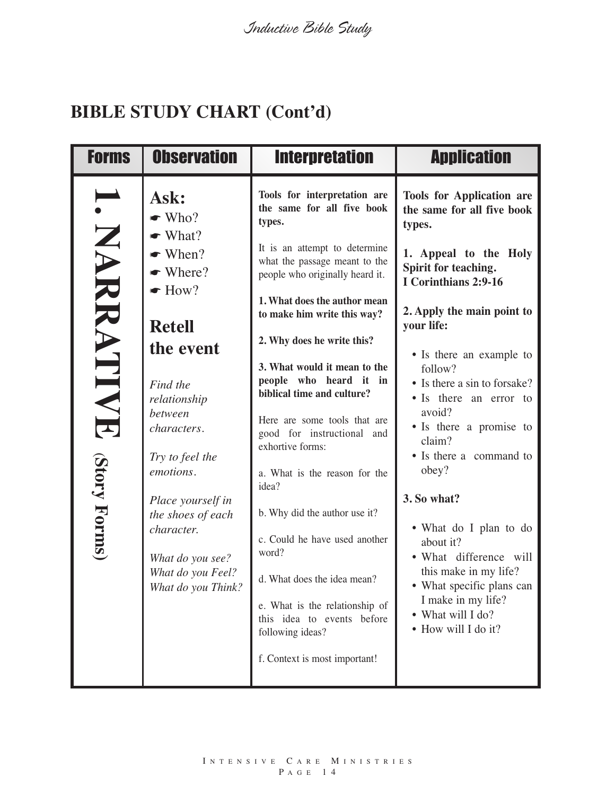## **BIBLE STUDY CHART (Cont'd)**

| <b>Forms</b>              | <b>Observation</b>                                                                                                                                                                                                                                                                                                                            | <b>Interpretation</b>                                                                                                                                                                                                                                                                                                                                                                                                                                                                                                                                                                                                                                                                                                     | <b>Application</b>                                                                                                                                                                                                                                                                                                                                                                                                                                                                                                                                                                        |
|---------------------------|-----------------------------------------------------------------------------------------------------------------------------------------------------------------------------------------------------------------------------------------------------------------------------------------------------------------------------------------------|---------------------------------------------------------------------------------------------------------------------------------------------------------------------------------------------------------------------------------------------------------------------------------------------------------------------------------------------------------------------------------------------------------------------------------------------------------------------------------------------------------------------------------------------------------------------------------------------------------------------------------------------------------------------------------------------------------------------------|-------------------------------------------------------------------------------------------------------------------------------------------------------------------------------------------------------------------------------------------------------------------------------------------------------------------------------------------------------------------------------------------------------------------------------------------------------------------------------------------------------------------------------------------------------------------------------------------|
| NARATIVE<br>(Story Forms) | Ask:<br>$\bullet$ Who?<br>$\bullet$ What?<br>$\bullet$ When?<br>$\bullet$ Where?<br>$\bullet$ How?<br><b>Retell</b><br>the event<br>Find the<br>relationship<br>between<br>characters.<br>Try to feel the<br>emotions.<br>Place yourself in<br>the shoes of each<br>character.<br>What do you see?<br>What do you Feel?<br>What do you Think? | Tools for interpretation are<br>the same for all five book<br>types.<br>It is an attempt to determine<br>what the passage meant to the<br>people who originally heard it.<br>1. What does the author mean<br>to make him write this way?<br>2. Why does he write this?<br>3. What would it mean to the<br>people who heard it in<br>biblical time and culture?<br>Here are some tools that are<br>good for instructional and<br>exhortive forms:<br>a. What is the reason for the<br>idea?<br>b. Why did the author use it?<br>c. Could he have used another<br>word?<br>d. What does the idea mean?<br>e. What is the relationship of<br>this idea to events before<br>following ideas?<br>f. Context is most important! | <b>Tools for Application are</b><br>the same for all five book<br>types.<br>1. Appeal to the Holy<br>Spirit for teaching.<br>I Corinthians 2:9-16<br>2. Apply the main point to<br>your life:<br>• Is there an example to<br>follow?<br>• Is there a sin to forsake?<br>• Is there an error to<br>avoid?<br>• Is there a promise to<br>claim?<br>• Is there a command to<br>obey?<br>3. So what?<br>• What do I plan to do<br>about it?<br>• What difference will<br>this make in my life?<br>• What specific plans can<br>I make in my life?<br>• What will I do?<br>• How will I do it? |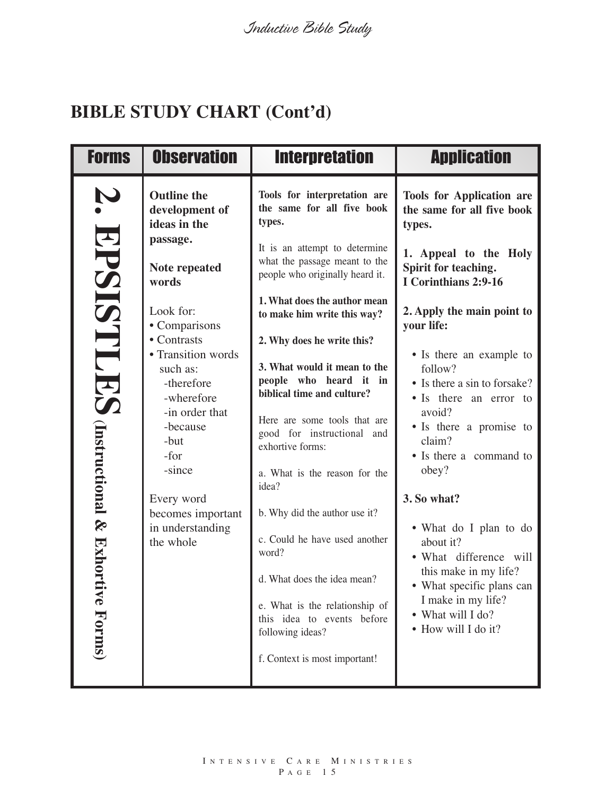## **BIBLE STUDY CHART (Cont'd)**

| <b>Forms</b>                                                             | <b>Observation</b>                                                                                                                                                                                                                                                                                                                | <b>Interpretation</b>                                                                                                                                                                                                                                                                                                                                                                                                                                                                                                                                                                                                                                                                                                     | <b>Application</b>                                                                                                                                                                                                                                                                                                                                                                                                                                                                                                                                                                        |
|--------------------------------------------------------------------------|-----------------------------------------------------------------------------------------------------------------------------------------------------------------------------------------------------------------------------------------------------------------------------------------------------------------------------------|---------------------------------------------------------------------------------------------------------------------------------------------------------------------------------------------------------------------------------------------------------------------------------------------------------------------------------------------------------------------------------------------------------------------------------------------------------------------------------------------------------------------------------------------------------------------------------------------------------------------------------------------------------------------------------------------------------------------------|-------------------------------------------------------------------------------------------------------------------------------------------------------------------------------------------------------------------------------------------------------------------------------------------------------------------------------------------------------------------------------------------------------------------------------------------------------------------------------------------------------------------------------------------------------------------------------------------|
| Ņ<br><b>EPSISTLES</b><br><b>Unstructional &amp; Exhorti</b><br>ve Forms) | <b>Outline the</b><br>development of<br>ideas in the<br>passage.<br>Note repeated<br>words<br>Look for:<br>• Comparisons<br>• Contrasts<br>• Transition words<br>such as:<br>-therefore<br>-wherefore<br>-in order that<br>-because<br>-but<br>-for<br>-since<br>Every word<br>becomes important<br>in understanding<br>the whole | Tools for interpretation are<br>the same for all five book<br>types.<br>It is an attempt to determine<br>what the passage meant to the<br>people who originally heard it.<br>1. What does the author mean<br>to make him write this way?<br>2. Why does he write this?<br>3. What would it mean to the<br>people who heard it in<br>biblical time and culture?<br>Here are some tools that are<br>good for instructional and<br>exhortive forms:<br>a. What is the reason for the<br>idea?<br>b. Why did the author use it?<br>c. Could he have used another<br>word?<br>d. What does the idea mean?<br>e. What is the relationship of<br>this idea to events before<br>following ideas?<br>f. Context is most important! | <b>Tools for Application are</b><br>the same for all five book<br>types.<br>1. Appeal to the Holy<br>Spirit for teaching.<br>I Corinthians 2:9-16<br>2. Apply the main point to<br>your life:<br>• Is there an example to<br>follow?<br>• Is there a sin to forsake?<br>• Is there an error to<br>avoid?<br>• Is there a promise to<br>claim?<br>• Is there a command to<br>obey?<br>3. So what?<br>• What do I plan to do<br>about it?<br>• What difference will<br>this make in my life?<br>• What specific plans can<br>I make in my life?<br>• What will I do?<br>• How will I do it? |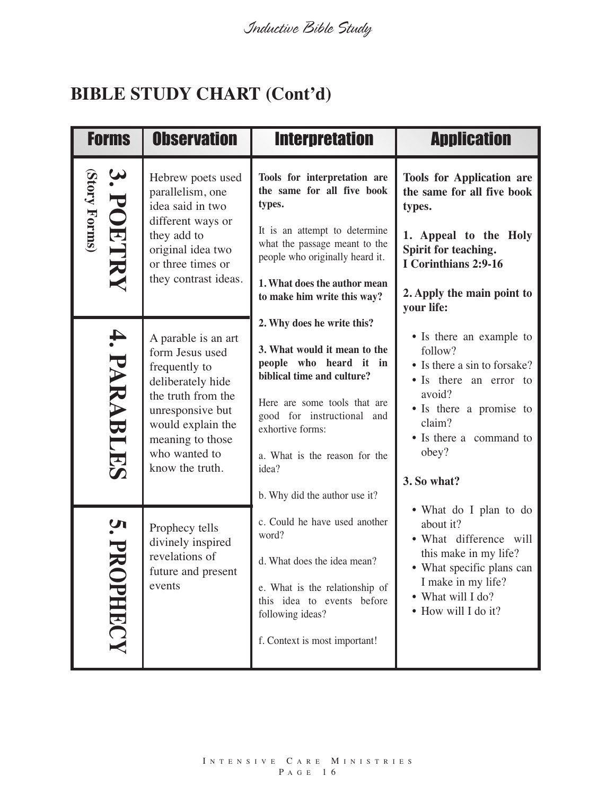# **BIBLE STUDY CHART (Cont'd)**

| <b>Forms</b>       | <b>Observation</b>                                                                                                                                                                                  | <b>Interpretation</b>                                                                                                                                                                                                                                                           | <b>Application</b>                                                                                                                                                                              |
|--------------------|-----------------------------------------------------------------------------------------------------------------------------------------------------------------------------------------------------|---------------------------------------------------------------------------------------------------------------------------------------------------------------------------------------------------------------------------------------------------------------------------------|-------------------------------------------------------------------------------------------------------------------------------------------------------------------------------------------------|
| (Story Forms)      | Hebrew poets used<br>parallelism, one<br>idea said in two                                                                                                                                           | Tools for interpretation are<br>the same for all five book<br>types.                                                                                                                                                                                                            | <b>Tools for Application are</b><br>the same for all five book<br>types.                                                                                                                        |
| 3. POETRY          | different ways or<br>they add to<br>original idea two<br>or three times or                                                                                                                          | It is an attempt to determine<br>what the passage meant to the<br>people who originally heard it.                                                                                                                                                                               | 1. Appeal to the Holy<br>Spirit for teaching.<br>I Corinthians 2:9-16                                                                                                                           |
|                    | they contrast ideas.                                                                                                                                                                                | 1. What does the author mean<br>to make him write this way?                                                                                                                                                                                                                     | 2. Apply the main point to<br>your life:                                                                                                                                                        |
| <b>4. PARABLES</b> | A parable is an art<br>form Jesus used<br>frequently to<br>deliberately hide<br>the truth from the<br>unresponsive but<br>would explain the<br>meaning to those<br>who wanted to<br>know the truth. | 2. Why does he write this?<br>3. What would it mean to the<br>people who heard it in<br>biblical time and culture?<br>Here are some tools that are<br>good for instructional and<br>exhortive forms:<br>a. What is the reason for the<br>idea?<br>b. Why did the author use it? | • Is there an example to<br>follow?<br>• Is there a sin to forsake?<br>• Is there an error to<br>avoid?<br>• Is there a promise to<br>claim?<br>• Is there a command to<br>obey?<br>3. So what? |
| PHRCY              | Prophecy tells<br>divinely inspired<br>revelations of<br>future and present<br>events                                                                                                               | c. Could he have used another<br>word?<br>d. What does the idea mean?<br>e. What is the relationship of<br>this idea to events before<br>following ideas?<br>f. Context is most important!                                                                                      | • What do I plan to do<br>about it?<br>• What difference will<br>this make in my life?<br>• What specific plans can<br>I make in my life?<br>• What will I do?<br>• How will I do it?           |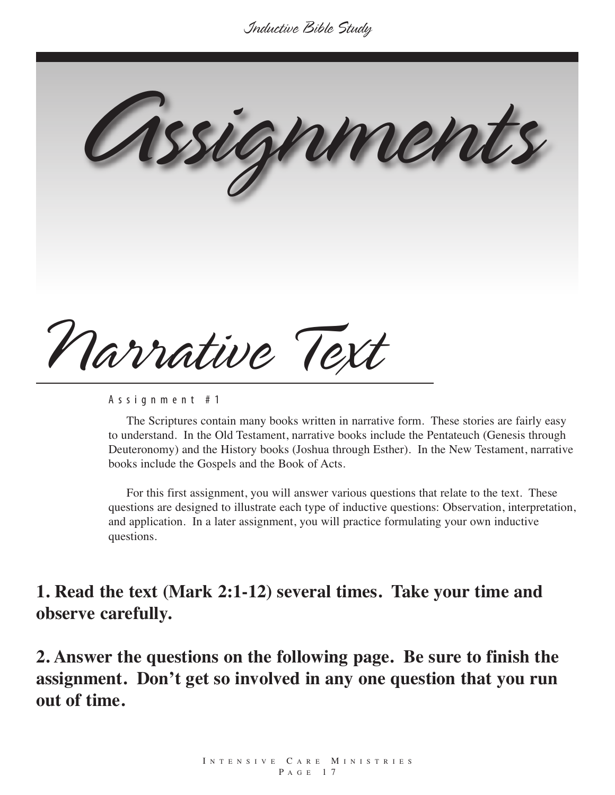*Assignments*

*Narrative Text*

A s s i g n m e n t # 1

The Scriptures contain many books written in narrative form. These stories are fairly easy to understand. In the Old Testament, narrative books include the Pentateuch (Genesis through Deuteronomy) and the History books (Joshua through Esther). In the New Testament, narrative books include the Gospels and the Book of Acts.

For this first assignment, you will answer various questions that relate to the text. These questions are designed to illustrate each type of inductive questions: Observation, interpretation, and application. In a later assignment, you will practice formulating your own inductive questions.

**1. Read the text (Mark 2:1-12) several times. Take your time and observe carefully.**

**2. Answer the questions on the following page. Be sure to finish the assignment. Don't get so involved in any one question that you run out of time.**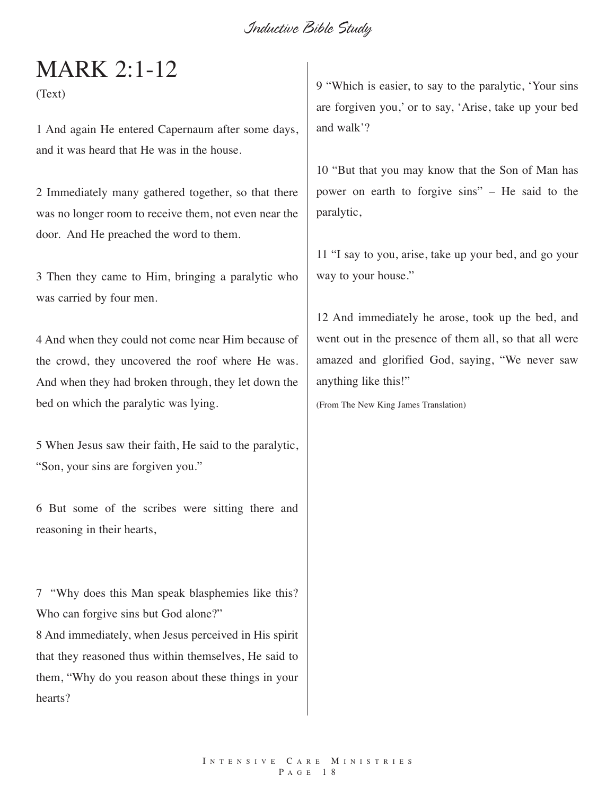# MARK 2:1-12

(Text)

1 And again He entered Capernaum after some days, and it was heard that He was in the house.

2 Immediately many gathered together, so that there was no longer room to receive them, not even near the door. And He preached the word to them.

3 Then they came to Him, bringing a paralytic who was carried by four men.

4 And when they could not come near Him because of the crowd, they uncovered the roof where He was. And when they had broken through, they let down the bed on which the paralytic was lying.

5 When Jesus saw their faith, He said to the paralytic, "Son, your sins are forgiven you."

6 But some of the scribes were sitting there and reasoning in their hearts,

7 "Why does this Man speak blasphemies like this? Who can forgive sins but God alone?" 8 And immediately, when Jesus perceived in His spirit that they reasoned thus within themselves, He said to them, "Why do you reason about these things in your hearts?

9 "Which is easier, to say to the paralytic, 'Your sins are forgiven you,' or to say, 'Arise, take up your bed and walk'?

10 "But that you may know that the Son of Man has power on earth to forgive sins" – He said to the paralytic,

11 "I say to you, arise, take up your bed, and go your way to your house."

12 And immediately he arose, took up the bed, and went out in the presence of them all, so that all were amazed and glorified God, saying, "We never saw anything like this!"

(From The New King James Translation)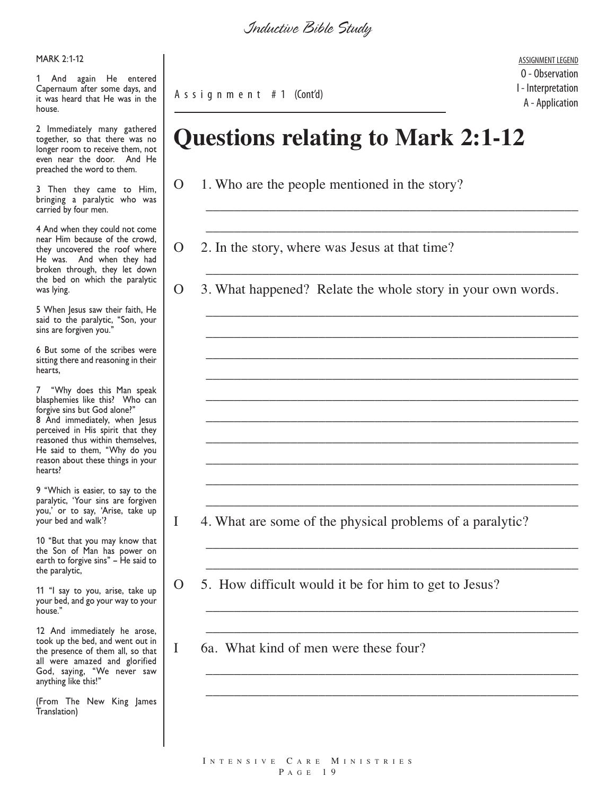MARK 2:1-12

1 And again He entered Capernaum after some days, and it was heard that He was in the house.

2 Immediately many gathered together, so that there was no longer room to receive them, not even near the door. And He preached the word to them.

3 Then they came to Him, bringing a paralytic who was carried by four men.

4 And when they could not come near Him because of the crowd, they uncovered the roof where He was. And when they had broken through, they let down the bed on which the paralytic was lying.

5 When Jesus saw their faith, He said to the paralytic, "Son, your sins are forgiven you."

6 But some of the scribes were sitting there and reasoning in their hearts,

7 "Why does this Man speak blasphemies like this? Who can forgive sins but God alone?" 8 And immediately, when Jesus perceived in His spirit that they reasoned thus within themselves, He said to them, "Why do you reason about these things in your hearts?

9 "Which is easier, to say to the paralytic, 'Your sins are forgiven you,' or to say, 'Arise, take up your bed and walk'?

10 "But that you may know that the Son of Man has power on earth to forgive sins" – He said to the paralytic,

11 "I say to you, arise, take up your bed, and go your way to your house."

12 And immediately he arose, took up the bed, and went out in the presence of them all, so that all were amazed and glorified God, saying, "We never saw anything like this!"

(From The New King James Translation)

A s s i g n m e n t # 1 (Cont'd)

ASSIGNMENT LEGEND O - Observation I - Interpretation A - Application

# **Questions relating to Mark 2:1-12**

- O 1. Who are the people mentioned in the story?
- O 2. In the story, where was Jesus at that time?
- O 3. What happened? Relate the whole story in your own words.

\_\_\_\_\_\_\_\_\_\_\_\_\_\_\_\_\_\_\_\_\_\_\_\_\_\_\_\_\_\_\_\_\_\_\_\_\_\_\_\_\_\_\_\_\_\_\_\_\_\_\_\_\_

\_\_\_\_\_\_\_\_\_\_\_\_\_\_\_\_\_\_\_\_\_\_\_\_\_\_\_\_\_\_\_\_\_\_\_\_\_\_\_\_\_\_\_\_\_\_\_\_\_\_\_\_\_

\_\_\_\_\_\_\_\_\_\_\_\_\_\_\_\_\_\_\_\_\_\_\_\_\_\_\_\_\_\_\_\_\_\_\_\_\_\_\_\_\_\_\_\_\_\_\_\_\_\_\_\_\_

\_\_\_\_\_\_\_\_\_\_\_\_\_\_\_\_\_\_\_\_\_\_\_\_\_\_\_\_\_\_\_\_\_\_\_\_\_\_\_\_\_\_\_\_\_\_\_\_\_\_\_\_\_

\_\_\_\_\_\_\_\_\_\_\_\_\_\_\_\_\_\_\_\_\_\_\_\_\_\_\_\_\_\_\_\_\_\_\_\_\_\_\_\_\_\_\_\_\_\_\_\_\_\_\_\_\_

\_\_\_\_\_\_\_\_\_\_\_\_\_\_\_\_\_\_\_\_\_\_\_\_\_\_\_\_\_\_\_\_\_\_\_\_\_\_\_\_\_\_\_\_\_\_\_\_\_\_\_\_\_

\_\_\_\_\_\_\_\_\_\_\_\_\_\_\_\_\_\_\_\_\_\_\_\_\_\_\_\_\_\_\_\_\_\_\_\_\_\_\_\_\_\_\_\_\_\_\_\_\_\_\_\_\_

\_\_\_\_\_\_\_\_\_\_\_\_\_\_\_\_\_\_\_\_\_\_\_\_\_\_\_\_\_\_\_\_\_\_\_\_\_\_\_\_\_\_\_\_\_\_\_\_\_\_\_\_\_

\_\_\_\_\_\_\_\_\_\_\_\_\_\_\_\_\_\_\_\_\_\_\_\_\_\_\_\_\_\_\_\_\_\_\_\_\_\_\_\_\_\_\_\_\_\_\_\_\_\_\_\_\_

\_\_\_\_\_\_\_\_\_\_\_\_\_\_\_\_\_\_\_\_\_\_\_\_\_\_\_\_\_\_\_\_\_\_\_\_\_\_\_\_\_\_\_\_\_\_\_\_\_\_\_\_\_

\_\_\_\_\_\_\_\_\_\_\_\_\_\_\_\_\_\_\_\_\_\_\_\_\_\_\_\_\_\_\_\_\_\_\_\_\_\_\_\_\_\_\_\_\_\_\_\_\_\_\_\_\_

\_\_\_\_\_\_\_\_\_\_\_\_\_\_\_\_\_\_\_\_\_\_\_\_\_\_\_\_\_\_\_\_\_\_\_\_\_\_\_\_\_\_\_\_\_\_\_\_\_\_\_\_\_

\_\_\_\_\_\_\_\_\_\_\_\_\_\_\_\_\_\_\_\_\_\_\_\_\_\_\_\_\_\_\_\_\_\_\_\_\_\_\_\_\_\_\_\_\_\_\_\_\_\_\_\_\_

\_\_\_\_\_\_\_\_\_\_\_\_\_\_\_\_\_\_\_\_\_\_\_\_\_\_\_\_\_\_\_\_\_\_\_\_\_\_\_\_\_\_\_\_\_\_\_\_\_\_\_\_\_

\_\_\_\_\_\_\_\_\_\_\_\_\_\_\_\_\_\_\_\_\_\_\_\_\_\_\_\_\_\_\_\_\_\_\_\_\_\_\_\_\_\_\_\_\_\_\_\_\_\_\_\_\_

\_\_\_\_\_\_\_\_\_\_\_\_\_\_\_\_\_\_\_\_\_\_\_\_\_\_\_\_\_\_\_\_\_\_\_\_\_\_\_\_\_\_\_\_\_\_\_\_\_\_\_\_\_

\_\_\_\_\_\_\_\_\_\_\_\_\_\_\_\_\_\_\_\_\_\_\_\_\_\_\_\_\_\_\_\_\_\_\_\_\_\_\_\_\_\_\_\_\_\_\_\_\_\_\_\_\_

\_\_\_\_\_\_\_\_\_\_\_\_\_\_\_\_\_\_\_\_\_\_\_\_\_\_\_\_\_\_\_\_\_\_\_\_\_\_\_\_\_\_\_\_\_\_\_\_\_\_\_\_\_

\_\_\_\_\_\_\_\_\_\_\_\_\_\_\_\_\_\_\_\_\_\_\_\_\_\_\_\_\_\_\_\_\_\_\_\_\_\_\_\_\_\_\_\_\_\_\_\_\_\_\_\_\_

I 4. What are some of the physical problems of a paralytic?

O 5. How difficult would it be for him to get to Jesus?

I 6a. What kind of men were these four?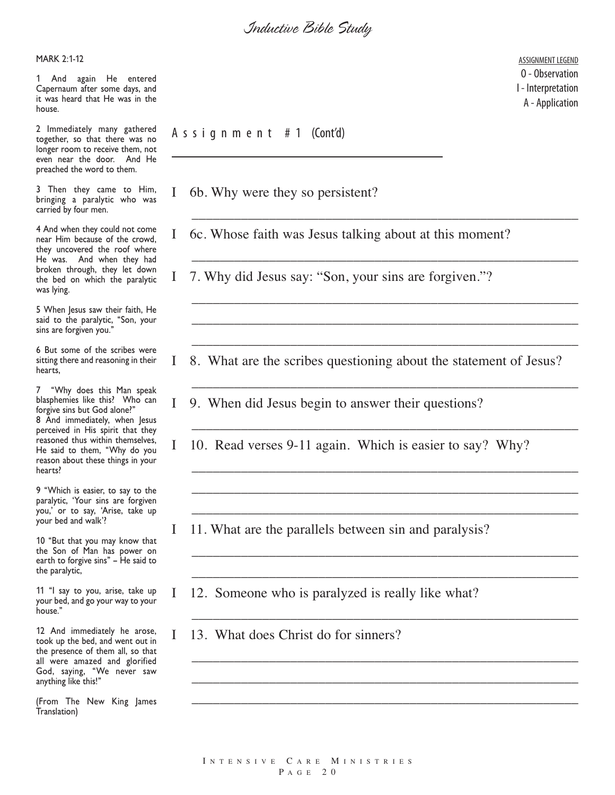MARK 2:1-12

1 And again He entered Capernaum after some days, and it was heard that He was in the house.

2 Immediately many gathered together, so that there was no longer room to receive them, not even near the door. And He preached the word to them.

3 Then they came to Him, bringing a paralytic who was carried by four men.

4 And when they could not come near Him because of the crowd, they uncovered the roof where He was. And when they had broken through, they let down the bed on which the paralytic was lying.

5 When Jesus saw their faith, He said to the paralytic, "Son, your sins are forgiven you."

6 But some of the scribes were sitting there and reasoning in their hearts,

7 "Why does this Man speak blasphemies like this? Who can forgive sins but God alone?" 8 And immediately, when Jesus perceived in His spirit that they reasoned thus within themselves, He said to them, "Why do you reason about these things in your hearts?

9 "Which is easier, to say to the paralytic, 'Your sins are forgiven you,' or to say, 'Arise, take up your bed and walk'?

10 "But that you may know that the Son of Man has power on earth to forgive sins" – He said to the paralytic,

11 "I say to you, arise, take up your bed, and go your way to your house."

12 And immediately he arose, took up the bed, and went out in the presence of them all, so that all were amazed and glorified God, saying, "We never saw anything like this!"

(From The New King James Translation)

A s s i g n m e n t # 1 (Cont'd)

- I 6b. Why were they so persistent?
- I 6c. Whose faith was Jesus talking about at this moment?
- I 7. Why did Jesus say: "Son, your sins are forgiven."?
- I 8. What are the scribes questioning about the statement of Jesus?

\_\_\_\_\_\_\_\_\_\_\_\_\_\_\_\_\_\_\_\_\_\_\_\_\_\_\_\_\_\_\_\_\_\_\_\_\_\_\_\_\_\_\_\_\_\_\_\_\_\_\_\_\_\_\_

\_\_\_\_\_\_\_\_\_\_\_\_\_\_\_\_\_\_\_\_\_\_\_\_\_\_\_\_\_\_\_\_\_\_\_\_\_\_\_\_\_\_\_\_\_\_\_\_\_\_\_\_\_\_\_

\_\_\_\_\_\_\_\_\_\_\_\_\_\_\_\_\_\_\_\_\_\_\_\_\_\_\_\_\_\_\_\_\_\_\_\_\_\_\_\_\_\_\_\_\_\_\_\_\_\_\_\_\_\_\_

\_\_\_\_\_\_\_\_\_\_\_\_\_\_\_\_\_\_\_\_\_\_\_\_\_\_\_\_\_\_\_\_\_\_\_\_\_\_\_\_\_\_\_\_\_\_\_\_\_\_\_\_\_\_\_

\_\_\_\_\_\_\_\_\_\_\_\_\_\_\_\_\_\_\_\_\_\_\_\_\_\_\_\_\_\_\_\_\_\_\_\_\_\_\_\_\_\_\_\_\_\_\_\_\_\_\_\_\_\_\_

\_\_\_\_\_\_\_\_\_\_\_\_\_\_\_\_\_\_\_\_\_\_\_\_\_\_\_\_\_\_\_\_\_\_\_\_\_\_\_\_\_\_\_\_\_\_\_\_\_\_\_\_\_\_\_

\_\_\_\_\_\_\_\_\_\_\_\_\_\_\_\_\_\_\_\_\_\_\_\_\_\_\_\_\_\_\_\_\_\_\_\_\_\_\_\_\_\_\_\_\_\_\_\_\_\_\_\_\_\_\_

\_\_\_\_\_\_\_\_\_\_\_\_\_\_\_\_\_\_\_\_\_\_\_\_\_\_\_\_\_\_\_\_\_\_\_\_\_\_\_\_\_\_\_\_\_\_\_\_\_\_\_\_\_\_\_

\_\_\_\_\_\_\_\_\_\_\_\_\_\_\_\_\_\_\_\_\_\_\_\_\_\_\_\_\_\_\_\_\_\_\_\_\_\_\_\_\_\_\_\_\_\_\_\_\_\_\_\_\_\_\_

\_\_\_\_\_\_\_\_\_\_\_\_\_\_\_\_\_\_\_\_\_\_\_\_\_\_\_\_\_\_\_\_\_\_\_\_\_\_\_\_\_\_\_\_\_\_\_\_\_\_\_\_\_\_\_

\_\_\_\_\_\_\_\_\_\_\_\_\_\_\_\_\_\_\_\_\_\_\_\_\_\_\_\_\_\_\_\_\_\_\_\_\_\_\_\_\_\_\_\_\_\_\_\_\_\_\_\_\_\_\_

\_\_\_\_\_\_\_\_\_\_\_\_\_\_\_\_\_\_\_\_\_\_\_\_\_\_\_\_\_\_\_\_\_\_\_\_\_\_\_\_\_\_\_\_\_\_\_\_\_\_\_\_\_\_\_

\_\_\_\_\_\_\_\_\_\_\_\_\_\_\_\_\_\_\_\_\_\_\_\_\_\_\_\_\_\_\_\_\_\_\_\_\_\_\_\_\_\_\_\_\_\_\_\_\_\_\_\_\_\_\_

\_\_\_\_\_\_\_\_\_\_\_\_\_\_\_\_\_\_\_\_\_\_\_\_\_\_\_\_\_\_\_\_\_\_\_\_\_\_\_\_\_\_\_\_\_\_\_\_\_\_\_\_\_\_\_

- I 9. When did Jesus begin to answer their questions?
- I 10. Read verses 9-11 again. Which is easier to say? Why?
- I 11. What are the parallels between sin and paralysis?
- I 12. Someone who is paralyzed is really like what?
- I 13. What does Christ do for sinners?

\_\_\_\_\_\_\_\_\_\_\_\_\_\_\_\_\_\_\_\_\_\_\_\_\_\_\_\_\_\_\_\_\_\_\_\_\_\_\_\_\_\_\_\_\_\_\_\_\_\_\_\_\_\_\_ \_\_\_\_\_\_\_\_\_\_\_\_\_\_\_\_\_\_\_\_\_\_\_\_\_\_\_\_\_\_\_\_\_\_\_\_\_\_\_\_\_\_\_\_\_\_\_\_\_\_\_\_\_\_\_

ASSIGNMENT LEGEND O - Observation I - Interpretation A - Application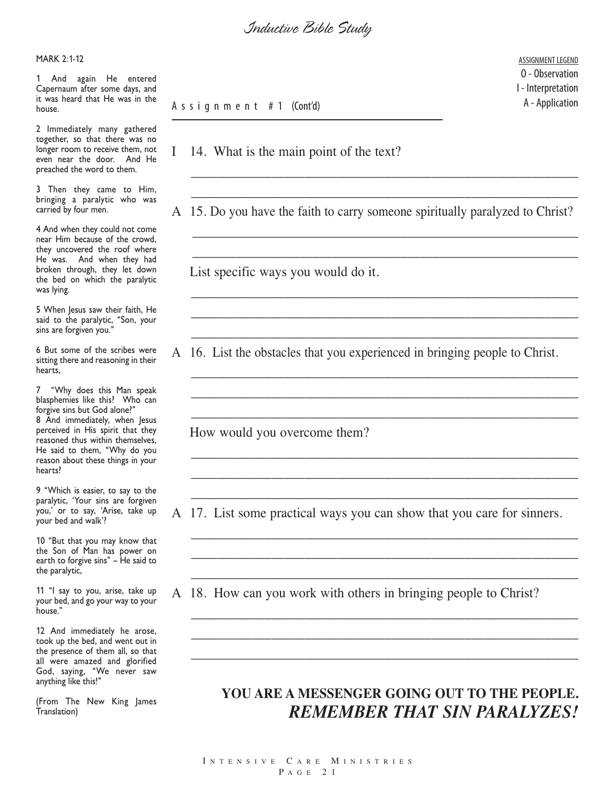*Inductive Bible Study*

MARK 2:1-12

1 And again He entered Capernaum after some days, and it was heard that He was in the house.

2 Immediately many gathered together, so that there was no longer room to receive them, not even near the door. And He preached the word to them.

3 Then they came to Him, bringing a paralytic who was carried by four men.

4 And when they could not come near Him because of the crowd, they uncovered the roof where He was. And when they had broken through, they let down the bed on which the paralytic was lying.

5 When Jesus saw their faith, He said to the paralytic, "Son, your sins are forgiven you."

6 But some of the scribes were sitting there and reasoning in their hearts,

7 "Why does this Man speak blasphemies like this? Who can forgive sins but God alone?" 8 And immediately, when Jesus perceived in His spirit that they reasoned thus within themselves, He said to them, "Why do you reason about these things in your hearts?

9 "Which is easier, to say to the paralytic, 'Your sins are forgiven you,' or to say, 'Arise, take up your bed and walk'?

10 "But that you may know that the Son of Man has power on earth to forgive sins" – He said to the paralytic,

11 "I say to you, arise, take up your bed, and go your way to your house."

12 And immediately he arose, took up the bed, and went out in the presence of them all, so that all were amazed and glorified God, saying, "We never saw anything like this!"

(From The New King James Translation)

A s s i g n m e n t # 1 (Cont'd)

I 14. What is the main point of the text?

A 15. Do you have the faith to carry someone spiritually paralyzed to Christ?

\_\_\_\_\_\_\_\_\_\_\_\_\_\_\_\_\_\_\_\_\_\_\_\_\_\_\_\_\_\_\_\_\_\_\_\_\_\_\_\_\_\_\_\_\_\_\_\_\_\_\_\_\_\_\_\_\_\_

\_\_\_\_\_\_\_\_\_\_\_\_\_\_\_\_\_\_\_\_\_\_\_\_\_\_\_\_\_\_\_\_\_\_\_\_\_\_\_\_\_\_\_\_\_\_\_\_\_\_\_\_\_\_\_\_\_\_

\_\_\_\_\_\_\_\_\_\_\_\_\_\_\_\_\_\_\_\_\_\_\_\_\_\_\_\_\_\_\_\_\_\_\_\_\_\_\_\_\_\_\_\_\_\_\_\_\_\_\_\_\_\_\_\_\_\_\_\_\_

\_\_\_\_\_\_\_\_\_\_\_\_\_\_\_\_\_\_\_\_\_\_\_\_\_\_\_\_\_\_\_\_\_\_\_\_\_\_\_\_\_\_\_\_\_\_\_\_\_\_\_\_\_\_\_\_\_\_\_\_\_

\_\_\_\_\_\_\_\_\_\_\_\_\_\_\_\_\_\_\_\_\_\_\_\_\_\_\_\_\_\_\_\_\_\_\_\_\_\_\_\_\_\_\_\_\_\_\_\_\_\_\_\_\_\_\_\_\_\_

\_\_\_\_\_\_\_\_\_\_\_\_\_\_\_\_\_\_\_\_\_\_\_\_\_\_\_\_\_\_\_\_\_\_\_\_\_\_\_\_\_\_\_\_\_\_\_\_\_\_\_\_\_\_\_\_\_\_ \_\_\_\_\_\_\_\_\_\_\_\_\_\_\_\_\_\_\_\_\_\_\_\_\_\_\_\_\_\_\_\_\_\_\_\_\_\_\_\_\_\_\_\_\_\_\_\_\_\_\_\_\_\_\_\_\_\_

\_\_\_\_\_\_\_\_\_\_\_\_\_\_\_\_\_\_\_\_\_\_\_\_\_\_\_\_\_\_\_\_\_\_\_\_\_\_\_\_\_\_\_\_\_\_\_\_\_\_\_\_\_\_\_\_\_\_ \_\_\_\_\_\_\_\_\_\_\_\_\_\_\_\_\_\_\_\_\_\_\_\_\_\_\_\_\_\_\_\_\_\_\_\_\_\_\_\_\_\_\_\_\_\_\_\_\_\_\_\_\_\_\_\_\_\_

\_\_\_\_\_\_\_\_\_\_\_\_\_\_\_\_\_\_\_\_\_\_\_\_\_\_\_\_\_\_\_\_\_\_\_\_\_\_\_\_\_\_\_\_\_\_\_\_\_\_\_\_\_\_\_\_\_\_

\_\_\_\_\_\_\_\_\_\_\_\_\_\_\_\_\_\_\_\_\_\_\_\_\_\_\_\_\_\_\_\_\_\_\_\_\_\_\_\_\_\_\_\_\_\_\_\_\_\_\_\_\_\_\_\_\_\_

\_\_\_\_\_\_\_\_\_\_\_\_\_\_\_\_\_\_\_\_\_\_\_\_\_\_\_\_\_\_\_\_\_\_\_\_\_\_\_\_\_\_\_\_\_\_\_\_\_\_\_\_\_\_\_\_\_\_ \_\_\_\_\_\_\_\_\_\_\_\_\_\_\_\_\_\_\_\_\_\_\_\_\_\_\_\_\_\_\_\_\_\_\_\_\_\_\_\_\_\_\_\_\_\_\_\_\_\_\_\_\_\_\_\_\_\_

\_\_\_\_\_\_\_\_\_\_\_\_\_\_\_\_\_\_\_\_\_\_\_\_\_\_\_\_\_\_\_\_\_\_\_\_\_\_\_\_\_\_\_\_\_\_\_\_\_\_\_\_\_\_\_\_\_\_ \_\_\_\_\_\_\_\_\_\_\_\_\_\_\_\_\_\_\_\_\_\_\_\_\_\_\_\_\_\_\_\_\_\_\_\_\_\_\_\_\_\_\_\_\_\_\_\_\_\_\_\_\_\_\_\_\_\_ \_\_\_\_\_\_\_\_\_\_\_\_\_\_\_\_\_\_\_\_\_\_\_\_\_\_\_\_\_\_\_\_\_\_\_\_\_\_\_\_\_\_\_\_\_\_\_\_\_\_\_\_\_\_\_\_\_\_

\_\_\_\_\_\_\_\_\_\_\_\_\_\_\_\_\_\_\_\_\_\_\_\_\_\_\_\_\_\_\_\_\_\_\_\_\_\_\_\_\_\_\_\_\_\_\_\_\_\_\_\_\_\_\_\_\_\_

\_\_\_\_\_\_\_\_\_\_\_\_\_\_\_\_\_\_\_\_\_\_\_\_\_\_\_\_\_\_\_\_\_\_\_\_\_\_\_\_\_\_\_\_\_\_\_\_\_\_\_\_\_\_\_\_\_\_

\_\_\_\_\_\_\_\_\_\_\_\_\_\_\_\_\_\_\_\_\_\_\_\_\_\_\_\_\_\_\_\_\_\_\_\_\_\_\_\_\_\_\_\_\_\_\_\_\_\_\_\_\_\_\_\_\_\_

List specific ways you would do it.

16. List the obstacles that you experienced in bringing people to Christ.

How would you overcome them?

A 17. List some practical ways you can show that you care for sinners.

A 18. How can you work with others in bringing people to Christ?

#### **YOU ARE A MESSENGER GOING OUT TO THE PEOPLE.** *REMEMBER THAT SIN PARALYZES!*

ASSIGNMENT LEGEND O - Observation I - Interpretation A - Application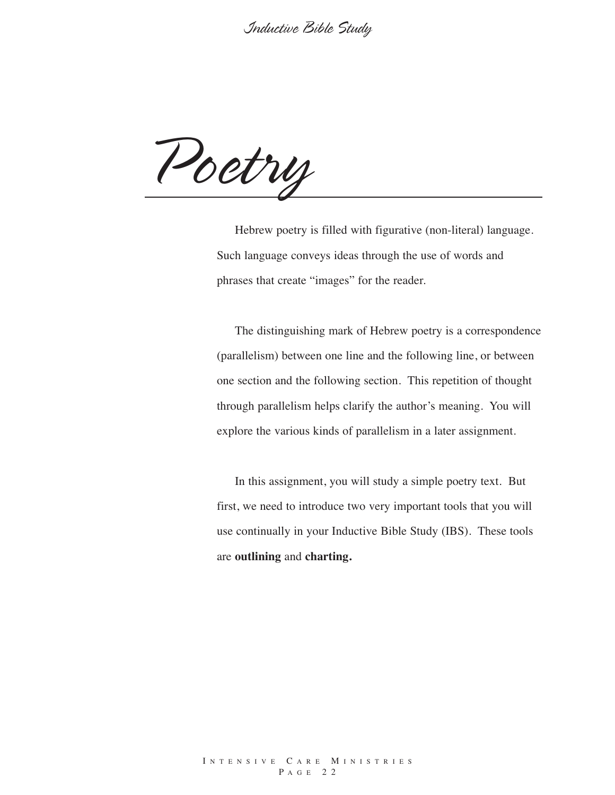*Poetry*

Hebrew poetry is filled with figurative (non-literal) language. Such language conveys ideas through the use of words and phrases that create "images" for the reader.

The distinguishing mark of Hebrew poetry is a correspondence (parallelism) between one line and the following line, or between one section and the following section. This repetition of thought through parallelism helps clarify the author's meaning. You will explore the various kinds of parallelism in a later assignment.

In this assignment, you will study a simple poetry text. But first, we need to introduce two very important tools that you will use continually in your Inductive Bible Study (IBS). These tools are **outlining** and **charting.**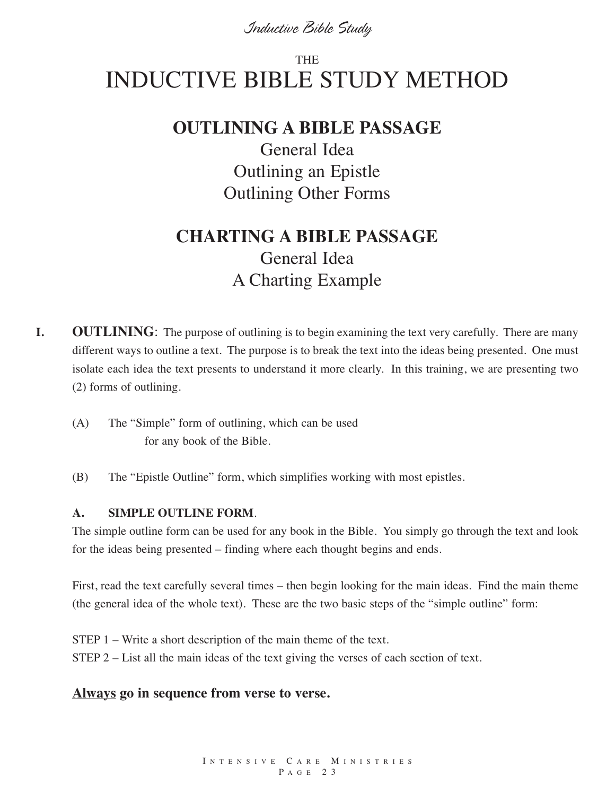# **THE** INDUCTIVE BIBLE STUDY METHOD

#### **OUTLINING A BIBLE PASSAGE**

General Idea Outlining an Epistle Outlining Other Forms

## **CHARTING A BIBLE PASSAGE** General Idea A Charting Example

- **I. OUTLINING**: The purpose of outlining is to begin examining the text very carefully. There are many different ways to outline a text. The purpose is to break the text into the ideas being presented. One must isolate each idea the text presents to understand it more clearly. In this training, we are presenting two (2) forms of outlining.
	- (A) The "Simple" form of outlining, which can be used for any book of the Bible.
	- (B) The "Epistle Outline" form, which simplifies working with most epistles.

#### **A. SIMPLE OUTLINE FORM**.

The simple outline form can be used for any book in the Bible. You simply go through the text and look for the ideas being presented – finding where each thought begins and ends.

First, read the text carefully several times – then begin looking for the main ideas. Find the main theme (the general idea of the whole text). These are the two basic steps of the "simple outline" form:

STEP 1 – Write a short description of the main theme of the text. STEP 2 – List all the main ideas of the text giving the verses of each section of text.

#### **Always go in sequence from verse to verse.**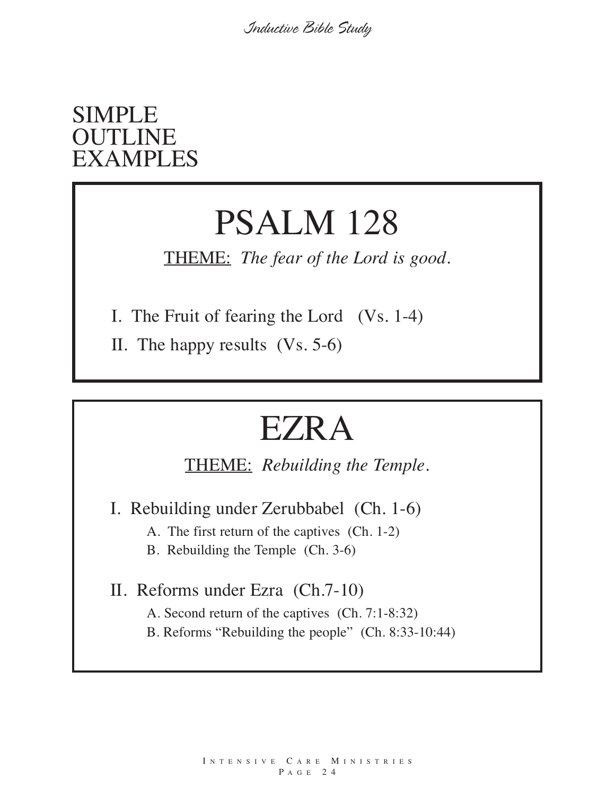# SIMPLE **OUTLINE** EXAMPLES

# PSALM 128

THEME: *The fear of the Lord is good.*

I. The Fruit of fearing the Lord (Vs. 1-4)

II. The happy results (Vs. 5-6)

# EZRA

THEME: *Rebuilding the Temple.*

I. Rebuilding under Zerubbabel (Ch. 1-6)

A. The first return of the captives (Ch. 1-2)

B. Rebuilding the Temple (Ch. 3-6)

II. Reforms under Ezra (Ch.7-10) A. Second return of the captives (Ch. 7:1-8:32) B. Reforms "Rebuilding the people" (Ch. 8:33-10:44)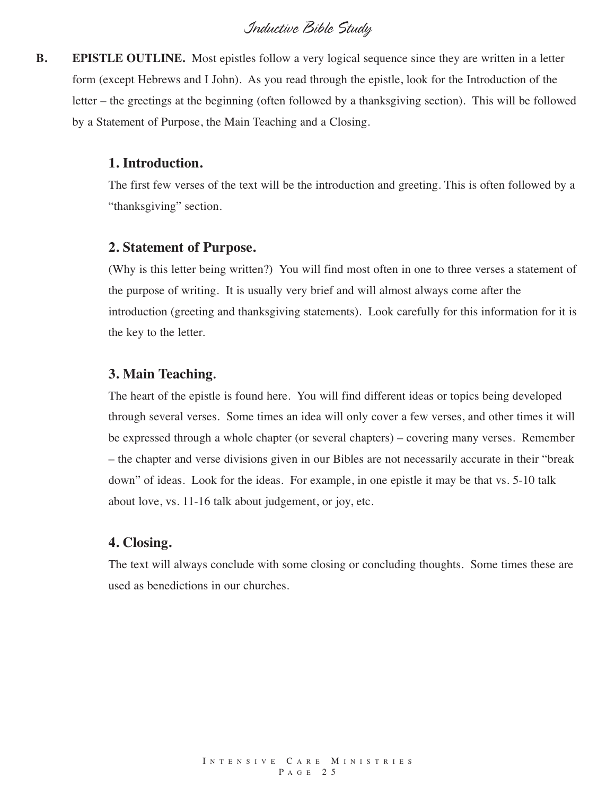**B. EPISTLE OUTLINE.** Most epistles follow a very logical sequence since they are written in a letter form (except Hebrews and I John). As you read through the epistle, look for the Introduction of the letter – the greetings at the beginning (often followed by a thanksgiving section). This will be followed by a Statement of Purpose, the Main Teaching and a Closing.

#### **1. Introduction.**

The first few verses of the text will be the introduction and greeting. This is often followed by a "thanksgiving" section.

#### **2. Statement of Purpose.**

(Why is this letter being written?) You will find most often in one to three verses a statement of the purpose of writing. It is usually very brief and will almost always come after the introduction (greeting and thanksgiving statements). Look carefully for this information for it is the key to the letter.

#### **3. Main Teaching.**

The heart of the epistle is found here. You will find different ideas or topics being developed through several verses. Some times an idea will only cover a few verses, and other times it will be expressed through a whole chapter (or several chapters) – covering many verses. Remember – the chapter and verse divisions given in our Bibles are not necessarily accurate in their "break down" of ideas. Look for the ideas. For example, in one epistle it may be that vs. 5-10 talk about love, vs. 11-16 talk about judgement, or joy, etc.

#### **4. Closing.**

The text will always conclude with some closing or concluding thoughts. Some times these are used as benedictions in our churches.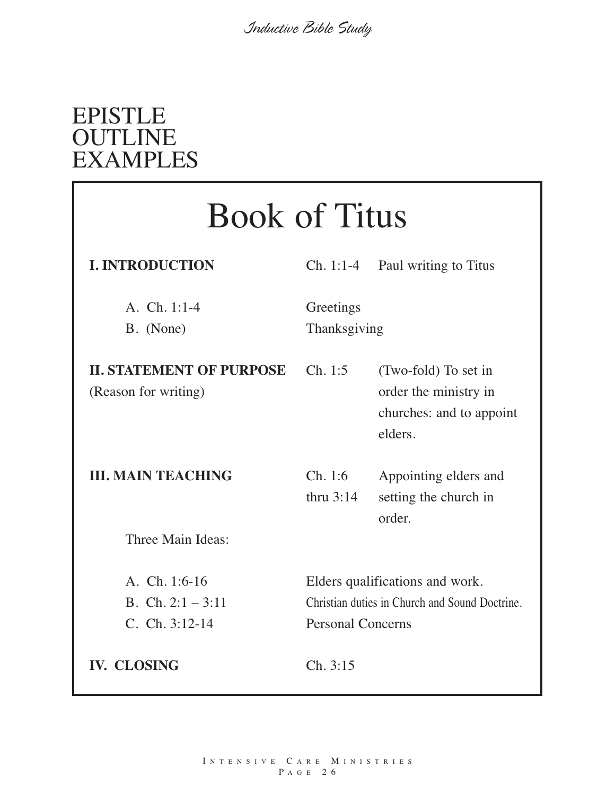# EPISTLE **OUTLINE** EXAMPLES

| <b>Book of Titus</b>                                    |                                                                                                               |                                                                                      |  |
|---------------------------------------------------------|---------------------------------------------------------------------------------------------------------------|--------------------------------------------------------------------------------------|--|
| <b>I. INTRODUCTION</b>                                  |                                                                                                               | $Ch. 1:1-4$ Paul writing to Titus                                                    |  |
| A. Ch. $1:1-4$<br>B. (None)                             | Greetings<br>Thanksgiving                                                                                     |                                                                                      |  |
| <b>II. STATEMENT OF PURPOSE</b><br>(Reason for writing) | Ch. 1:5                                                                                                       | (Two-fold) To set in<br>order the ministry in<br>churches: and to appoint<br>elders. |  |
| <b>III. MAIN TEACHING</b>                               | Ch. 1:6<br>thru $3:14$                                                                                        | Appointing elders and<br>setting the church in<br>order.                             |  |
| Three Main Ideas:                                       |                                                                                                               |                                                                                      |  |
| A. Ch. 1:6-16<br>B. Ch. $2:1 - 3:11$<br>C. Ch. 3:12-14  | Elders qualifications and work.<br>Christian duties in Church and Sound Doctrine.<br><b>Personal Concerns</b> |                                                                                      |  |
| <b>IV. CLOSING</b>                                      | Ch. 3:15                                                                                                      |                                                                                      |  |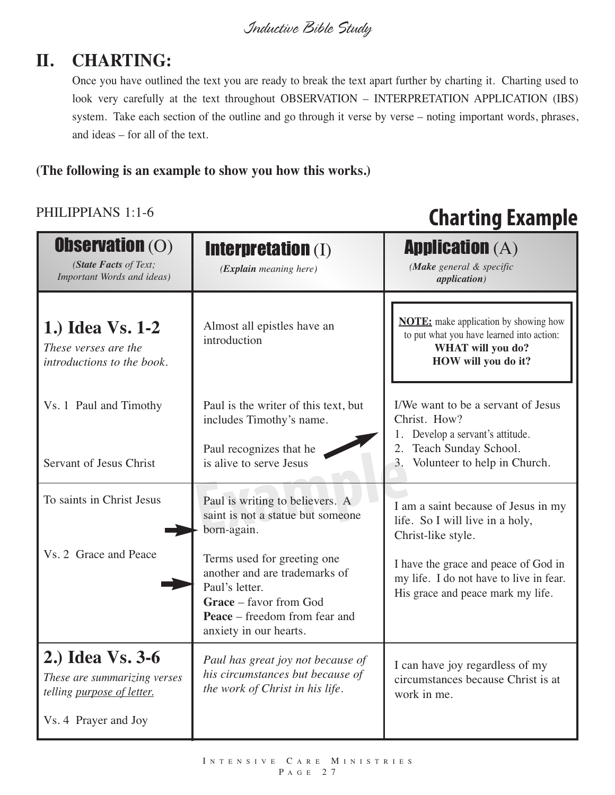## **II. CHARTING:**

Once you have outlined the text you are ready to break the text apart further by charting it. Charting used to look very carefully at the text throughout OBSERVATION – INTERPRETATION APPLICATION (IBS) system. Take each section of the outline and go through it verse by verse – noting important words, phrases, and ideas – for all of the text.

#### **(The following is an example to show you how this works.)**

#### PHILIPPIANS 1:1-6

# **Charting Example**

| <b>Observation (O)</b><br>(State Facts of Text;<br>Important Words and ideas)  | <b>Interpretation (I)</b><br>(Explain meaning here)                                                                                                                        | <b>Application (A)</b><br>(Make general & specific<br><i>application</i> )                                                            |
|--------------------------------------------------------------------------------|----------------------------------------------------------------------------------------------------------------------------------------------------------------------------|---------------------------------------------------------------------------------------------------------------------------------------|
| 1.) Idea Vs. 1-2<br>These verses are the<br>introductions to the book.         | Almost all epistles have an<br>introduction                                                                                                                                | <b>NOTE:</b> make application by showing how<br>to put what you have learned into action:<br>WHAT will you do?<br>HOW will you do it? |
| Vs. 1 Paul and Timothy                                                         | Paul is the writer of this text, but<br>includes Timothy's name.                                                                                                           | I/We want to be a servant of Jesus<br>Christ. How?<br>1. Develop a servant's attitude.                                                |
| Servant of Jesus Christ                                                        | Paul recognizes that he<br>is alive to serve Jesus                                                                                                                         | Teach Sunday School.<br>2.<br>Volunteer to help in Church.<br>3.                                                                      |
| To saints in Christ Jesus                                                      | Paul is writing to believers. A<br>saint is not a statue but someone<br>born-again.                                                                                        | I am a saint because of Jesus in my<br>life. So I will live in a holy,<br>Christ-like style.                                          |
| Vs. 2 Grace and Peace                                                          | Terms used for greeting one<br>another and are trademarks of<br>Paul's letter.<br>Grace - favor from God<br><b>Peace</b> – freedom from fear and<br>anxiety in our hearts. | I have the grace and peace of God in<br>my life. I do not have to live in fear.<br>His grace and peace mark my life.                  |
| 2.) Idea Vs. 3-6<br>These are summarizing verses<br>telling purpose of letter. | Paul has great joy not because of<br>his circumstances but because of<br>the work of Christ in his life.                                                                   | I can have joy regardless of my<br>circumstances because Christ is at<br>work in me.                                                  |
| Vs. 4 Prayer and Joy                                                           |                                                                                                                                                                            |                                                                                                                                       |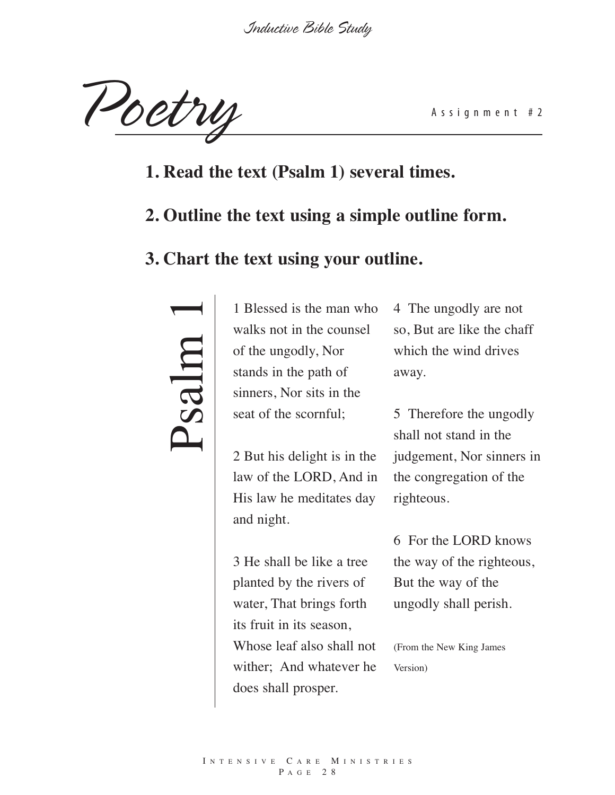Poetry Assignment #2

- **1. Read the text (Psalm 1) several times.**
- **2. Outline the text using a simple outline form.**

#### **3. Chart the text using your outline.**

# $\blacktriangle$  $\boldsymbol{\mathcal{S}}$  $\boldsymbol{\beta}$  $\overline{\phantom{0}}$ m 1

1 Blessed is the man who walks not in the counsel of the ungodly, Nor stands in the path of sinners, Nor sits in the seat of the scornful;

2 But his delight is in the law of the LORD, And in His law he meditates day and night.

3 He shall be like a tree planted by the rivers of water, That brings forth its fruit in its season, Whose leaf also shall not wither; And whatever he does shall prosper.

4 The ungodly are not so, But are like the chaff which the wind drives away.

5 Therefore the ungodly shall not stand in the judgement, Nor sinners in the congregation of the righteous.

6 For the LORD knows the way of the righteous, But the way of the ungodly shall perish.

(From the New King James Version)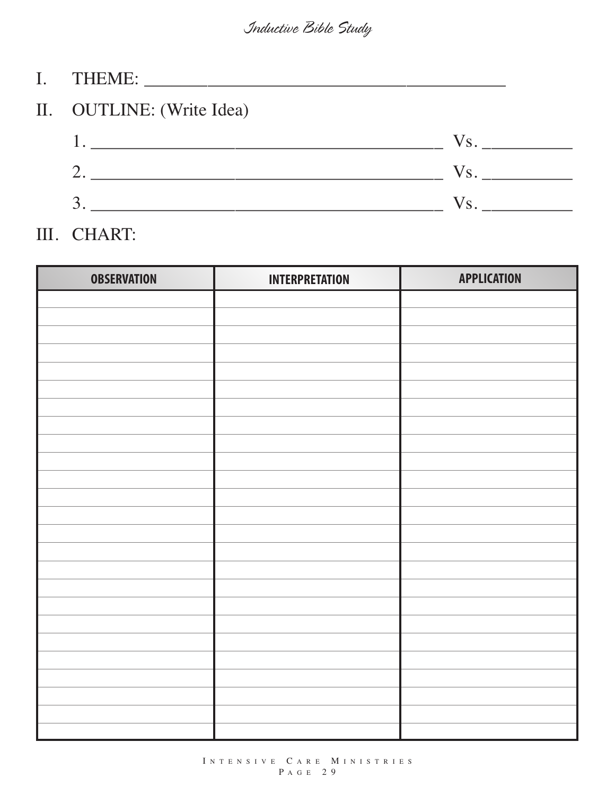| II. OUTLINE: (Write Idea)                                                                                                                                                                                                                                                                                                                                                                                                                                              |               |
|------------------------------------------------------------------------------------------------------------------------------------------------------------------------------------------------------------------------------------------------------------------------------------------------------------------------------------------------------------------------------------------------------------------------------------------------------------------------|---------------|
| $1.$ $\overline{\phantom{a}}$ $\overline{\phantom{a}}$ $\overline{\phantom{a}}$ $\overline{\phantom{a}}$ $\overline{\phantom{a}}$ $\overline{\phantom{a}}$ $\overline{\phantom{a}}$ $\overline{\phantom{a}}$ $\overline{\phantom{a}}$ $\overline{\phantom{a}}$ $\overline{\phantom{a}}$ $\overline{\phantom{a}}$ $\overline{\phantom{a}}$ $\overline{\phantom{a}}$ $\overline{\phantom{a}}$ $\overline{\phantom{a}}$ $\overline{\phantom{a}}$ $\overline{\phantom{a}}$ | $\sqrt{s}$ .  |
| <u> 1990 - Johann Barbara, martin a</u>                                                                                                                                                                                                                                                                                                                                                                                                                                | $V_{\rm S}$ . |
|                                                                                                                                                                                                                                                                                                                                                                                                                                                                        | $V_{\rm S}$ . |

## III. CHART:

| <b>OBSERVATION</b> | <b>INTERPRETATION</b> | <b>APPLICATION</b> |
|--------------------|-----------------------|--------------------|
|                    |                       |                    |
|                    |                       |                    |
|                    |                       |                    |
|                    |                       |                    |
|                    |                       |                    |
|                    |                       |                    |
|                    |                       |                    |
|                    |                       |                    |
|                    |                       |                    |
|                    |                       |                    |
|                    |                       |                    |
|                    |                       |                    |
|                    |                       |                    |
|                    |                       |                    |
|                    |                       |                    |
|                    |                       |                    |
|                    |                       |                    |
|                    |                       |                    |
|                    |                       |                    |
|                    |                       |                    |
|                    |                       |                    |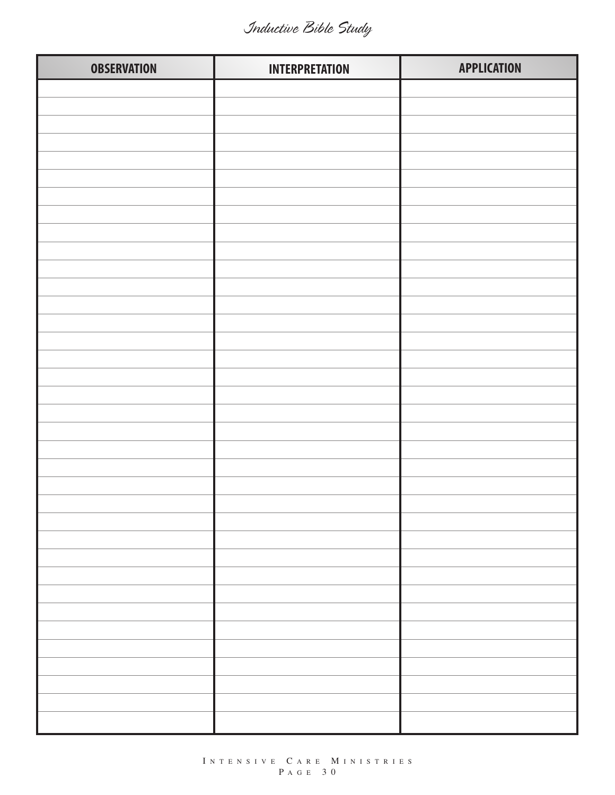*Inductive Bible Study*

| <b>OBSERVATION</b> | <b>INTERPRETATION</b> | <b>APPLICATION</b> |
|--------------------|-----------------------|--------------------|
|                    |                       |                    |
|                    |                       |                    |
|                    |                       |                    |
|                    |                       |                    |
|                    |                       |                    |
|                    |                       |                    |
|                    |                       |                    |
|                    |                       |                    |
|                    |                       |                    |
|                    |                       |                    |
|                    |                       |                    |
|                    |                       |                    |
|                    |                       |                    |
|                    |                       |                    |
|                    |                       |                    |
|                    |                       |                    |
|                    |                       |                    |
|                    |                       |                    |
|                    |                       |                    |
|                    |                       |                    |
|                    |                       |                    |
|                    |                       |                    |
|                    |                       |                    |
|                    |                       |                    |
|                    |                       |                    |
|                    |                       |                    |
|                    |                       |                    |
|                    |                       |                    |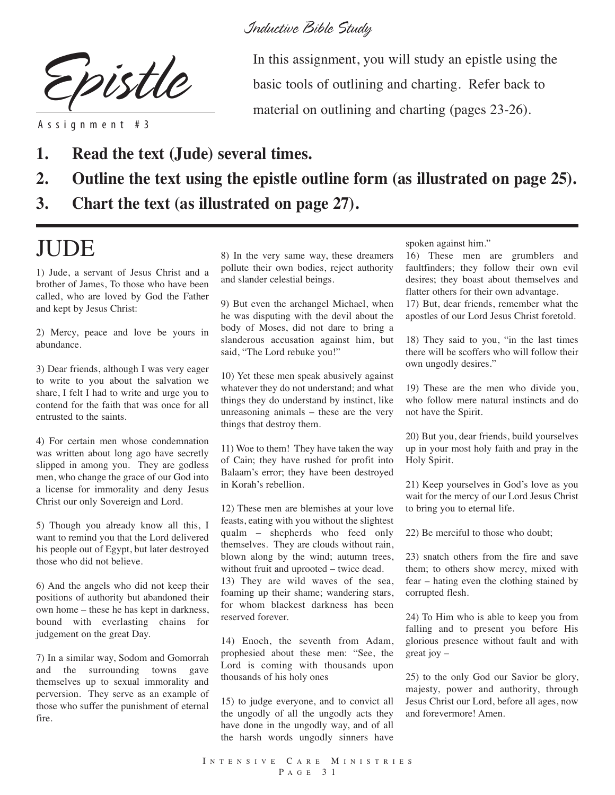

A s s i g n m e n t # 3

*Inductive Bible Study*

In this assignment, you will study an epistle using the basic tools of outlining and charting. Refer back to material on outlining and charting (pages 23-26).

- **1. Read the text (Jude) several times.**
- **2. Outline the text using the epistle outline form (as illustrated on page 25).**
- **3. Chart the text (as illustrated on page 27).**

# JUDE

1) Jude, a servant of Jesus Christ and a brother of James, To those who have been called, who are loved by God the Father and kept by Jesus Christ:

2) Mercy, peace and love be yours in abundance.

3) Dear friends, although I was very eager to write to you about the salvation we share, I felt I had to write and urge you to contend for the faith that was once for all entrusted to the saints.

4) For certain men whose condemnation was written about long ago have secretly slipped in among you. They are godless men, who change the grace of our God into a license for immorality and deny Jesus Christ our only Sovereign and Lord.

5) Though you already know all this, I want to remind you that the Lord delivered his people out of Egypt, but later destroyed those who did not believe.

6) And the angels who did not keep their positions of authority but abandoned their own home – these he has kept in darkness, bound with everlasting chains for judgement on the great Day.

7) In a similar way, Sodom and Gomorrah and the surrounding towns gave themselves up to sexual immorality and perversion. They serve as an example of those who suffer the punishment of eternal fire.

8) In the very same way, these dreamers pollute their own bodies, reject authority and slander celestial beings.

9) But even the archangel Michael, when he was disputing with the devil about the body of Moses, did not dare to bring a slanderous accusation against him, but said, "The Lord rebuke you!"

10) Yet these men speak abusively against whatever they do not understand; and what things they do understand by instinct, like unreasoning animals – these are the very things that destroy them.

11) Woe to them! They have taken the way of Cain; they have rushed for profit into Balaam's error; they have been destroyed in Korah's rebellion.

12) These men are blemishes at your love feasts, eating with you without the slightest qualm – shepherds who feed only themselves. They are clouds without rain, blown along by the wind; autumn trees, without fruit and uprooted – twice dead. 13) They are wild waves of the sea, foaming up their shame; wandering stars, for whom blackest darkness has been reserved forever.

14) Enoch, the seventh from Adam, prophesied about these men: "See, the Lord is coming with thousands upon thousands of his holy ones

15) to judge everyone, and to convict all the ungodly of all the ungodly acts they have done in the ungodly way, and of all the harsh words ungodly sinners have spoken against him."

16) These men are grumblers and faultfinders; they follow their own evil desires; they boast about themselves and flatter others for their own advantage.

17) But, dear friends, remember what the apostles of our Lord Jesus Christ foretold.

18) They said to you, "in the last times there will be scoffers who will follow their own ungodly desires."

19) These are the men who divide you, who follow mere natural instincts and do not have the Spirit.

20) But you, dear friends, build yourselves up in your most holy faith and pray in the Holy Spirit.

21) Keep yourselves in God's love as you wait for the mercy of our Lord Jesus Christ to bring you to eternal life.

22) Be merciful to those who doubt;

23) snatch others from the fire and save them; to others show mercy, mixed with fear – hating even the clothing stained by corrupted flesh.

24) To Him who is able to keep you from falling and to present you before His glorious presence without fault and with great joy –

25) to the only God our Savior be glory, majesty, power and authority, through Jesus Christ our Lord, before all ages, now and forevermore! Amen.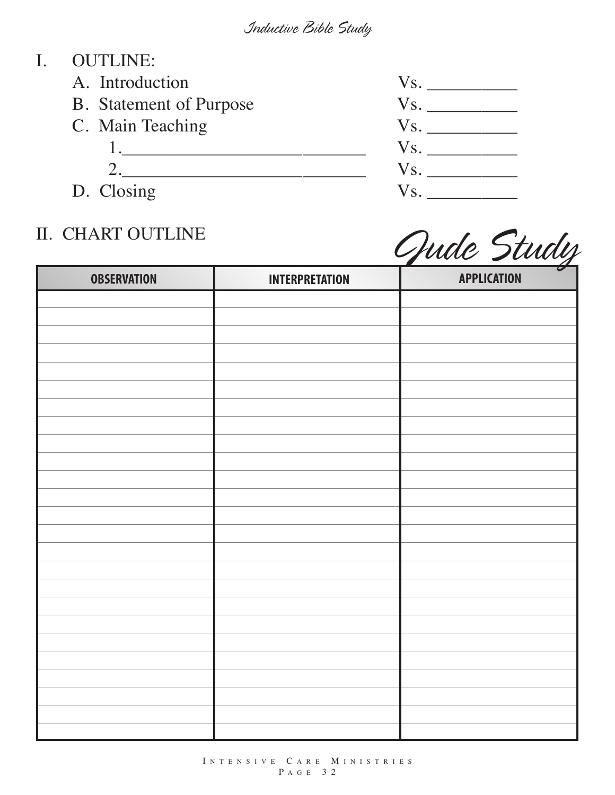### I. OUTLINE:

- 
- B. Statement of Purpose Vs.
- -
- 

## II. CHART OUTLINE



*Jude Study*

| <b>OBSERVATION</b> | <b>INTERPRETATION</b> | $\boldsymbol{\mathcal{G}}$<br><b>APPLICATION</b> |
|--------------------|-----------------------|--------------------------------------------------|
|                    |                       |                                                  |
|                    |                       |                                                  |
|                    |                       |                                                  |
|                    |                       |                                                  |
|                    |                       |                                                  |
|                    |                       |                                                  |
|                    |                       |                                                  |
|                    |                       |                                                  |
|                    |                       |                                                  |
|                    |                       |                                                  |
|                    |                       |                                                  |
|                    |                       |                                                  |
|                    |                       |                                                  |
|                    |                       |                                                  |
|                    |                       |                                                  |
|                    |                       |                                                  |
|                    |                       |                                                  |
|                    |                       |                                                  |
|                    |                       |                                                  |
|                    |                       |                                                  |
|                    |                       |                                                  |
|                    |                       |                                                  |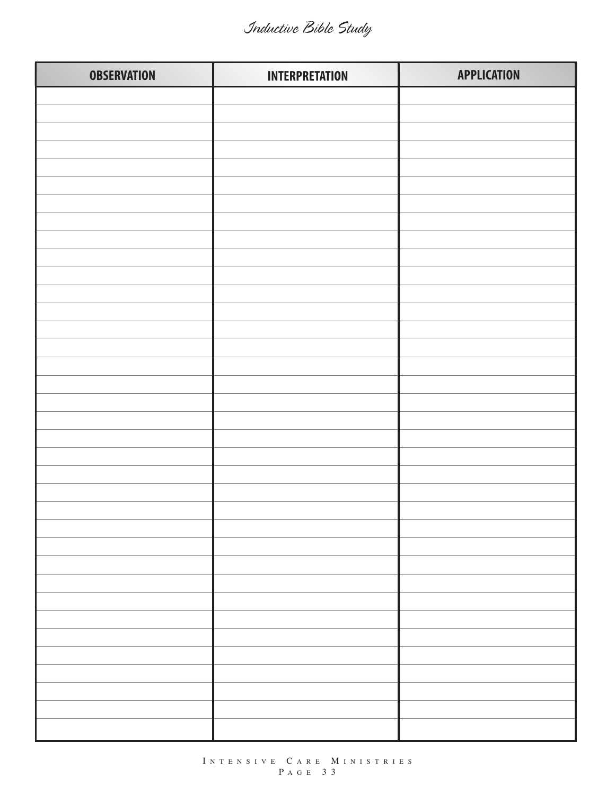| <b>OBSERVATION</b> | <b>INTERPRETATION</b> | <b>APPLICATION</b> |
|--------------------|-----------------------|--------------------|
|                    |                       |                    |
|                    |                       |                    |
|                    |                       |                    |
|                    |                       |                    |
|                    |                       |                    |
|                    |                       |                    |
|                    |                       |                    |
|                    |                       |                    |
|                    |                       |                    |
|                    |                       |                    |
|                    |                       |                    |
|                    |                       |                    |
|                    |                       |                    |
|                    |                       |                    |
|                    |                       |                    |
|                    |                       |                    |
|                    |                       |                    |
|                    |                       |                    |
|                    |                       |                    |
|                    |                       |                    |
|                    |                       |                    |
|                    |                       |                    |
|                    |                       |                    |
|                    |                       |                    |
|                    |                       |                    |
|                    |                       |                    |
|                    |                       |                    |
|                    |                       |                    |
|                    |                       |                    |
|                    |                       |                    |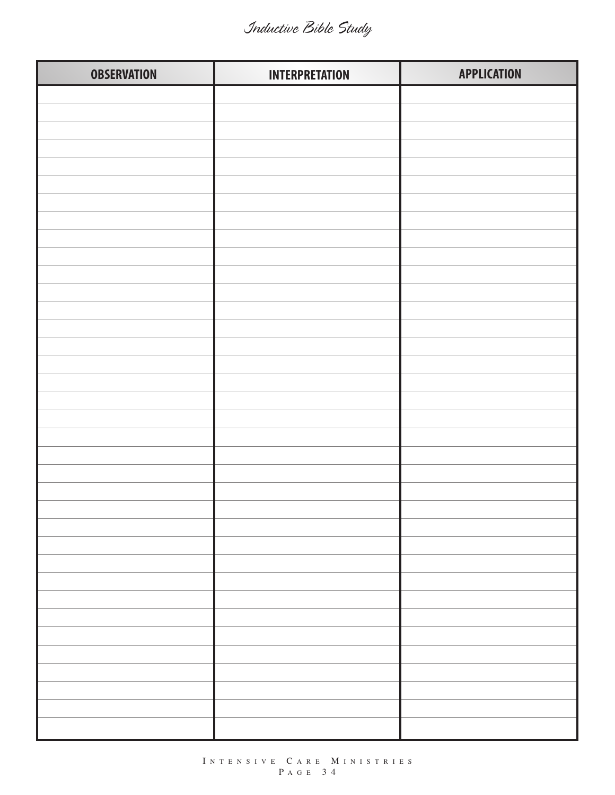| <b>OBSERVATION</b> | <b>INTERPRETATION</b> | <b>APPLICATION</b> |
|--------------------|-----------------------|--------------------|
|                    |                       |                    |
|                    |                       |                    |
|                    |                       |                    |
|                    |                       |                    |
|                    |                       |                    |
|                    |                       |                    |
|                    |                       |                    |
|                    |                       |                    |
|                    |                       |                    |
|                    |                       |                    |
|                    |                       |                    |
|                    |                       |                    |
|                    |                       |                    |
|                    |                       |                    |
|                    |                       |                    |
|                    |                       |                    |
|                    |                       |                    |
|                    |                       |                    |
|                    |                       |                    |
|                    |                       |                    |
|                    |                       |                    |
|                    |                       |                    |
|                    |                       |                    |
|                    |                       |                    |
|                    |                       |                    |
|                    |                       |                    |
|                    |                       |                    |
|                    |                       |                    |
|                    |                       |                    |
|                    |                       |                    |
|                    |                       |                    |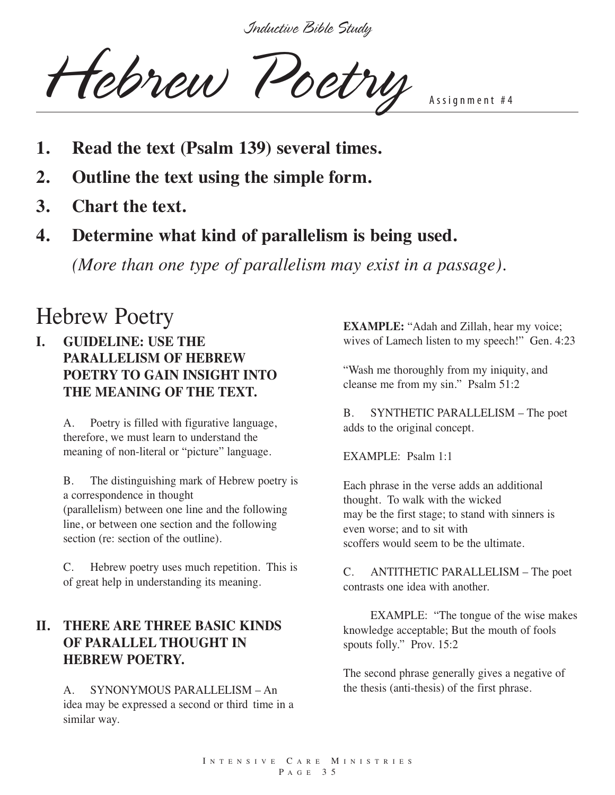Hebrew Poetry

- **1. Read the text (Psalm 139) several times.**
- **2. Outline the text using the simple form.**
- **3. Chart the text.**
- **4. Determine what kind of parallelism is being used.**

*(More than one type of parallelism may exist in a passage).*

# Hebrew Poetry

#### **I. GUIDELINE: USE THE PARALLELISM OF HEBREW POETRY TO GAIN INSIGHT INTO THE MEANING OF THE TEXT.**

A. Poetry is filled with figurative language, therefore, we must learn to understand the meaning of non-literal or "picture" language.

B. The distinguishing mark of Hebrew poetry is a correspondence in thought (parallelism) between one line and the following line, or between one section and the following section (re: section of the outline).

C. Hebrew poetry uses much repetition. This is of great help in understanding its meaning.

#### **II. THERE ARE THREE BASIC KINDS OF PARALLEL THOUGHT IN HEBREW POETRY.**

A. SYNONYMOUS PARALLELISM – An idea may be expressed a second or third time in a similar way.

**EXAMPLE:** "Adah and Zillah, hear my voice; wives of Lamech listen to my speech!" Gen. 4:23

"Wash me thoroughly from my iniquity, and cleanse me from my sin." Psalm 51:2

B. SYNTHETIC PARALLELISM – The poet adds to the original concept.

EXAMPLE: Psalm 1:1

Each phrase in the verse adds an additional thought. To walk with the wicked may be the first stage; to stand with sinners is even worse; and to sit with scoffers would seem to be the ultimate.

C. ANTITHETIC PARALLELISM – The poet contrasts one idea with another.

EXAMPLE: "The tongue of the wise makes knowledge acceptable; But the mouth of fools spouts folly." Prov. 15:2

The second phrase generally gives a negative of the thesis (anti-thesis) of the first phrase.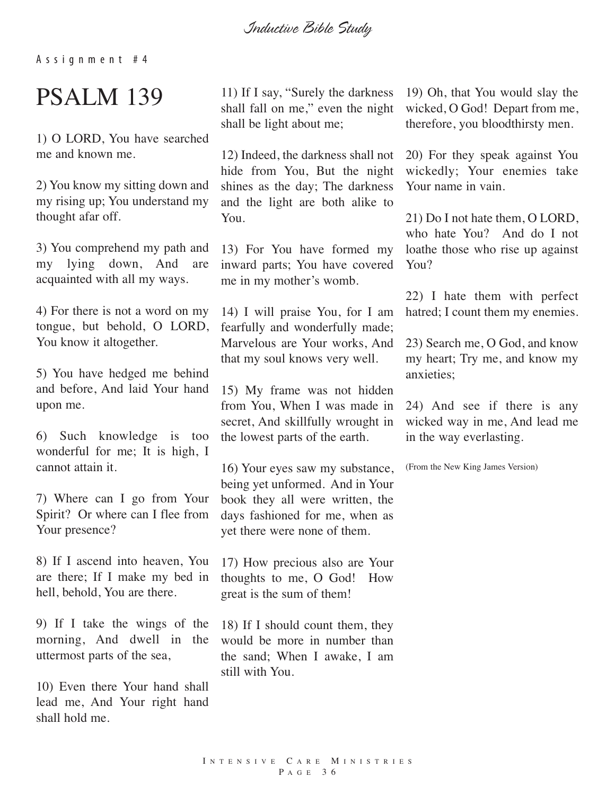*Inductive Bible Study*

A s s i g n m e n t # 4

# PSALM 139

1) O LORD, You have searched me and known me.

2) You know my sitting down and my rising up; You understand my thought afar off.

3) You comprehend my path and my lying down, And are acquainted with all my ways.

4) For there is not a word on my tongue, but behold, O LORD, You know it altogether.

5) You have hedged me behind and before, And laid Your hand upon me.

6) Such knowledge is too wonderful for me; It is high, I cannot attain it.

7) Where can I go from Your Spirit? Or where can I flee from Your presence?

8) If I ascend into heaven, You are there; If I make my bed in hell, behold, You are there.

9) If I take the wings of the morning, And dwell in the uttermost parts of the sea,

10) Even there Your hand shall lead me, And Your right hand shall hold me.

11) If I say, "Surely the darkness shall fall on me," even the night shall be light about me;

12) Indeed, the darkness shall not hide from You, But the night shines as the day; The darkness and the light are both alike to You.

13) For You have formed my inward parts; You have covered me in my mother's womb.

14) I will praise You, for I am fearfully and wonderfully made; Marvelous are Your works, And that my soul knows very well.

15) My frame was not hidden from You, When I was made in secret, And skillfully wrought in the lowest parts of the earth.

16) Your eyes saw my substance, being yet unformed. And in Your book they all were written, the days fashioned for me, when as yet there were none of them.

17) How precious also are Your thoughts to me, O God! How great is the sum of them!

18) If I should count them, they would be more in number than the sand; When I awake, I am still with You.

19) Oh, that You would slay the wicked, O God! Depart from me, therefore, you bloodthirsty men.

20) For they speak against You wickedly; Your enemies take Your name in vain.

21) Do I not hate them, O LORD, who hate You? And do I not loathe those who rise up against You?

22) I hate them with perfect hatred; I count them my enemies.

23) Search me, O God, and know my heart; Try me, and know my anxieties;

24) And see if there is any wicked way in me, And lead me in the way everlasting.

(From the New King James Version)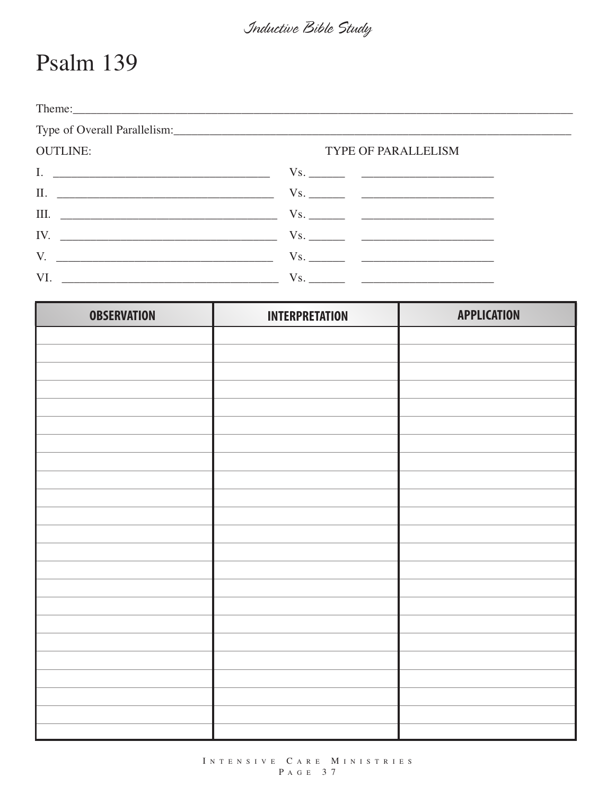$\sim$   $\sim$   $\sim$   $\sim$ 

## Psalm 139

| <b>OUTLINE:</b> | TYPE OF PARALLELISM |
|-----------------|---------------------|
|                 |                     |
|                 |                     |
|                 |                     |
|                 |                     |
|                 |                     |
|                 |                     |

| <b>OBSERVATION</b> | <b>INTERPRETATION</b> | <b>APPLICATION</b> |
|--------------------|-----------------------|--------------------|
|                    |                       |                    |
|                    |                       |                    |
|                    |                       |                    |
|                    |                       |                    |
|                    |                       |                    |
|                    |                       |                    |
|                    |                       |                    |
|                    |                       |                    |
|                    |                       |                    |
|                    |                       |                    |
|                    |                       |                    |
|                    |                       |                    |
|                    |                       |                    |
|                    |                       |                    |
|                    |                       |                    |
|                    |                       |                    |
|                    |                       |                    |
|                    |                       |                    |
|                    |                       |                    |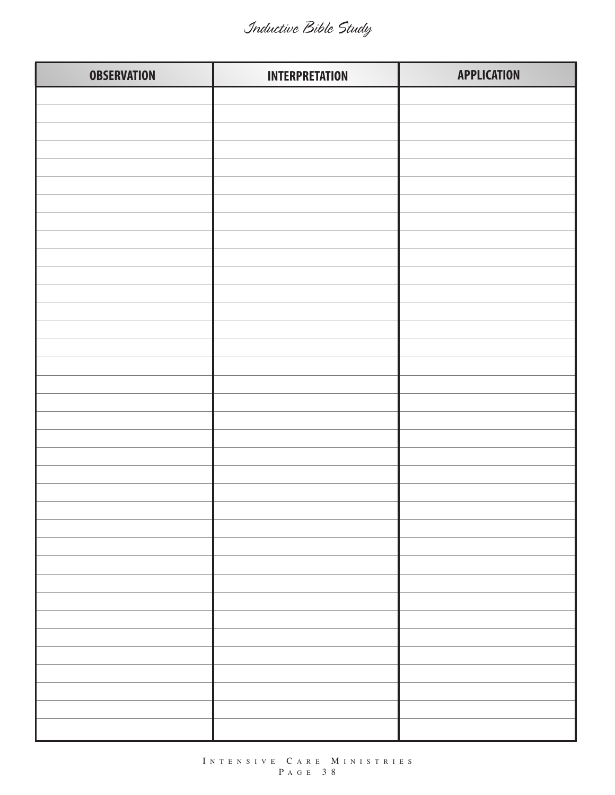| <b>OBSERVATION</b> | <b>INTERPRETATION</b> | <b>APPLICATION</b> |
|--------------------|-----------------------|--------------------|
|                    |                       |                    |
|                    |                       |                    |
|                    |                       |                    |
|                    |                       |                    |
|                    |                       |                    |
|                    |                       |                    |
|                    |                       |                    |
|                    |                       |                    |
|                    |                       |                    |
|                    |                       |                    |
|                    |                       |                    |
|                    |                       |                    |
|                    |                       |                    |
|                    |                       |                    |
|                    |                       |                    |
|                    |                       |                    |
|                    |                       |                    |
|                    |                       |                    |
|                    |                       |                    |
|                    |                       |                    |
|                    |                       |                    |
|                    |                       |                    |
|                    |                       |                    |
|                    |                       |                    |
|                    |                       |                    |
|                    |                       |                    |
|                    |                       |                    |
|                    |                       |                    |
|                    |                       |                    |
|                    |                       |                    |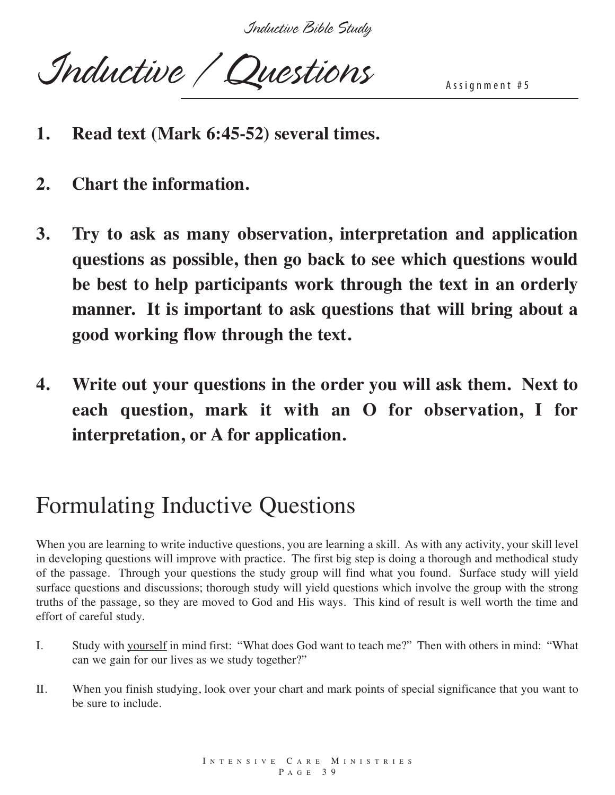*Inductive Bible Study*

Inductive / Questions

- **1. Read text (Mark 6:45-52) several times.**
- **2. Chart the information.**
- **3. Try to ask as many observation, interpretation and application questions as possible, then go back to see which questions would be best to help participants work through the text in an orderly manner. It is important to ask questions that will bring about a good working flow through the text.**
- **4. Write out your questions in the order you will ask them. Next to each question, mark it with an O for observation, I for interpretation, or A for application.**

## Formulating Inductive Questions

When you are learning to write inductive questions, you are learning a skill. As with any activity, your skill level in developing questions will improve with practice. The first big step is doing a thorough and methodical study of the passage. Through your questions the study group will find what you found. Surface study will yield surface questions and discussions; thorough study will yield questions which involve the group with the strong truths of the passage, so they are moved to God and His ways. This kind of result is well worth the time and effort of careful study.

- I. Study with yourself in mind first: "What does God want to teach me?" Then with others in mind: "What can we gain for our lives as we study together?"
- II. When you finish studying, look over your chart and mark points of special significance that you want to be sure to include.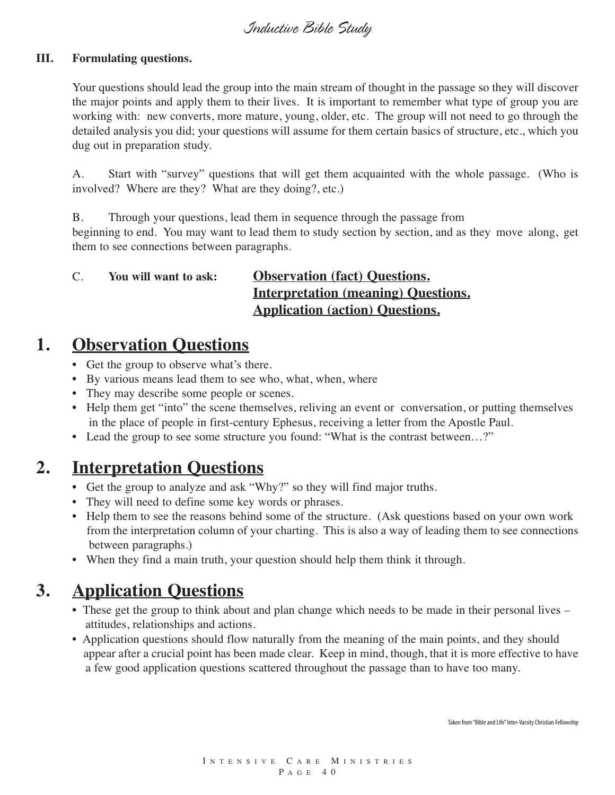#### **III. Formulating questions.**

Your questions should lead the group into the main stream of thought in the passage so they will discover the major points and apply them to their lives. It is important to remember what type of group you are working with: new converts, more mature, young, older, etc. The group will not need to go through the detailed analysis you did; your questions will assume for them certain basics of structure, etc., which you dug out in preparation study.

A. Start with "survey" questions that will get them acquainted with the whole passage. (Who is involved? Where are they? What are they doing?, etc.)

B. Through your questions, lead them in sequence through the passage from beginning to end. You may want to lead them to study section by section, and as they move along, get them to see connections between paragraphs.

#### C. **You will want to ask: Observation (fact) Questions. Interpretation (meaning) Questions. Application (action) Questions.**

#### **1. Observation Questions**

- Get the group to observe what's there.
- By various means lead them to see who, what, when, where
- They may describe some people or scenes.
- Help them get "into" the scene themselves, reliving an event or conversation, or putting themselves in the place of people in first-century Ephesus, receiving a letter from the Apostle Paul.
- Lead the group to see some structure you found: "What is the contrast between...?"

### **2. Interpretation Questions**

- Get the group to analyze and ask "Why?" so they will find major truths.
- They will need to define some key words or phrases.
- Help them to see the reasons behind some of the structure. (Ask questions based on your own work from the interpretation column of your charting. This is also a way of leading them to see connections between paragraphs.)
- When they find a main truth, your question should help them think it through.

### **3. Application Questions**

- These get the group to think about and plan change which needs to be made in their personal lives attitudes, relationships and actions.
- Application questions should flow naturally from the meaning of the main points, and they should appear after a crucial point has been made clear. Keep in mind, though, that it is more effective to have a few good application questions scattered throughout the passage than to have too many.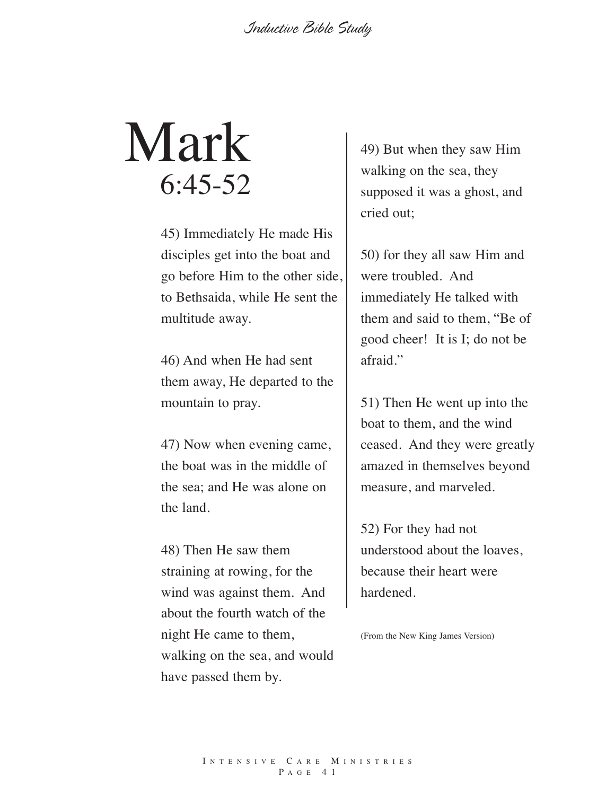# Mark 6:45-52

45) Immediately He made His disciples get into the boat and go before Him to the other side, to Bethsaida, while He sent the multitude away.

46) And when He had sent them away, He departed to the mountain to pray.

47) Now when evening came, the boat was in the middle of the sea; and He was alone on the land.

48) Then He saw them straining at rowing, for the wind was against them. And about the fourth watch of the night He came to them, walking on the sea, and would have passed them by.

49) But when they saw Him walking on the sea, they supposed it was a ghost, and cried out;

50) for they all saw Him and were troubled. And immediately He talked with them and said to them, "Be of good cheer! It is I; do not be afraid."

51) Then He went up into the boat to them, and the wind ceased. And they were greatly amazed in themselves beyond measure, and marveled.

52) For they had not understood about the loaves, because their heart were hardened.

(From the New King James Version)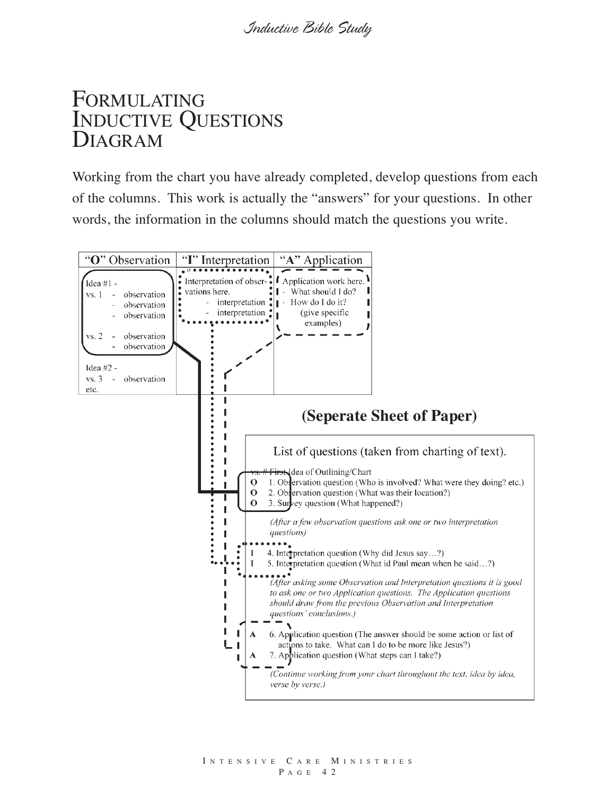## FORMULATING INDUCTIVE QUESTIONS DIAGRAM

Working from the chart you have already completed, develop questions from each of the columns. This work is actually the "answers" for your questions. In other words, the information in the columns should match the questions you write.

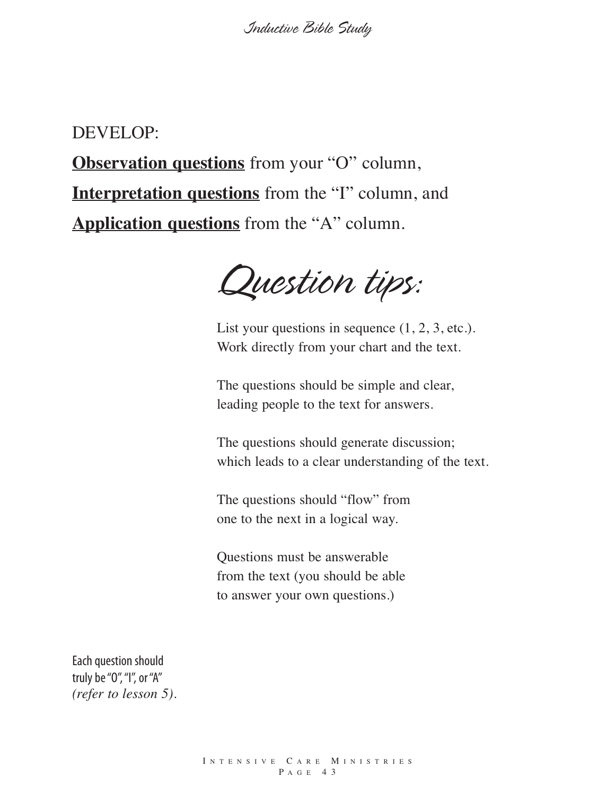#### DEVELOP:

**Observation questions** from your "O" column, **Interpretation questions** from the "I" column, and **Application questions** from the "A" column.

*Question tips:*

List your questions in sequence  $(1, 2, 3, \text{etc.})$ . Work directly from your chart and the text.

The questions should be simple and clear, leading people to the text for answers.

The questions should generate discussion; which leads to a clear understanding of the text.

The questions should "flow" from one to the next in a logical way.

Questions must be answerable from the text (you should be able to answer your own questions.)

Each question should truly be "0", "I", or "A" *(refer to lesson 5).*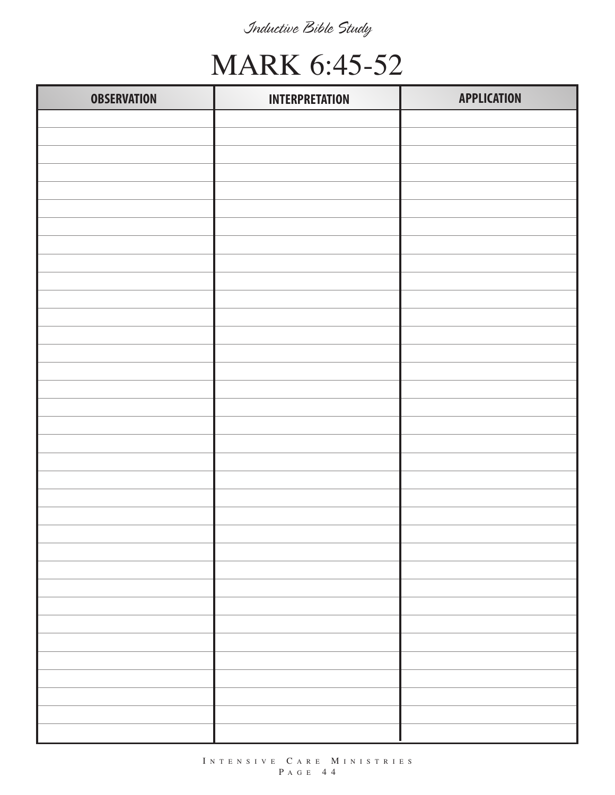## MARK 6:45-52

| <b>OBSERVATION</b> | <b>INTERPRETATION</b> | <b>APPLICATION</b> |
|--------------------|-----------------------|--------------------|
|                    |                       |                    |
|                    |                       |                    |
|                    |                       |                    |
|                    |                       |                    |
|                    |                       |                    |
|                    |                       |                    |
|                    |                       |                    |
|                    |                       |                    |
|                    |                       |                    |
|                    |                       |                    |
|                    |                       |                    |
|                    |                       |                    |
|                    |                       |                    |
|                    |                       |                    |
|                    |                       |                    |
|                    |                       |                    |
|                    |                       |                    |
|                    |                       |                    |
|                    |                       |                    |
|                    |                       |                    |
|                    |                       |                    |
|                    |                       |                    |
|                    |                       |                    |
|                    |                       |                    |
|                    |                       |                    |
|                    |                       |                    |
|                    |                       |                    |
|                    |                       |                    |
|                    |                       |                    |
|                    |                       |                    |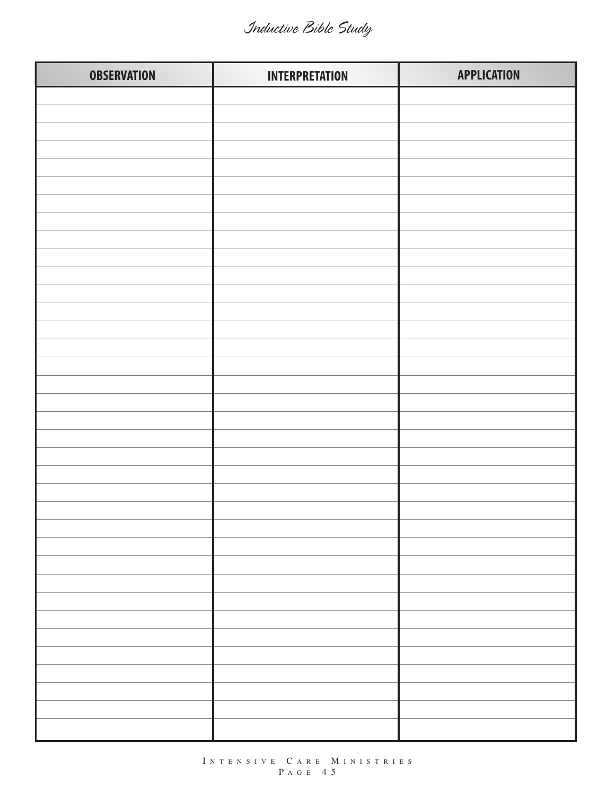| <b>OBSERVATION</b> | <b>INTERPRETATION</b> | <b>APPLICATION</b> |
|--------------------|-----------------------|--------------------|
|                    |                       |                    |
|                    |                       |                    |
|                    |                       |                    |
|                    |                       |                    |
|                    |                       |                    |
|                    |                       |                    |
|                    |                       |                    |
|                    |                       |                    |
|                    |                       |                    |
|                    |                       |                    |
|                    |                       |                    |
|                    |                       |                    |
|                    |                       |                    |
|                    |                       |                    |
|                    |                       |                    |
|                    |                       |                    |
|                    |                       |                    |
|                    |                       |                    |
|                    |                       |                    |
|                    |                       |                    |
|                    |                       |                    |
|                    |                       |                    |
|                    |                       |                    |
|                    |                       |                    |
|                    |                       |                    |
|                    |                       |                    |
|                    |                       |                    |
|                    |                       |                    |
|                    |                       |                    |
|                    |                       |                    |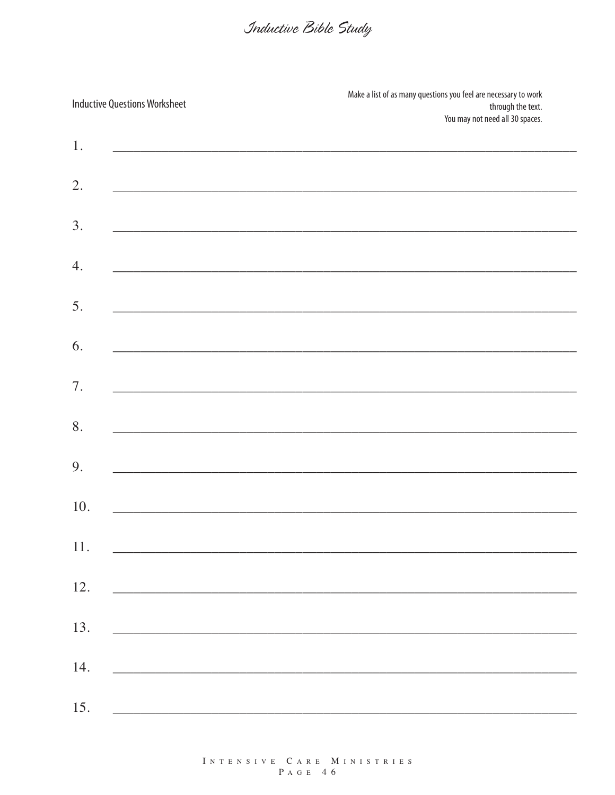|     | <b>Inductive Questions Worksheet</b>                                                                             | Make a list of as many questions you feel are necessary to work<br>through the text.<br>You may not need all 30 spaces. |
|-----|------------------------------------------------------------------------------------------------------------------|-------------------------------------------------------------------------------------------------------------------------|
| 1.  |                                                                                                                  |                                                                                                                         |
| 2.  | and the control of the control of the control of the control of the control of the control of the control of the |                                                                                                                         |
| 3.  |                                                                                                                  |                                                                                                                         |
| 4.  | and the control of the control of the control of the control of the control of the control of the control of the |                                                                                                                         |
| 5.  | and the control of the control of the control of the control of the control of the control of the control of the |                                                                                                                         |
| 6.  |                                                                                                                  |                                                                                                                         |
| 7.  |                                                                                                                  |                                                                                                                         |
| 8.  | and the control of the control of the control of the control of the control of the control of the control of the |                                                                                                                         |
| 9.  |                                                                                                                  | ,我们也不会有什么。""我们的人,我们也不会有什么?""我们的人,我们也不会有什么?""我们的人,我们也不会有什么?""我们的人,我们也不会有什么?""我们的人                                        |
| 10. |                                                                                                                  |                                                                                                                         |
| 11. |                                                                                                                  |                                                                                                                         |
| 12. |                                                                                                                  |                                                                                                                         |
| 13. |                                                                                                                  | <u> 1980 - Jan Alexander de Santa Grande de Santa Grande de Santa Grande de Santa Grande de Santa Grande de Santa</u>   |
| 14. |                                                                                                                  |                                                                                                                         |
| 15. |                                                                                                                  |                                                                                                                         |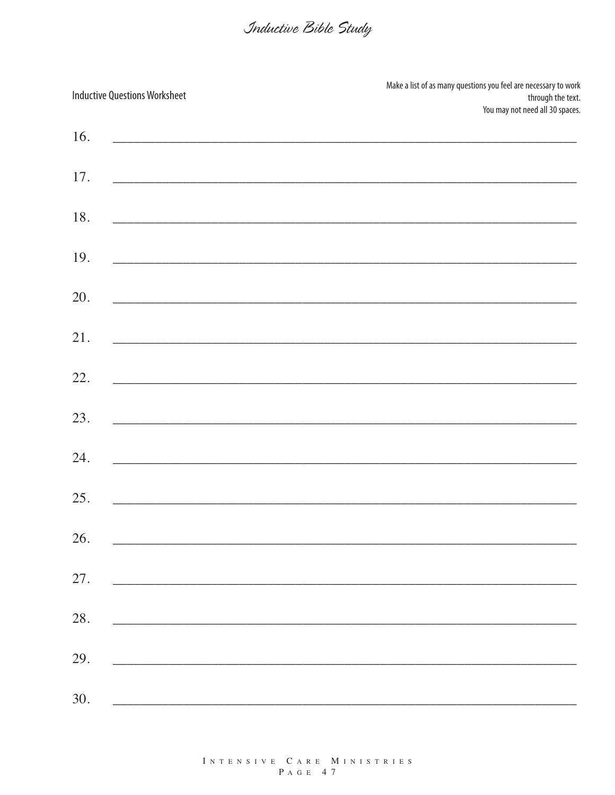| <b>Inductive Questions Worksheet</b>                                                                                        | Make a list of as many questions you feel are necessary to work<br>through the text.<br>You may not need all 30 spaces. |
|-----------------------------------------------------------------------------------------------------------------------------|-------------------------------------------------------------------------------------------------------------------------|
| 16.                                                                                                                         |                                                                                                                         |
| 17.                                                                                                                         |                                                                                                                         |
| 18.                                                                                                                         | <u> 2000 - Januar Alexander Alexander (h. 1888).</u>                                                                    |
| 19.                                                                                                                         |                                                                                                                         |
| 20.                                                                                                                         |                                                                                                                         |
| 21.                                                                                                                         | and the control of the control of the control of the control of the control of the control of the control of the        |
| 22.                                                                                                                         | <u> 1989 - Andreas Andrews, amerikansk politik (d. 1989)</u>                                                            |
| 23.                                                                                                                         | <u> 1989 - Jan Barnett, fransk politiker (d. 1989)</u>                                                                  |
| 24.                                                                                                                         | <u> 1980 - Jan Barnes, martxar anno 1980 - Carl Barnes, anno 1980 - Carl Barnes, anno 1980 - Carl Barnes, ann an</u>    |
| 25.                                                                                                                         |                                                                                                                         |
| 26.                                                                                                                         |                                                                                                                         |
| 27.                                                                                                                         |                                                                                                                         |
| 28.                                                                                                                         |                                                                                                                         |
| 29.                                                                                                                         |                                                                                                                         |
| 30.<br><u> 1989 - Johann John Stein, markin fan it ferskearre fan it ferskearre fan it ferskearre fan it ferskearre fan</u> |                                                                                                                         |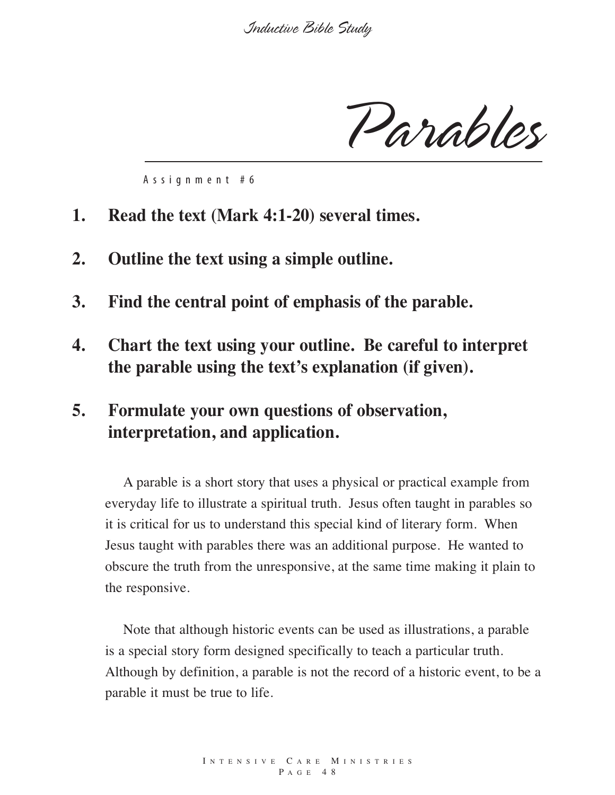*Parables*

A s s i g n m e n t # 6

- **1. Read the text (Mark 4:1-20) several times.**
- **2. Outline the text using a simple outline.**
- **3. Find the central point of emphasis of the parable.**
- **4. Chart the text using your outline. Be careful to interpret the parable using the text's explanation (if given).**
- **5. Formulate your own questions of observation, interpretation, and application.**

A parable is a short story that uses a physical or practical example from everyday life to illustrate a spiritual truth. Jesus often taught in parables so it is critical for us to understand this special kind of literary form. When Jesus taught with parables there was an additional purpose. He wanted to obscure the truth from the unresponsive, at the same time making it plain to the responsive.

Note that although historic events can be used as illustrations, a parable is a special story form designed specifically to teach a particular truth. Although by definition, a parable is not the record of a historic event, to be a parable it must be true to life.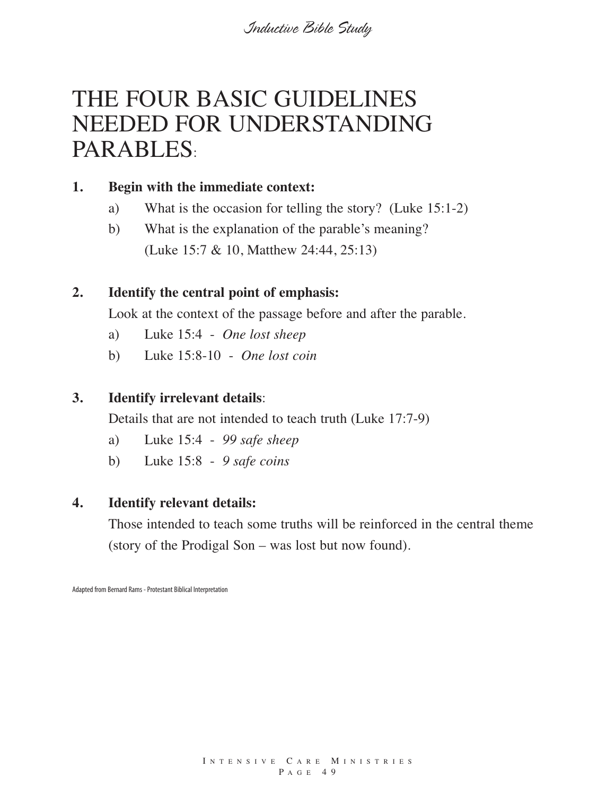## THE FOUR BASIC GUIDELINES NEEDED FOR UNDERSTANDING PARABLES:

#### **1. Begin with the immediate context:**

- a) What is the occasion for telling the story? (Luke 15:1-2)
- b) What is the explanation of the parable's meaning? (Luke 15:7 & 10, Matthew 24:44, 25:13)

#### **2. Identify the central point of emphasis:**

Look at the context of the passage before and after the parable.

- a) Luke 15:4 *One lost sheep*
- b) Luke 15:8-10 *One lost coin*

#### **3. Identify irrelevant details**:

Details that are not intended to teach truth (Luke 17:7-9)

- a) Luke 15:4 *99 safe sheep*
- b) Luke 15:8 *9 safe coins*

#### **4. Identify relevant details:**

Those intended to teach some truths will be reinforced in the central theme (story of the Prodigal Son – was lost but now found).

Adapted from Bernard Rams - Protestant Biblical Interpretation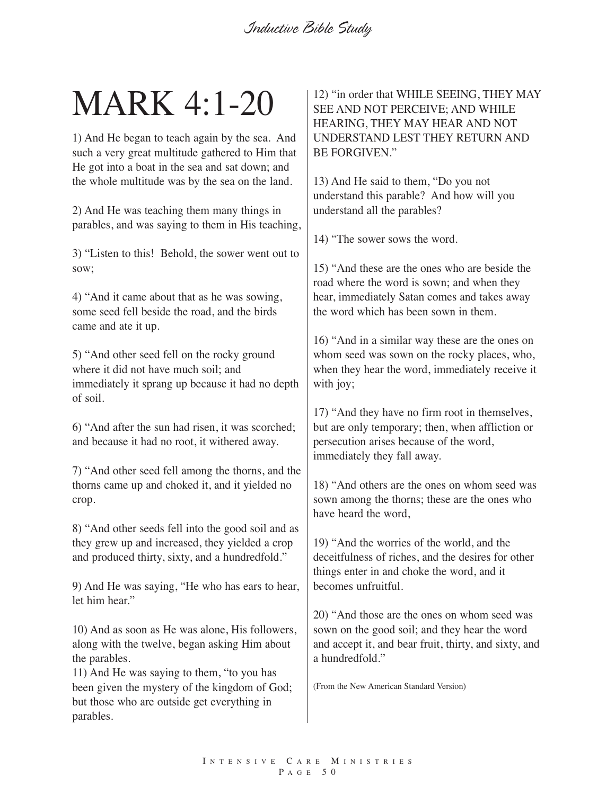# MARK 4:1-20

1) And He began to teach again by the sea. And such a very great multitude gathered to Him that He got into a boat in the sea and sat down; and the whole multitude was by the sea on the land.

2) And He was teaching them many things in parables, and was saying to them in His teaching,

3) "Listen to this! Behold, the sower went out to sow;

4) "And it came about that as he was sowing, some seed fell beside the road, and the birds came and ate it up.

5) "And other seed fell on the rocky ground where it did not have much soil; and immediately it sprang up because it had no depth of soil.

6) "And after the sun had risen, it was scorched; and because it had no root, it withered away.

7) "And other seed fell among the thorns, and the thorns came up and choked it, and it yielded no crop.

8) "And other seeds fell into the good soil and as they grew up and increased, they yielded a crop and produced thirty, sixty, and a hundredfold."

9) And He was saying, "He who has ears to hear, let him hear."

10) And as soon as He was alone, His followers, along with the twelve, began asking Him about the parables.

11) And He was saying to them, "to you has been given the mystery of the kingdom of God; but those who are outside get everything in parables.

12) "in order that WHILE SEEING, THEY MAY SEE AND NOT PERCEIVE; AND WHILE HEARING, THEY MAY HEAR AND NOT UNDERSTAND LEST THEY RETURN AND BE FORGIVEN."

13) And He said to them, "Do you not understand this parable? And how will you understand all the parables?

14) "The sower sows the word.

15) "And these are the ones who are beside the road where the word is sown; and when they hear, immediately Satan comes and takes away the word which has been sown in them.

16) "And in a similar way these are the ones on whom seed was sown on the rocky places, who, when they hear the word, immediately receive it with joy;

17) "And they have no firm root in themselves, but are only temporary; then, when affliction or persecution arises because of the word, immediately they fall away.

18) "And others are the ones on whom seed was sown among the thorns; these are the ones who have heard the word,

19) "And the worries of the world, and the deceitfulness of riches, and the desires for other things enter in and choke the word, and it becomes unfruitful.

20) "And those are the ones on whom seed was sown on the good soil; and they hear the word and accept it, and bear fruit, thirty, and sixty, and a hundredfold."

(From the New American Standard Version)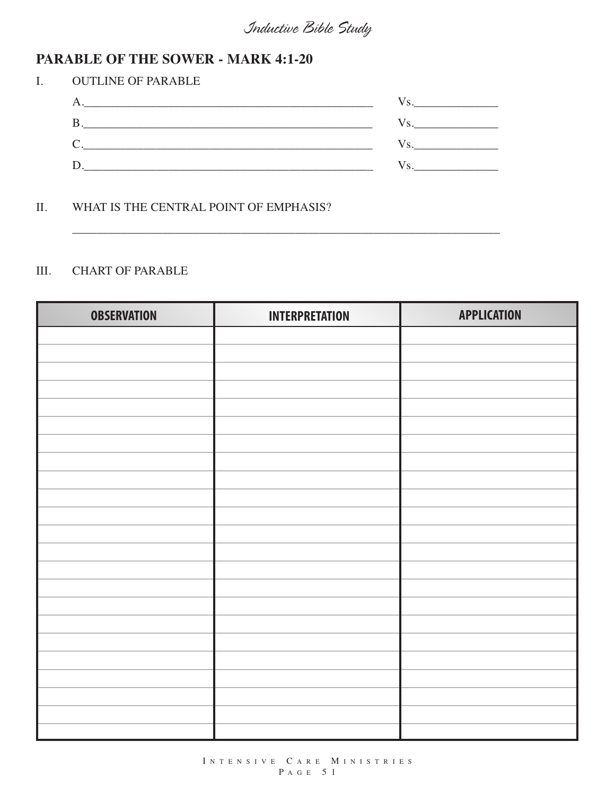#### **PARABLE OF THE SOWER - MARK 4:1-20**

| L | <b>OUTLINE OF PARABLE</b>                                                                                            |  |
|---|----------------------------------------------------------------------------------------------------------------------|--|
|   | <u> 1989 - Johann Stein, mars an deutscher Stein und der Stein und der Stein und der Stein und der Stein und der</u> |  |
|   |                                                                                                                      |  |
|   |                                                                                                                      |  |
|   |                                                                                                                      |  |

\_\_\_\_\_\_\_\_\_\_\_\_\_\_\_\_\_\_\_\_\_\_\_\_\_\_\_\_\_\_\_\_\_\_\_\_\_\_\_\_\_\_\_\_\_\_\_\_\_\_\_\_\_\_\_\_\_\_\_\_\_\_\_\_\_\_\_\_\_\_\_

#### II. WHAT IS THE CENTRAL POINT OF EMPHASIS?

#### III. CHART OF PARABLE

| <b>OBSERVATION</b> | <b>INTERPRETATION</b> | <b>APPLICATION</b> |
|--------------------|-----------------------|--------------------|
|                    |                       |                    |
|                    |                       |                    |
|                    |                       |                    |
|                    |                       |                    |
|                    |                       |                    |
|                    |                       |                    |
|                    |                       |                    |
|                    |                       |                    |
|                    |                       |                    |
|                    |                       |                    |
|                    |                       |                    |
|                    |                       |                    |
|                    |                       |                    |
|                    |                       |                    |
|                    |                       |                    |
|                    |                       |                    |
|                    |                       |                    |
|                    |                       |                    |
|                    |                       |                    |
|                    |                       |                    |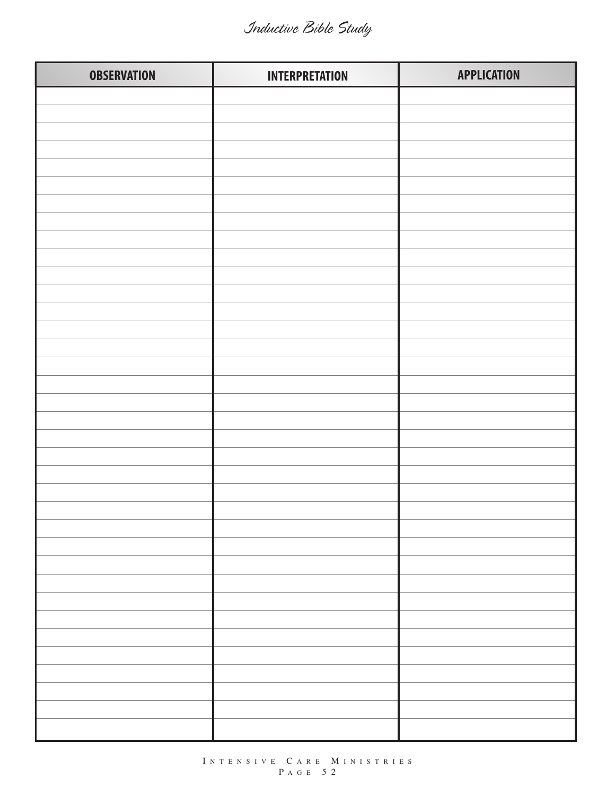| <b>OBSERVATION</b> | <b>INTERPRETATION</b> | <b>APPLICATION</b> |
|--------------------|-----------------------|--------------------|
|                    |                       |                    |
|                    |                       |                    |
|                    |                       |                    |
|                    |                       |                    |
|                    |                       |                    |
|                    |                       |                    |
|                    |                       |                    |
|                    |                       |                    |
|                    |                       |                    |
|                    |                       |                    |
|                    |                       |                    |
|                    |                       |                    |
|                    |                       |                    |
|                    |                       |                    |
|                    |                       |                    |
|                    |                       |                    |
|                    |                       |                    |
|                    |                       |                    |
|                    |                       |                    |
|                    |                       |                    |
|                    |                       |                    |
|                    |                       |                    |
|                    |                       |                    |
|                    |                       |                    |
|                    |                       |                    |
|                    |                       |                    |
|                    |                       |                    |
|                    |                       |                    |
|                    |                       |                    |
|                    |                       |                    |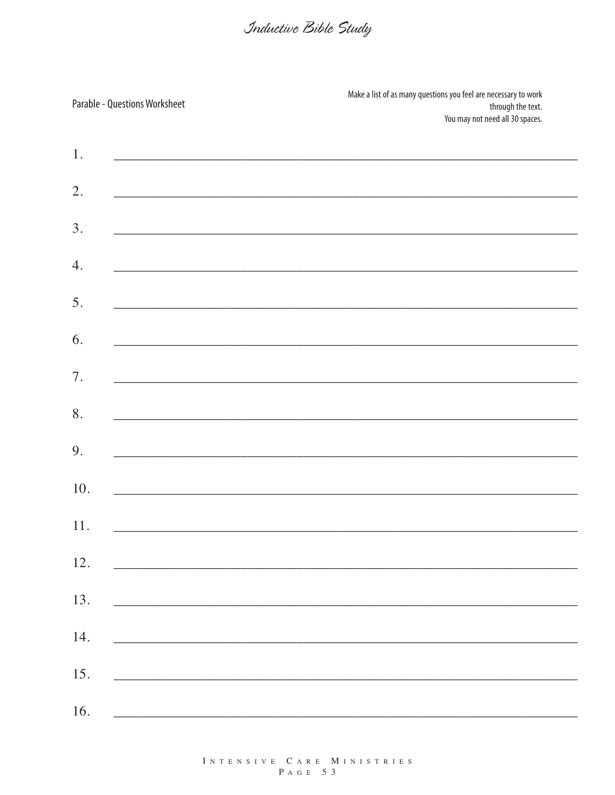|     | <b>Parable - Questions Worksheet</b>                                                                             | Make a list of as many questions you feel are necessary to work<br>through the text.<br>You may not need all 30 spaces. |
|-----|------------------------------------------------------------------------------------------------------------------|-------------------------------------------------------------------------------------------------------------------------|
| 1.  |                                                                                                                  |                                                                                                                         |
| 2.  | <u> 1989 - Johann Stoff, fransk politiker (d. 1989)</u>                                                          |                                                                                                                         |
| 3.  | and the control of the control of the control of the control of the control of the control of the control of the |                                                                                                                         |
| 4.  |                                                                                                                  |                                                                                                                         |
| 5.  |                                                                                                                  |                                                                                                                         |
| 6.  |                                                                                                                  | <u> 1989 - Johann Harry Harry Harry Harry Harry Harry Harry Harry Harry Harry Harry Harry Harry Harry Harry Harry</u>   |
| 7.  | the control of the control of the control of the control of the control of the control of                        |                                                                                                                         |
| 8.  |                                                                                                                  | ,我们也不会有什么。""我们的人,我们也不会有什么?""我们的人,我们也不会有什么?""我们的人,我们也不会有什么?""我们的人,我们也不会有什么?""我们的人                                        |
| 9.  |                                                                                                                  |                                                                                                                         |
| 10. |                                                                                                                  |                                                                                                                         |
| 11. | and the state of the state of the state of the state of the state of the state of the state of the state of the  |                                                                                                                         |
| 12. |                                                                                                                  |                                                                                                                         |
| 13. |                                                                                                                  |                                                                                                                         |
| 14. |                                                                                                                  | <u> 1989 - Jan Barnett, fransk politiker (d. 1989)</u>                                                                  |
| 15. |                                                                                                                  |                                                                                                                         |
| 16. | <u> 1980 - Jan Barnett, fransk politiker (d. 1980)</u>                                                           |                                                                                                                         |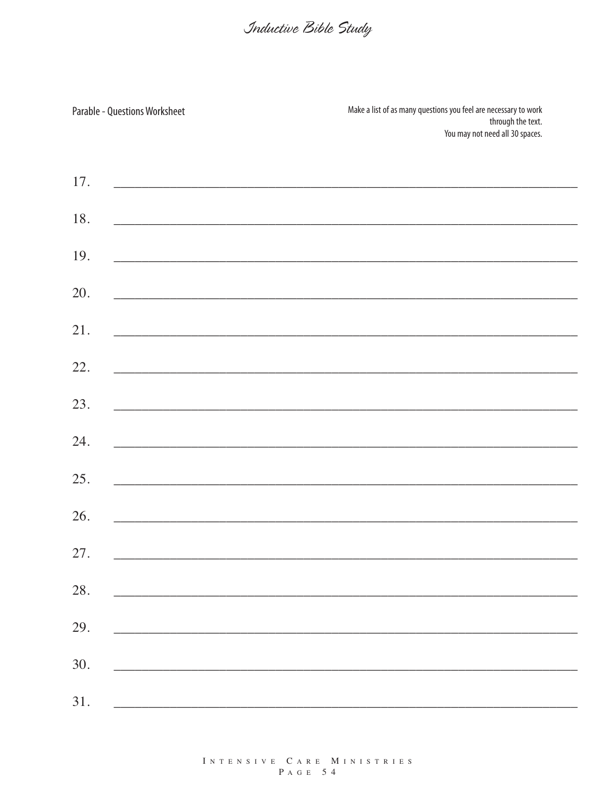| <b>Parable - Questions Worksheet</b> | Make a list of as many questions you feel are necessary to work<br>through the text.<br>You may not need all 30 spaces. |
|--------------------------------------|-------------------------------------------------------------------------------------------------------------------------|
| 17.                                  |                                                                                                                         |
| 18.                                  |                                                                                                                         |
| 19.                                  |                                                                                                                         |
| 20.                                  |                                                                                                                         |
| 21.                                  |                                                                                                                         |
| 22.                                  |                                                                                                                         |
| 23.                                  |                                                                                                                         |
| 24.                                  |                                                                                                                         |
| 25.                                  |                                                                                                                         |
| 26.                                  |                                                                                                                         |
| 27.                                  |                                                                                                                         |
| 28.                                  |                                                                                                                         |
| 29.                                  |                                                                                                                         |
| 30.                                  |                                                                                                                         |
| 31.                                  |                                                                                                                         |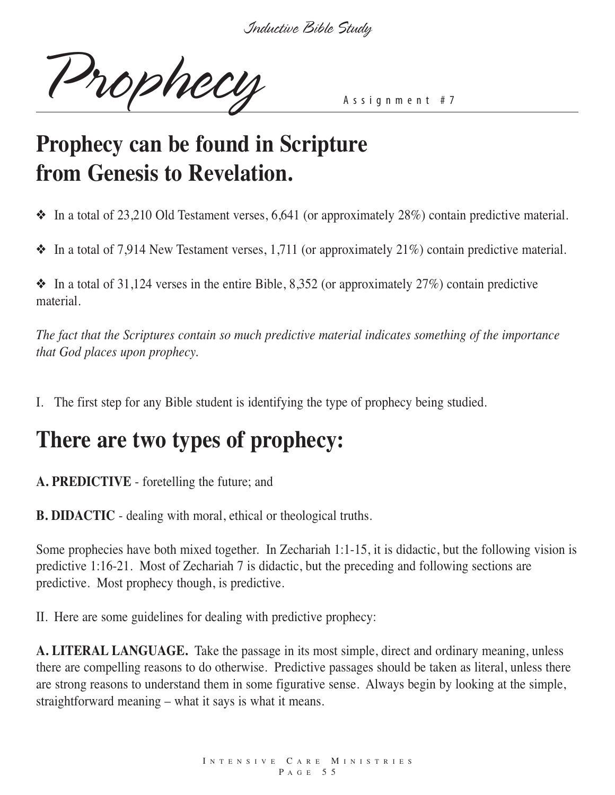Prophecy Assignment #7

## **Prophecy can be found in Scripture from Genesis to Revelation.**

❖ In a total of 23,210 Old Testament verses, 6,641 (or approximately 28%) contain predictive material.

 $\triangleq$  In a total of 7,914 New Testament verses, 1,711 (or approximately 21%) contain predictive material.

 $\bullet$  In a total of 31,124 verses in the entire Bible, 8,352 (or approximately 27%) contain predictive material.

*The fact that the Scriptures contain so much predictive material indicates something of the importance that God places upon prophecy.*

I. The first step for any Bible student is identifying the type of prophecy being studied.

## **There are two types of prophecy:**

**A. PREDICTIVE** - foretelling the future; and

**B. DIDACTIC** - dealing with moral, ethical or theological truths.

Some prophecies have both mixed together. In Zechariah 1:1-15, it is didactic, but the following vision is predictive 1:16-21. Most of Zechariah 7 is didactic, but the preceding and following sections are predictive. Most prophecy though, is predictive.

II. Here are some guidelines for dealing with predictive prophecy:

**A. LITERAL LANGUAGE.** Take the passage in its most simple, direct and ordinary meaning, unless there are compelling reasons to do otherwise. Predictive passages should be taken as literal, unless there are strong reasons to understand them in some figurative sense. Always begin by looking at the simple, straightforward meaning – what it says is what it means.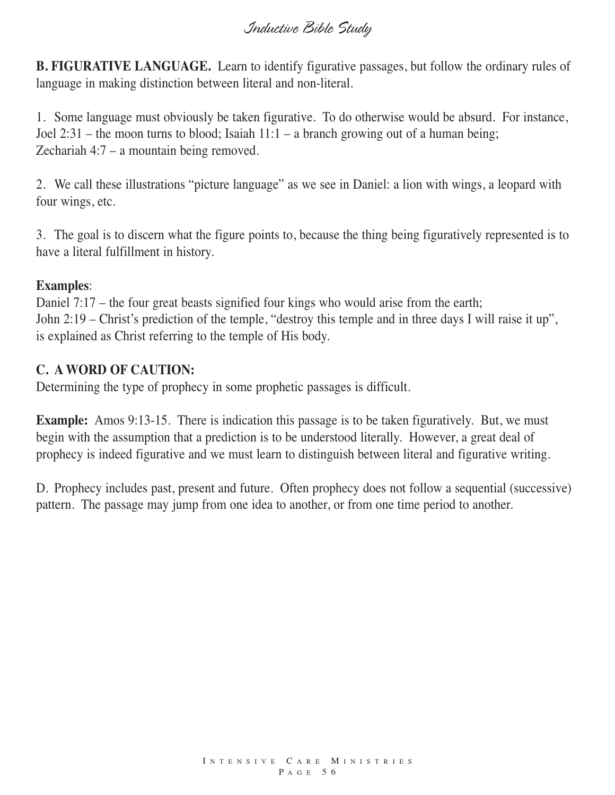**B. FIGURATIVE LANGUAGE.** Learn to identify figurative passages, but follow the ordinary rules of language in making distinction between literal and non-literal.

1. Some language must obviously be taken figurative. To do otherwise would be absurd. For instance, Joel 2:31 – the moon turns to blood; Isaiah 11:1 – a branch growing out of a human being; Zechariah 4:7 – a mountain being removed.

2. We call these illustrations "picture language" as we see in Daniel: a lion with wings, a leopard with four wings, etc.

3. The goal is to discern what the figure points to, because the thing being figuratively represented is to have a literal fulfillment in history.

#### **Examples**:

Daniel 7:17 – the four great beasts signified four kings who would arise from the earth; John 2:19 – Christ's prediction of the temple, "destroy this temple and in three days I will raise it up", is explained as Christ referring to the temple of His body.

#### **C. A WORD OF CAUTION:**

Determining the type of prophecy in some prophetic passages is difficult.

**Example:** Amos 9:13-15. There is indication this passage is to be taken figuratively. But, we must begin with the assumption that a prediction is to be understood literally. However, a great deal of prophecy is indeed figurative and we must learn to distinguish between literal and figurative writing.

D. Prophecy includes past, present and future. Often prophecy does not follow a sequential (successive) pattern. The passage may jump from one idea to another, or from one time period to another.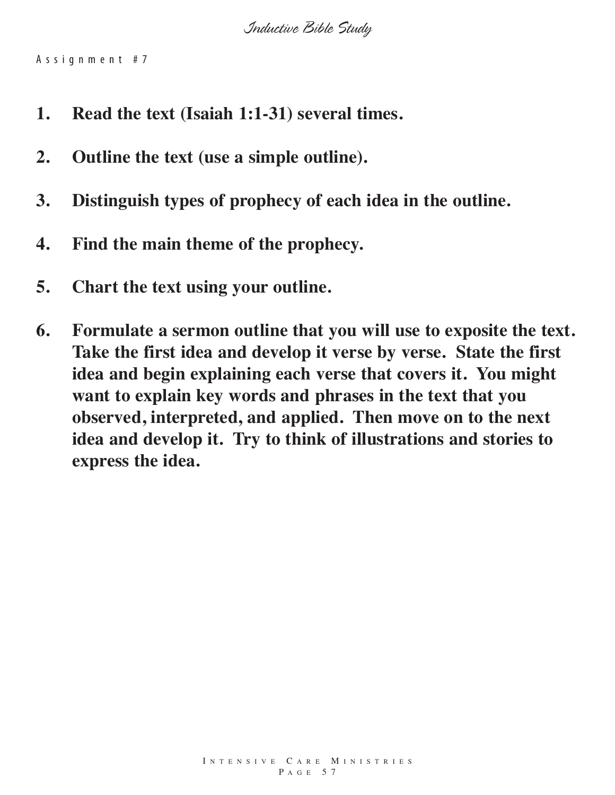A s s i g n m e n t # 7

- **1. Read the text (Isaiah 1:1-31) several times.**
- **2. Outline the text (use a simple outline).**
- **3. Distinguish types of prophecy of each idea in the outline.**
- **4. Find the main theme of the prophecy.**
- **5. Chart the text using your outline.**
- **6. Formulate a sermon outline that you will use to exposite the text. Take the first idea and develop it verse by verse. State the first idea and begin explaining each verse that covers it. You might want to explain key words and phrases in the text that you observed, interpreted, and applied. Then move on to the next idea and develop it. Try to think of illustrations and stories to express the idea.**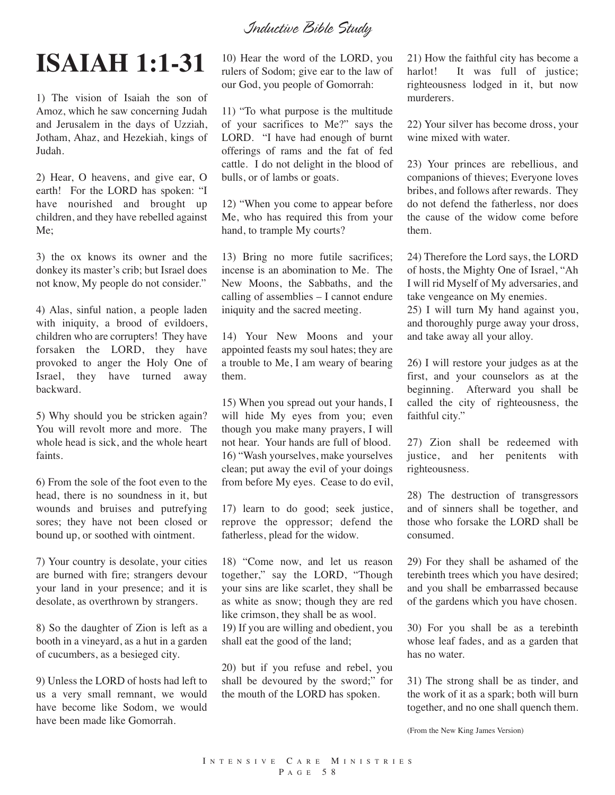## **ISAIAH 1:1-31**

1) The vision of Isaiah the son of Amoz, which he saw concerning Judah and Jerusalem in the days of Uzziah, Jotham, Ahaz, and Hezekiah, kings of Judah.

2) Hear, O heavens, and give ear, O earth! For the LORD has spoken: "I have nourished and brought up children, and they have rebelled against Me;

3) the ox knows its owner and the donkey its master's crib; but Israel does not know, My people do not consider."

4) Alas, sinful nation, a people laden with iniquity, a brood of evildoers, children who are corrupters! They have forsaken the LORD, they have provoked to anger the Holy One of Israel, they have turned away backward.

5) Why should you be stricken again? You will revolt more and more. The whole head is sick, and the whole heart faints.

6) From the sole of the foot even to the head, there is no soundness in it, but wounds and bruises and putrefying sores; they have not been closed or bound up, or soothed with ointment.

7) Your country is desolate, your cities are burned with fire; strangers devour your land in your presence; and it is desolate, as overthrown by strangers.

8) So the daughter of Zion is left as a booth in a vineyard, as a hut in a garden of cucumbers, as a besieged city.

9) Unless the LORD of hosts had left to us a very small remnant, we would have become like Sodom, we would have been made like Gomorrah.

10) Hear the word of the LORD, you rulers of Sodom; give ear to the law of our God, you people of Gomorrah:

11) "To what purpose is the multitude of your sacrifices to Me?" says the LORD. "I have had enough of burnt offerings of rams and the fat of fed cattle. I do not delight in the blood of bulls, or of lambs or goats.

12) "When you come to appear before Me, who has required this from your hand, to trample My courts?

13) Bring no more futile sacrifices; incense is an abomination to Me. The New Moons, the Sabbaths, and the calling of assemblies – I cannot endure iniquity and the sacred meeting.

14) Your New Moons and your appointed feasts my soul hates; they are a trouble to Me, I am weary of bearing them.

15) When you spread out your hands, I will hide My eyes from you; even though you make many prayers, I will not hear. Your hands are full of blood. 16) "Wash yourselves, make yourselves clean; put away the evil of your doings from before My eyes. Cease to do evil,

17) learn to do good; seek justice, reprove the oppressor; defend the fatherless, plead for the widow.

18) "Come now, and let us reason together," say the LORD, "Though your sins are like scarlet, they shall be as white as snow; though they are red like crimson, they shall be as wool. 19) If you are willing and obedient, you shall eat the good of the land;

20) but if you refuse and rebel, you shall be devoured by the sword;" for the mouth of the LORD has spoken.

21) How the faithful city has become a harlot! It was full of justice; righteousness lodged in it, but now murderers.

22) Your silver has become dross, your wine mixed with water.

23) Your princes are rebellious, and companions of thieves; Everyone loves bribes, and follows after rewards. They do not defend the fatherless, nor does the cause of the widow come before them.

24) Therefore the Lord says, the LORD of hosts, the Mighty One of Israel, "Ah I will rid Myself of My adversaries, and take vengeance on My enemies.

25) I will turn My hand against you, and thoroughly purge away your dross, and take away all your alloy.

26) I will restore your judges as at the first, and your counselors as at the beginning. Afterward you shall be called the city of righteousness, the faithful city."

27) Zion shall be redeemed with justice, and her penitents with righteousness.

28) The destruction of transgressors and of sinners shall be together, and those who forsake the LORD shall be consumed.

29) For they shall be ashamed of the terebinth trees which you have desired; and you shall be embarrassed because of the gardens which you have chosen.

30) For you shall be as a terebinth whose leaf fades, and as a garden that has no water.

31) The strong shall be as tinder, and the work of it as a spark; both will burn together, and no one shall quench them.

(From the New King James Version)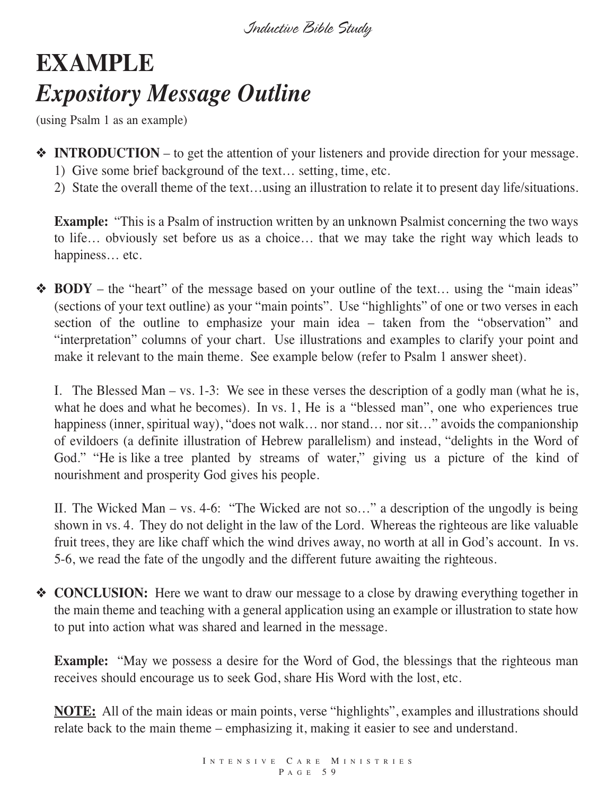## **EXAMPLE** *Expository Message Outline*

(using Psalm 1 as an example)

- ❖ **INTRODUCTION** to get the attention of your listeners and provide direction for your message.
	- 1) Give some brief background of the text… setting, time, etc.
	- 2) State the overall theme of the text…using an illustration to relate it to present day life/situations.

**Example:** "This is a Psalm of instruction written by an unknown Psalmist concerning the two ways to life… obviously set before us as a choice… that we may take the right way which leads to happiness… etc.

❖ **BODY** – the "heart" of the message based on your outline of the text… using the "main ideas" (sections of your text outline) as your "main points". Use "highlights" of one or two verses in each section of the outline to emphasize your main idea – taken from the "observation" and "interpretation" columns of your chart. Use illustrations and examples to clarify your point and make it relevant to the main theme. See example below (refer to Psalm 1 answer sheet).

I. The Blessed Man – vs. 1-3: We see in these verses the description of a godly man (what he is, what he does and what he becomes). In vs. 1, He is a "blessed man", one who experiences true happiness (inner, spiritual way), "does not walk... nor stand... nor sit..." avoids the companionship of evildoers (a definite illustration of Hebrew parallelism) and instead, "delights in the Word of God." "He is like a tree planted by streams of water," giving us a picture of the kind of nourishment and prosperity God gives his people.

II. The Wicked Man – vs. 4-6: "The Wicked are not so…" a description of the ungodly is being shown in vs. 4. They do not delight in the law of the Lord. Whereas the righteous are like valuable fruit trees, they are like chaff which the wind drives away, no worth at all in God's account. In vs. 5-6, we read the fate of the ungodly and the different future awaiting the righteous.

❖ **CONCLUSION:** Here we want to draw our message to a close by drawing everything together in the main theme and teaching with a general application using an example or illustration to state how to put into action what was shared and learned in the message.

**Example:** "May we possess a desire for the Word of God, the blessings that the righteous man receives should encourage us to seek God, share His Word with the lost, etc.

**NOTE:** All of the main ideas or main points, verse "highlights", examples and illustrations should relate back to the main theme – emphasizing it, making it easier to see and understand.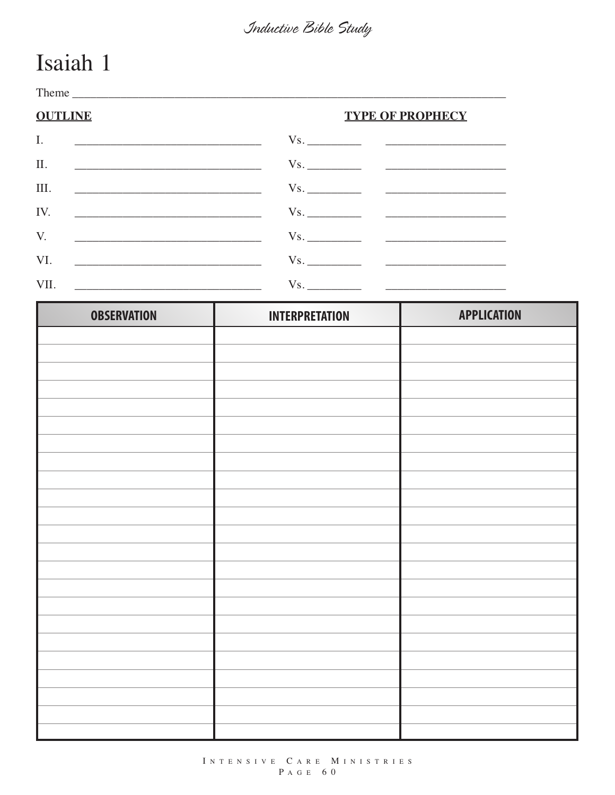## Isaiah 1

Theme has a series of the series of the series of the series of the series of the series of the series of the series of the series of the series of the series of the series of the series of the series of the series of the **OUTLINE TYPE OF PROPHECY**  $Vs.$  $\overline{I}$ .  $Vs.$  $II.$ III.  $Vs.$ <u> 2008 - Jan James James Barnett, amerikansk politik (d. 1878)</u> <u> 1989 - Johann Harry Harry Harry Harry Harry Harry Harry Harry Harry Harry Harry Harry Harry Harry Harry Harry Harry Harry Harry Harry Harry Harry Harry Harry Harry Harry Harry Harry Harry Harry Harry Harry Harry Harry Ha</u> IV.  $Vs.$  $V_{\cdot}$  $Vs.$ <u> 1989 - Johann John Harry Hermann (f. 1989)</u> VI.  $Vs.$ <u> 1989 - Johann Harry Harry Harry Harry Harry Harry Harry Harry Harry Harry Harry Harry Harry Harry Harry Harry Harry Harry Harry Harry Harry Harry Harry Harry Harry Harry Harry Harry Harry Harry Harry Harry Harry Harry Ha</u> VII.  $Vs.$ 

| <b>OBSERVATION</b> | <b>INTERPRETATION</b> | <b>APPLICATION</b> |
|--------------------|-----------------------|--------------------|
|                    |                       |                    |
|                    |                       |                    |
|                    |                       |                    |
|                    |                       |                    |
|                    |                       |                    |
|                    |                       |                    |
|                    |                       |                    |
|                    |                       |                    |
|                    |                       |                    |
|                    |                       |                    |
|                    |                       |                    |
|                    |                       |                    |
|                    |                       |                    |
|                    |                       |                    |
|                    |                       |                    |
|                    |                       |                    |
|                    |                       |                    |
|                    |                       |                    |
|                    |                       |                    |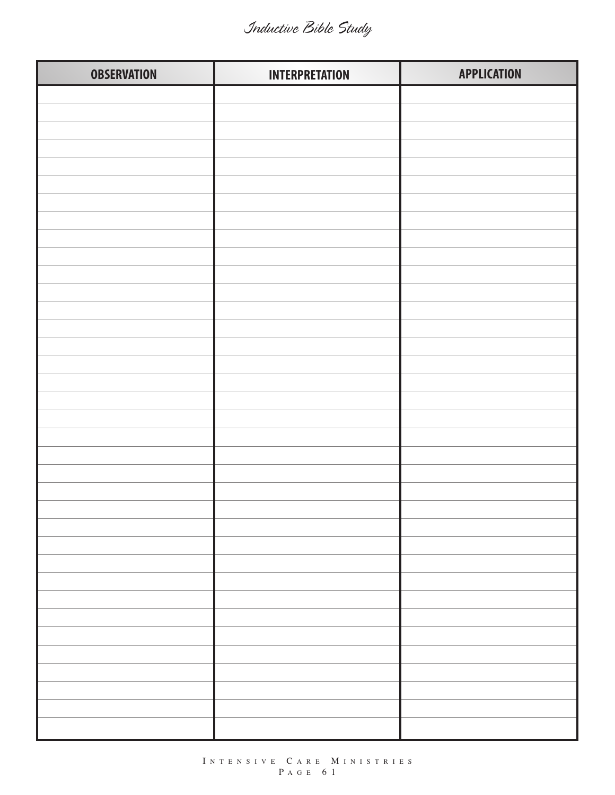| <b>OBSERVATION</b> | <b>INTERPRETATION</b> | <b>APPLICATION</b> |
|--------------------|-----------------------|--------------------|
|                    |                       |                    |
|                    |                       |                    |
|                    |                       |                    |
|                    |                       |                    |
|                    |                       |                    |
|                    |                       |                    |
|                    |                       |                    |
|                    |                       |                    |
|                    |                       |                    |
|                    |                       |                    |
|                    |                       |                    |
|                    |                       |                    |
|                    |                       |                    |
|                    |                       |                    |
|                    |                       |                    |
|                    |                       |                    |
|                    |                       |                    |
|                    |                       |                    |
|                    |                       |                    |
|                    |                       |                    |
|                    |                       |                    |
|                    |                       |                    |
|                    |                       |                    |
|                    |                       |                    |
|                    |                       |                    |
|                    |                       |                    |
|                    |                       |                    |
|                    |                       |                    |
|                    |                       |                    |
|                    |                       |                    |
|                    |                       |                    |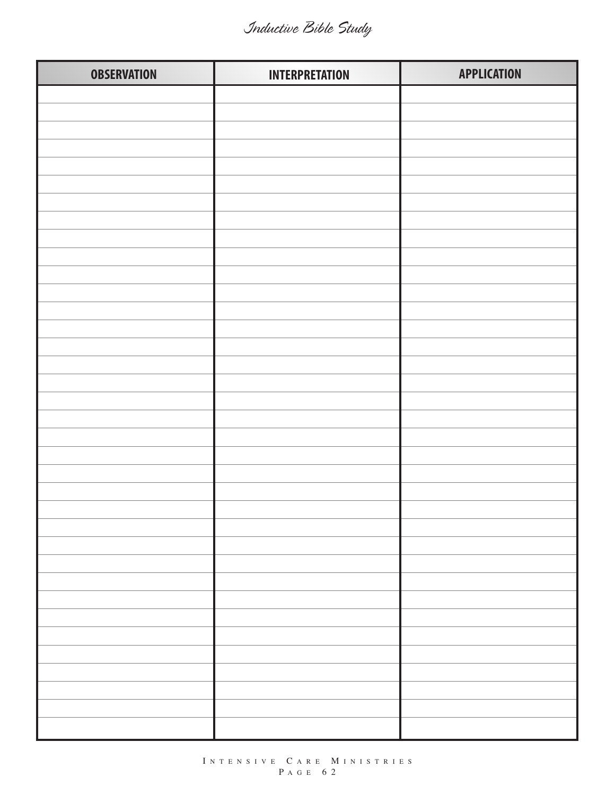| <b>OBSERVATION</b> | <b>INTERPRETATION</b> | <b>APPLICATION</b> |
|--------------------|-----------------------|--------------------|
|                    |                       |                    |
|                    |                       |                    |
|                    |                       |                    |
|                    |                       |                    |
|                    |                       |                    |
|                    |                       |                    |
|                    |                       |                    |
|                    |                       |                    |
|                    |                       |                    |
|                    |                       |                    |
|                    |                       |                    |
|                    |                       |                    |
|                    |                       |                    |
|                    |                       |                    |
|                    |                       |                    |
|                    |                       |                    |
|                    |                       |                    |
|                    |                       |                    |
|                    |                       |                    |
|                    |                       |                    |
|                    |                       |                    |
|                    |                       |                    |
|                    |                       |                    |
|                    |                       |                    |
|                    |                       |                    |
|                    |                       |                    |
|                    |                       |                    |
|                    |                       |                    |
|                    |                       |                    |
|                    |                       |                    |
|                    |                       |                    |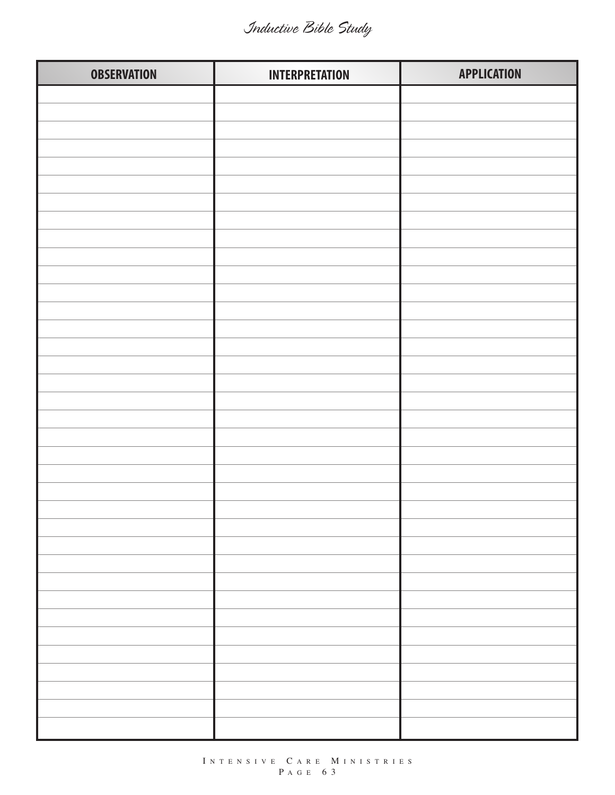| <b>OBSERVATION</b> | <b>INTERPRETATION</b> | <b>APPLICATION</b> |
|--------------------|-----------------------|--------------------|
|                    |                       |                    |
|                    |                       |                    |
|                    |                       |                    |
|                    |                       |                    |
|                    |                       |                    |
|                    |                       |                    |
|                    |                       |                    |
|                    |                       |                    |
|                    |                       |                    |
|                    |                       |                    |
|                    |                       |                    |
|                    |                       |                    |
|                    |                       |                    |
|                    |                       |                    |
|                    |                       |                    |
|                    |                       |                    |
|                    |                       |                    |
|                    |                       |                    |
|                    |                       |                    |
|                    |                       |                    |
|                    |                       |                    |
|                    |                       |                    |
|                    |                       |                    |
|                    |                       |                    |
|                    |                       |                    |
|                    |                       |                    |
|                    |                       |                    |
|                    |                       |                    |
|                    |                       |                    |
|                    |                       |                    |
|                    |                       |                    |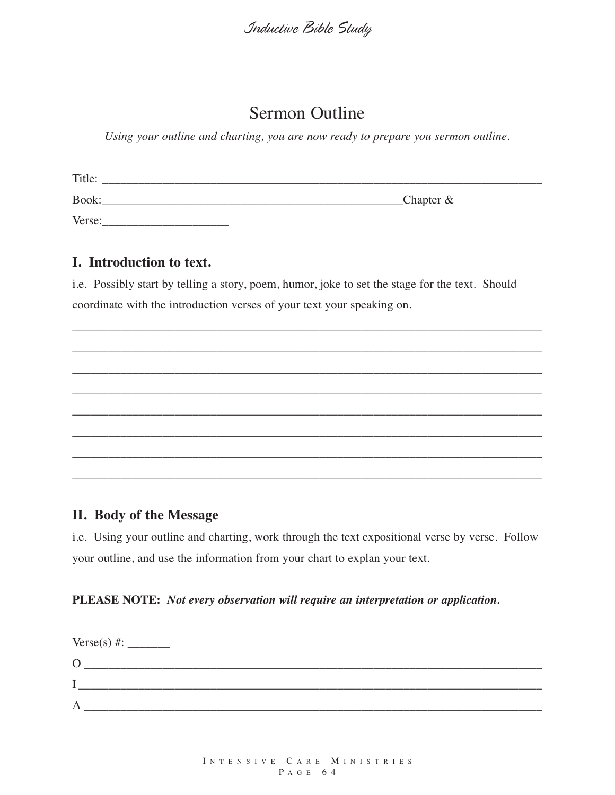### Sermon Outline

*Using your outline and charting, you are now ready to prepare you sermon outline.*

| Title: |                       |
|--------|-----------------------|
| Book:  | $\mathsf{Chapter} \&$ |
| Verse: |                       |

#### **I. Introduction to text.**

i.e. Possibly start by telling a story, poem, humor, joke to set the stage for the text. Should coordinate with the introduction verses of your text your speaking on.

\_\_\_\_\_\_\_\_\_\_\_\_\_\_\_\_\_\_\_\_\_\_\_\_\_\_\_\_\_\_\_\_\_\_\_\_\_\_\_\_\_\_\_\_\_\_\_\_\_\_\_\_\_\_\_\_\_\_\_\_\_\_\_\_\_\_\_\_\_\_\_\_\_\_\_\_\_\_

\_\_\_\_\_\_\_\_\_\_\_\_\_\_\_\_\_\_\_\_\_\_\_\_\_\_\_\_\_\_\_\_\_\_\_\_\_\_\_\_\_\_\_\_\_\_\_\_\_\_\_\_\_\_\_\_\_\_\_\_\_\_\_\_\_\_\_\_\_\_\_\_\_\_\_\_\_\_

\_\_\_\_\_\_\_\_\_\_\_\_\_\_\_\_\_\_\_\_\_\_\_\_\_\_\_\_\_\_\_\_\_\_\_\_\_\_\_\_\_\_\_\_\_\_\_\_\_\_\_\_\_\_\_\_\_\_\_\_\_\_\_\_\_\_\_\_\_\_\_\_\_\_\_\_\_\_

\_\_\_\_\_\_\_\_\_\_\_\_\_\_\_\_\_\_\_\_\_\_\_\_\_\_\_\_\_\_\_\_\_\_\_\_\_\_\_\_\_\_\_\_\_\_\_\_\_\_\_\_\_\_\_\_\_\_\_\_\_\_\_\_\_\_\_\_\_\_\_\_\_\_\_\_\_\_

\_\_\_\_\_\_\_\_\_\_\_\_\_\_\_\_\_\_\_\_\_\_\_\_\_\_\_\_\_\_\_\_\_\_\_\_\_\_\_\_\_\_\_\_\_\_\_\_\_\_\_\_\_\_\_\_\_\_\_\_\_\_\_\_\_\_\_\_\_\_\_\_\_\_\_\_\_\_

\_\_\_\_\_\_\_\_\_\_\_\_\_\_\_\_\_\_\_\_\_\_\_\_\_\_\_\_\_\_\_\_\_\_\_\_\_\_\_\_\_\_\_\_\_\_\_\_\_\_\_\_\_\_\_\_\_\_\_\_\_\_\_\_\_\_\_\_\_\_\_\_\_\_\_\_\_\_

\_\_\_\_\_\_\_\_\_\_\_\_\_\_\_\_\_\_\_\_\_\_\_\_\_\_\_\_\_\_\_\_\_\_\_\_\_\_\_\_\_\_\_\_\_\_\_\_\_\_\_\_\_\_\_\_\_\_\_\_\_\_\_\_\_\_\_\_\_\_\_\_\_\_\_\_\_\_

\_\_\_\_\_\_\_\_\_\_\_\_\_\_\_\_\_\_\_\_\_\_\_\_\_\_\_\_\_\_\_\_\_\_\_\_\_\_\_\_\_\_\_\_\_\_\_\_\_\_\_\_\_\_\_\_\_\_\_\_\_\_\_\_\_\_\_\_\_\_\_\_\_\_\_\_\_\_

#### **II. Body of the Message**

i.e. Using your outline and charting, work through the text expositional verse by verse. Follow your outline, and use the information from your chart to explan your text.

#### **PLEASE NOTE:** *Not every observation will require an interpretation or application.*

| $\mathcal{O}$ |  |  |
|---------------|--|--|
|               |  |  |
| A             |  |  |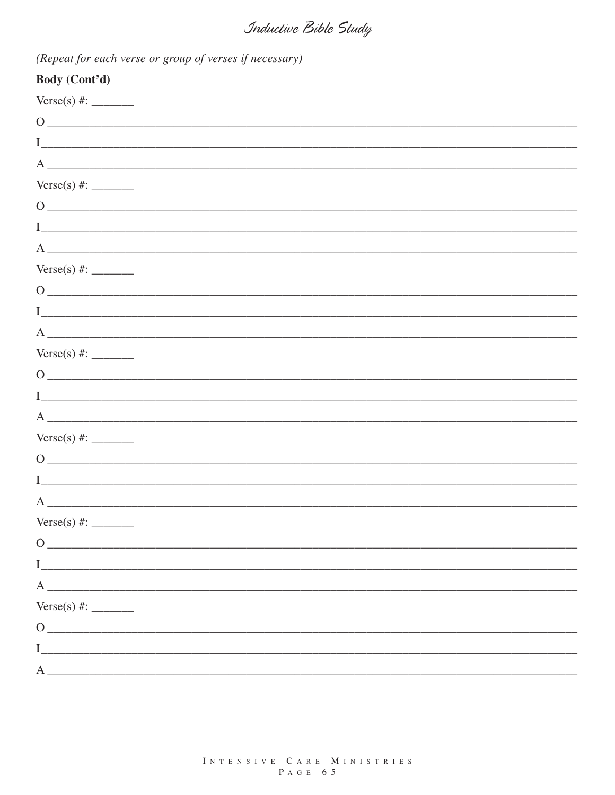| $\frac{1}{2}$ . The state of the state $\frac{1}{2}$ , the state $\frac{1}{2}$ is the state of $\frac{1}{2}$ |
|--------------------------------------------------------------------------------------------------------------|
| Body (Cont'd)                                                                                                |
|                                                                                                              |
| $\mathbf{\Omega}$                                                                                            |
|                                                                                                              |
| A<br><u> 1989 - Jan James James Barbara, martin d</u>                                                        |
|                                                                                                              |
|                                                                                                              |
|                                                                                                              |

(Repeat for each verse or group of verses if necessary)

| $\begin{picture}(150,10) \put(0,0){\vector(1,0){100}} \put(15,0){\vector(1,0){100}} \put(15,0){\vector(1,0){100}} \put(15,0){\vector(1,0){100}} \put(15,0){\vector(1,0){100}} \put(15,0){\vector(1,0){100}} \put(15,0){\vector(1,0){100}} \put(15,0){\vector(1,0){100}} \put(15,0){\vector(1,0){100}} \put(15,0){\vector(1,0){100}} \put(15,0){\vector(1,0){100}}$ |
|--------------------------------------------------------------------------------------------------------------------------------------------------------------------------------------------------------------------------------------------------------------------------------------------------------------------------------------------------------------------|
|                                                                                                                                                                                                                                                                                                                                                                    |
| $A \fbox{\scriptsize\textsf{}}$                                                                                                                                                                                                                                                                                                                                    |
|                                                                                                                                                                                                                                                                                                                                                                    |
| $0 \overline{\phantom{a}}$                                                                                                                                                                                                                                                                                                                                         |
|                                                                                                                                                                                                                                                                                                                                                                    |
| $\overline{A}$                                                                                                                                                                                                                                                                                                                                                     |
|                                                                                                                                                                                                                                                                                                                                                                    |
| $0 \overline{\phantom{a}}$                                                                                                                                                                                                                                                                                                                                         |
|                                                                                                                                                                                                                                                                                                                                                                    |
| $A \fbox{---}$                                                                                                                                                                                                                                                                                                                                                     |
|                                                                                                                                                                                                                                                                                                                                                                    |
| $\overline{0}$                                                                                                                                                                                                                                                                                                                                                     |
|                                                                                                                                                                                                                                                                                                                                                                    |
| $A \fbox{\scriptsize\textsf{}}$                                                                                                                                                                                                                                                                                                                                    |
|                                                                                                                                                                                                                                                                                                                                                                    |
| $0 \overline{\phantom{a}}$                                                                                                                                                                                                                                                                                                                                         |
|                                                                                                                                                                                                                                                                                                                                                                    |
| $\overline{A}$                                                                                                                                                                                                                                                                                                                                                     |
|                                                                                                                                                                                                                                                                                                                                                                    |
| $\overline{O}$                                                                                                                                                                                                                                                                                                                                                     |
| $\mathbf I$                                                                                                                                                                                                                                                                                                                                                        |
| $A \sim$                                                                                                                                                                                                                                                                                                                                                           |
| Verse(s) #:                                                                                                                                                                                                                                                                                                                                                        |
| $\overline{0}$                                                                                                                                                                                                                                                                                                                                                     |
| $\mathbf I$                                                                                                                                                                                                                                                                                                                                                        |
| $A \quad \qquad$                                                                                                                                                                                                                                                                                                                                                   |
|                                                                                                                                                                                                                                                                                                                                                                    |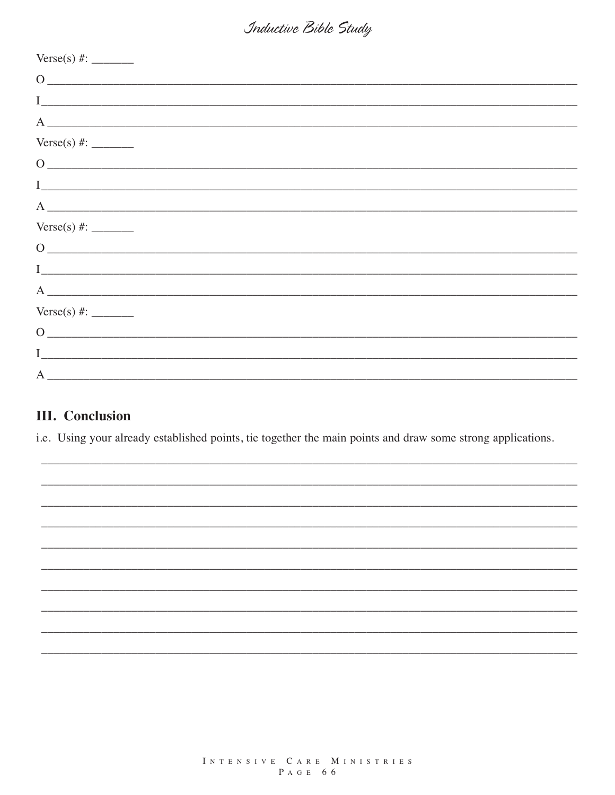| $\begin{picture}(150,10) \put(0,0){\dashbox{0.5}(10,0){ }} \put(15,0){\circle{10}} \put(15,0){\circle{10}} \put(15,0){\circle{10}} \put(15,0){\circle{10}} \put(15,0){\circle{10}} \put(15,0){\circle{10}} \put(15,0){\circle{10}} \put(15,0){\circle{10}} \put(15,0){\circle{10}} \put(15,0){\circle{10}} \put(15,0){\circle{10}} \put(15,0){\circle{10}} \put(15,0){\circle{10}} \put(15$ |
|---------------------------------------------------------------------------------------------------------------------------------------------------------------------------------------------------------------------------------------------------------------------------------------------------------------------------------------------------------------------------------------------|
|                                                                                                                                                                                                                                                                                                                                                                                             |
| $A \fbox{---}$                                                                                                                                                                                                                                                                                                                                                                              |
|                                                                                                                                                                                                                                                                                                                                                                                             |
| $\begin{picture}(150,10) \put(0,0){\vector(1,0){100}} \put(15,0){\vector(1,0){100}} \put(15,0){\vector(1,0){100}} \put(15,0){\vector(1,0){100}} \put(15,0){\vector(1,0){100}} \put(15,0){\vector(1,0){100}} \put(15,0){\vector(1,0){100}} \put(15,0){\vector(1,0){100}} \put(15,0){\vector(1,0){100}} \put(15,0){\vector(1,0){100}} \put(15,0){\vector(1,0){100}}$                          |
|                                                                                                                                                                                                                                                                                                                                                                                             |
| $A \fbox{\scriptsize\hspace{15em}}$                                                                                                                                                                                                                                                                                                                                                         |
|                                                                                                                                                                                                                                                                                                                                                                                             |
| $\begin{picture}(150,10) \put(0,0){\dashbox{0.5}(10,0){ }} \put(15,0){\circle{10}} \put(15,0){\circle{10}} \put(15,0){\circle{10}} \put(15,0){\circle{10}} \put(15,0){\circle{10}} \put(15,0){\circle{10}} \put(15,0){\circle{10}} \put(15,0){\circle{10}} \put(15,0){\circle{10}} \put(15,0){\circle{10}} \put(15,0){\circle{10}} \put(15,0){\circle{10}} \put(15,0){\circle{10}} \put(15$ |
|                                                                                                                                                                                                                                                                                                                                                                                             |
|                                                                                                                                                                                                                                                                                                                                                                                             |
|                                                                                                                                                                                                                                                                                                                                                                                             |
| $\overline{0}$                                                                                                                                                                                                                                                                                                                                                                              |
|                                                                                                                                                                                                                                                                                                                                                                                             |
| A                                                                                                                                                                                                                                                                                                                                                                                           |

#### **III.** Conclusion

i.e. Using your already established points, tie together the main points and draw some strong applications.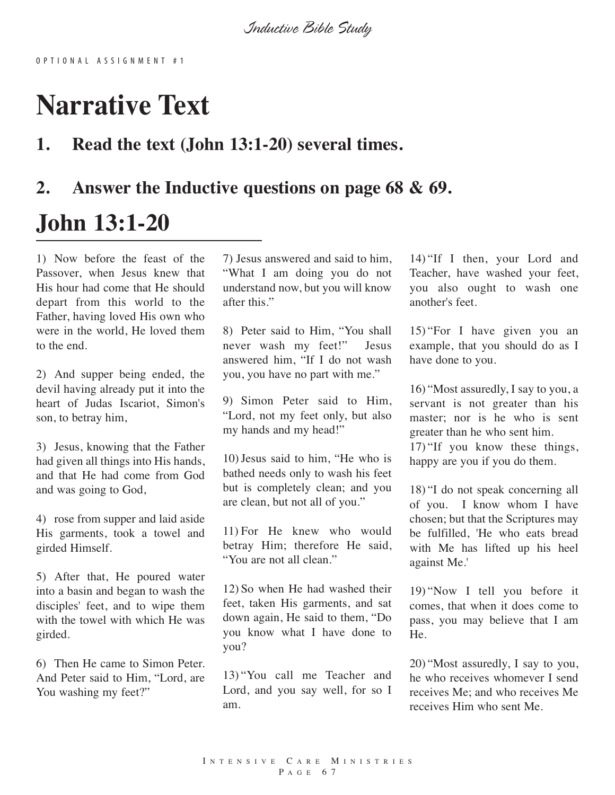## **Narrative Text**

#### **1. Read the text (John 13:1-20) several times.**

## **2. Answer the Inductive questions on page 68 & 69.**

## **John 13:1-20**

1) Now before the feast of the Passover, when Jesus knew that His hour had come that He should depart from this world to the Father, having loved His own who were in the world, He loved them to the end.

2) And supper being ended, the devil having already put it into the heart of Judas Iscariot, Simon's son, to betray him,

3) Jesus, knowing that the Father had given all things into His hands, and that He had come from God and was going to God,

4) rose from supper and laid aside His garments, took a towel and girded Himself.

5) After that, He poured water into a basin and began to wash the disciples' feet, and to wipe them with the towel with which He was girded.

6) Then He came to Simon Peter. And Peter said to Him, "Lord, are You washing my feet?"

7) Jesus answered and said to him, "What I am doing you do not understand now, but you will know after this."

8) Peter said to Him, "You shall never wash my feet!" Jesus answered him, "If I do not wash you, you have no part with me."

9) Simon Peter said to Him, "Lord, not my feet only, but also my hands and my head!"

10)Jesus said to him, "He who is bathed needs only to wash his feet but is completely clean; and you are clean, but not all of you."

11) For He knew who would betray Him; therefore He said, "You are not all clean."

12) So when He had washed their feet, taken His garments, and sat down again, He said to them, "Do you know what I have done to you?

13) "You call me Teacher and Lord, and you say well, for so I am.

14) "If I then, your Lord and Teacher, have washed your feet, you also ought to wash one another's feet.

15) "For I have given you an example, that you should do as I have done to you.

16) "Most assuredly, I say to you, a servant is not greater than his master; nor is he who is sent greater than he who sent him.

17) "If you know these things, happy are you if you do them.

18) "I do not speak concerning all of you. I know whom I have chosen; but that the Scriptures may be fulfilled, 'He who eats bread with Me has lifted up his heel against Me.'

19) "Now I tell you before it comes, that when it does come to pass, you may believe that I am He.

20) "Most assuredly, I say to you, he who receives whomever I send receives Me; and who receives Me receives Him who sent Me.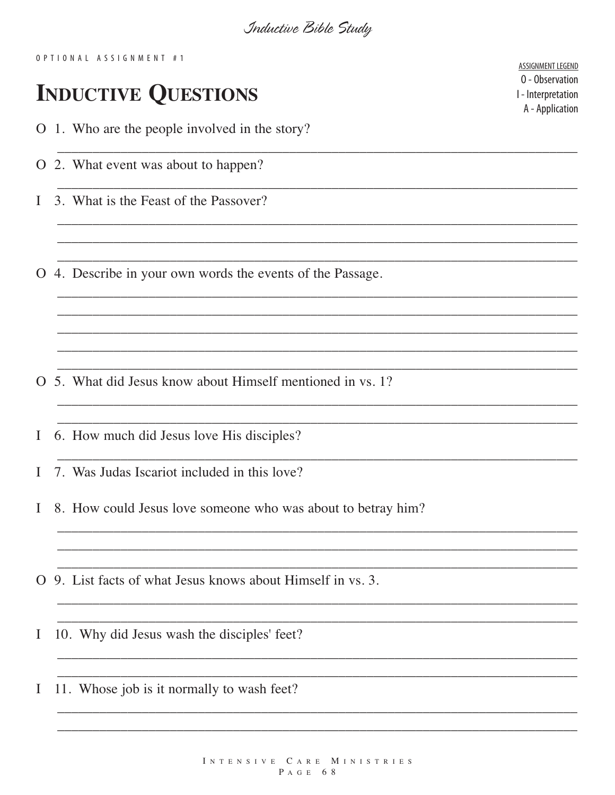OPTIONAL ASSIGNMENT #1

## **INDUCTIVE QUESTIONS**

O 1. Who are the people involved in the story?

- O 2. What event was about to happen?
- 3. What is the Feast of the Passover?  $\mathbf{I}$

O 4. Describe in your own words the events of the Passage.

- O 5. What did Jesus know about Himself mentioned in vs. 1?
- 6. How much did Jesus love His disciples?  $\mathbf I$
- 7. Was Judas Iscariot included in this love?  $\mathbf{I}$
- 8. How could Jesus love someone who was about to betray him?  $\mathbf{I}$
- O 9. List facts of what Jesus knows about Himself in vs. 3.
- 10. Why did Jesus wash the disciples' feet? I
- 11. Whose job is it normally to wash feet? I

ASSIGNMENT LEGEND 0 - Observation I - Interpretation A - Application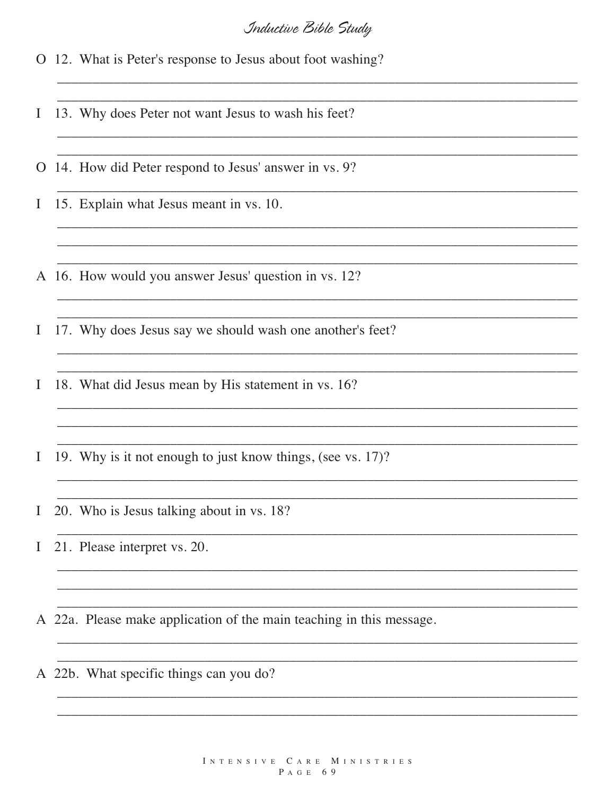O 12. What is Peter's response to Jesus about foot washing?

13. Why does Peter not want Jesus to wash his feet?  $\bf{I}$ 

O 14. How did Peter respond to Jesus' answer in vs. 9?

15. Explain what Jesus meant in vs. 10.  $\bf{I}$ 

A 16. How would you answer Jesus' question in vs. 12?

17. Why does Jesus say we should wash one another's feet?  $\bf{I}$ 

18. What did Jesus mean by His statement in vs. 16? I

19. Why is it not enough to just know things, (see vs. 17)? I

20. Who is Jesus talking about in vs. 18?  $\mathbf{I}$ 

21. Please interpret vs. 20.  $\mathbf{I}$ 

A 22a. Please make application of the main teaching in this message.

A 22b. What specific things can you do?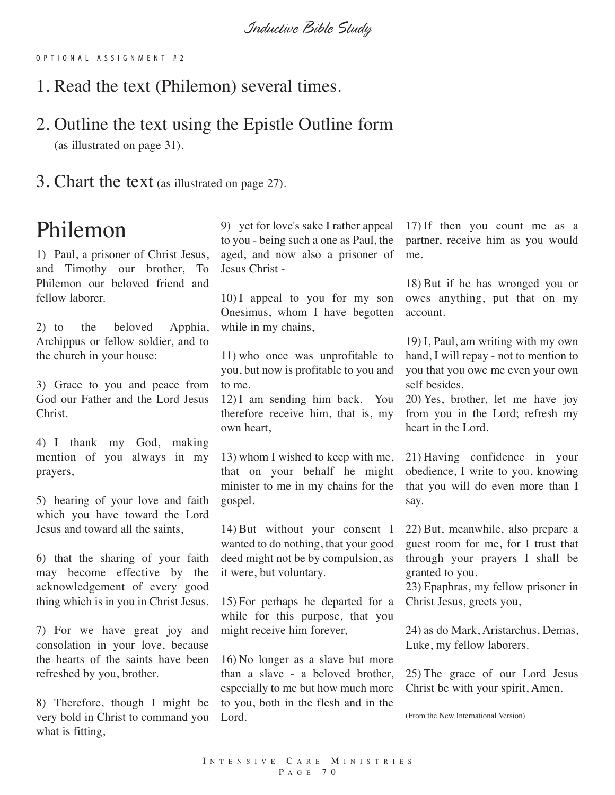O P T I O N A L A S S I G N M E N T # 2

1. Read the text (Philemon) several times.

#### 2. Outline the text using the Epistle Outline form (as illustrated on page 31).

3. Chart the text (as illustrated on page 27).

## Philemon

1) Paul, a prisoner of Christ Jesus, and Timothy our brother, To Philemon our beloved friend and fellow laborer.

2) to the beloved Apphia, Archippus or fellow soldier, and to the church in your house:

3) Grace to you and peace from God our Father and the Lord Jesus Christ.

4) I thank my God, making mention of you always in my prayers,

5) hearing of your love and faith which you have toward the Lord Jesus and toward all the saints,

6) that the sharing of your faith may become effective by the acknowledgement of every good thing which is in you in Christ Jesus.

7) For we have great joy and consolation in your love, because the hearts of the saints have been refreshed by you, brother.

8) Therefore, though I might be very bold in Christ to command you what is fitting,

9) yet for love's sake I rather appeal to you - being such a one as Paul, the aged, and now also a prisoner of Jesus Christ -

10) I appeal to you for my son Onesimus, whom I have begotten while in my chains,

11) who once was unprofitable to you, but now is profitable to you and to me.

12) I am sending him back. You therefore receive him, that is, my own heart,

13) whom I wished to keep with me, that on your behalf he might minister to me in my chains for the gospel.

14) But without your consent I wanted to do nothing, that your good deed might not be by compulsion, as it were, but voluntary.

15) For perhaps he departed for a while for this purpose, that you might receive him forever,

16) No longer as a slave but more than a slave - a beloved brother, especially to me but how much more to you, both in the flesh and in the Lord.

17) If then you count me as a partner, receive him as you would me.

18) But if he has wronged you or owes anything, put that on my account.

19) I, Paul, am writing with my own hand, I will repay - not to mention to you that you owe me even your own self besides.

20) Yes, brother, let me have joy from you in the Lord; refresh my heart in the Lord.

21) Having confidence in your obedience, I write to you, knowing that you will do even more than I say.

22) But, meanwhile, also prepare a guest room for me, for I trust that through your prayers I shall be granted to you.

23) Epaphras, my fellow prisoner in Christ Jesus, greets you,

24) as do Mark, Aristarchus, Demas, Luke, my fellow laborers.

25) The grace of our Lord Jesus Christ be with your spirit, Amen.

(From the New International Version)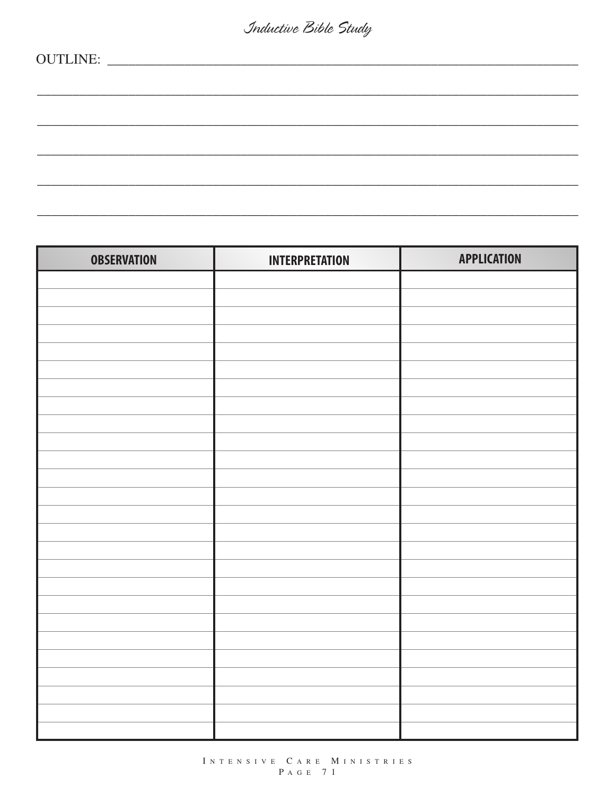| <b>OBSERVATION</b> | <b>INTERPRETATION</b> | <b>APPLICATION</b> |
|--------------------|-----------------------|--------------------|
|                    |                       |                    |
|                    |                       |                    |
|                    |                       |                    |
|                    |                       |                    |
|                    |                       |                    |
|                    |                       |                    |
|                    |                       |                    |
|                    |                       |                    |
|                    |                       |                    |
|                    |                       |                    |
|                    |                       |                    |
|                    |                       |                    |
|                    |                       |                    |
|                    |                       |                    |
|                    |                       |                    |
|                    |                       |                    |
|                    |                       |                    |
|                    |                       |                    |
|                    |                       |                    |
|                    |                       |                    |
|                    |                       |                    |
|                    |                       |                    |
|                    |                       |                    |
|                    |                       |                    |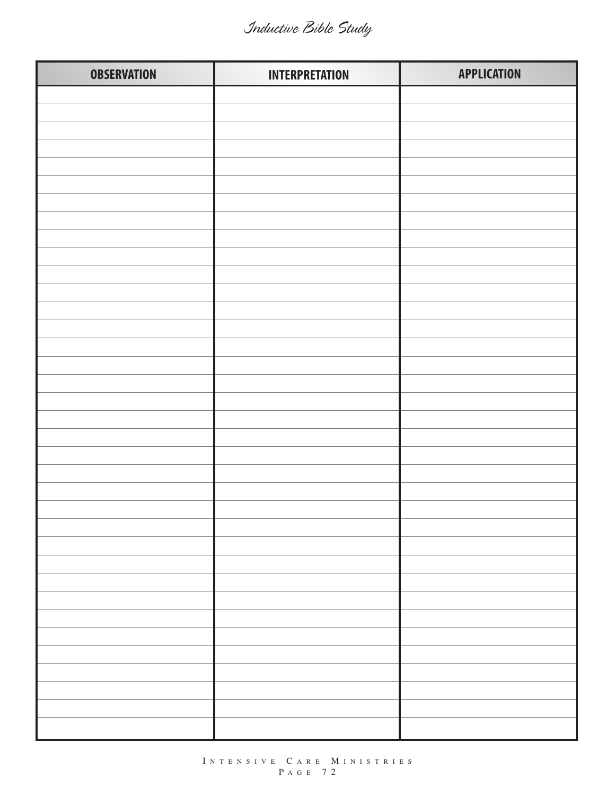| <b>OBSERVATION</b> | <b>INTERPRETATION</b> | <b>APPLICATION</b> |
|--------------------|-----------------------|--------------------|
|                    |                       |                    |
|                    |                       |                    |
|                    |                       |                    |
|                    |                       |                    |
|                    |                       |                    |
|                    |                       |                    |
|                    |                       |                    |
|                    |                       |                    |
|                    |                       |                    |
|                    |                       |                    |
|                    |                       |                    |
|                    |                       |                    |
|                    |                       |                    |
|                    |                       |                    |
|                    |                       |                    |
|                    |                       |                    |
|                    |                       |                    |
|                    |                       |                    |
|                    |                       |                    |
|                    |                       |                    |
|                    |                       |                    |
|                    |                       |                    |
|                    |                       |                    |
|                    |                       |                    |
|                    |                       |                    |
|                    |                       |                    |
|                    |                       |                    |
|                    |                       |                    |
|                    |                       |                    |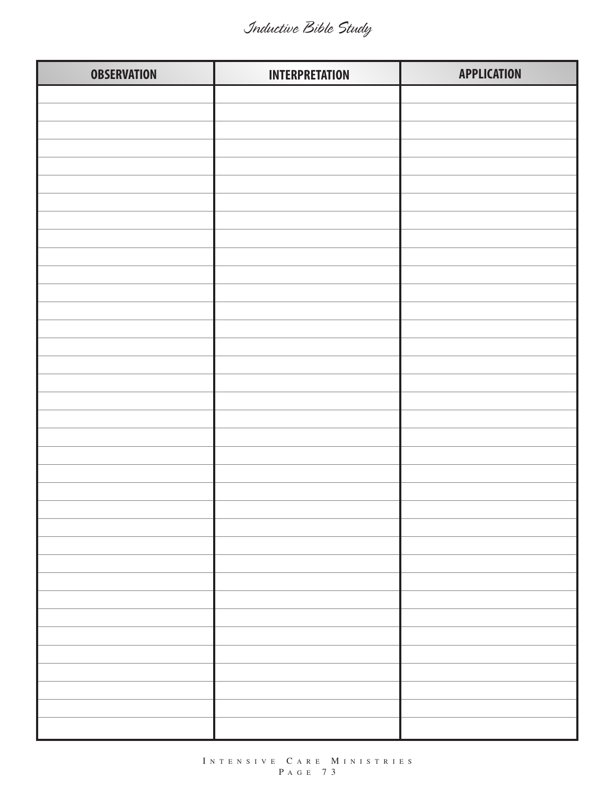| <b>OBSERVATION</b> | <b>INTERPRETATION</b> | <b>APPLICATION</b> |
|--------------------|-----------------------|--------------------|
|                    |                       |                    |
|                    |                       |                    |
|                    |                       |                    |
|                    |                       |                    |
|                    |                       |                    |
|                    |                       |                    |
|                    |                       |                    |
|                    |                       |                    |
|                    |                       |                    |
|                    |                       |                    |
|                    |                       |                    |
|                    |                       |                    |
|                    |                       |                    |
|                    |                       |                    |
|                    |                       |                    |
|                    |                       |                    |
|                    |                       |                    |
|                    |                       |                    |
|                    |                       |                    |
|                    |                       |                    |
|                    |                       |                    |
|                    |                       |                    |
|                    |                       |                    |
|                    |                       |                    |
|                    |                       |                    |
|                    |                       |                    |
|                    |                       |                    |
|                    |                       |                    |
|                    |                       |                    |
|                    |                       |                    |
|                    |                       |                    |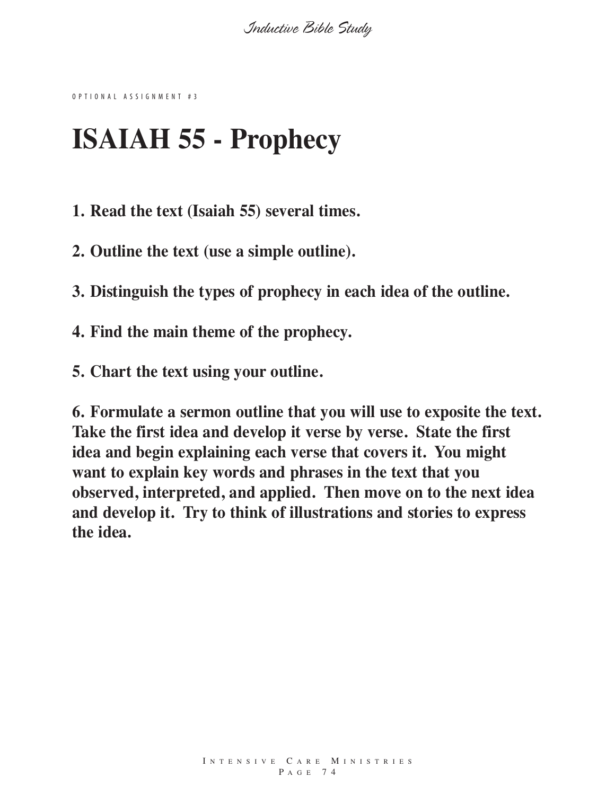O P T I O N A L A S S I G N M E N T # 3

# **ISAIAH 55 - Prophecy**

**1. Read the text (Isaiah 55) several times.**

**2. Outline the text (use a simple outline).**

**3. Distinguish the types of prophecy in each idea of the outline.**

**4. Find the main theme of the prophecy.**

**5. Chart the text using your outline.**

**6. Formulate a sermon outline that you will use to exposite the text. Take the first idea and develop it verse by verse. State the first idea and begin explaining each verse that covers it. You might want to explain key words and phrases in the text that you observed, interpreted, and applied. Then move on to the next idea and develop it. Try to think of illustrations and stories to express the idea.**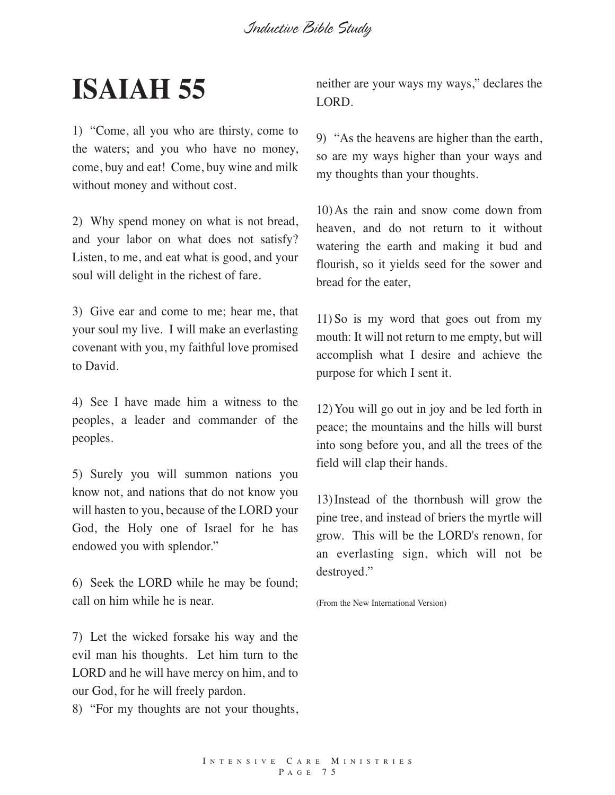# **ISAIAH 55**

1) "Come, all you who are thirsty, come to the waters; and you who have no money, come, buy and eat! Come, buy wine and milk without money and without cost.

2) Why spend money on what is not bread, and your labor on what does not satisfy? Listen, to me, and eat what is good, and your soul will delight in the richest of fare.

3) Give ear and come to me; hear me, that your soul my live. I will make an everlasting covenant with you, my faithful love promised to David.

4) See I have made him a witness to the peoples, a leader and commander of the peoples.

5) Surely you will summon nations you know not, and nations that do not know you will hasten to you, because of the LORD your God, the Holy one of Israel for he has endowed you with splendor."

6) Seek the LORD while he may be found; call on him while he is near.

7) Let the wicked forsake his way and the evil man his thoughts. Let him turn to the LORD and he will have mercy on him, and to our God, for he will freely pardon.

8) "For my thoughts are not your thoughts,

neither are your ways my ways," declares the LORD.

9) "As the heavens are higher than the earth, so are my ways higher than your ways and my thoughts than your thoughts.

10)As the rain and snow come down from heaven, and do not return to it without watering the earth and making it bud and flourish, so it yields seed for the sower and bread for the eater,

11) So is my word that goes out from my mouth: It will not return to me empty, but will accomplish what I desire and achieve the purpose for which I sent it.

12)You will go out in joy and be led forth in peace; the mountains and the hills will burst into song before you, and all the trees of the field will clap their hands.

13)Instead of the thornbush will grow the pine tree, and instead of briers the myrtle will grow. This will be the LORD's renown, for an everlasting sign, which will not be destroyed."

(From the New International Version)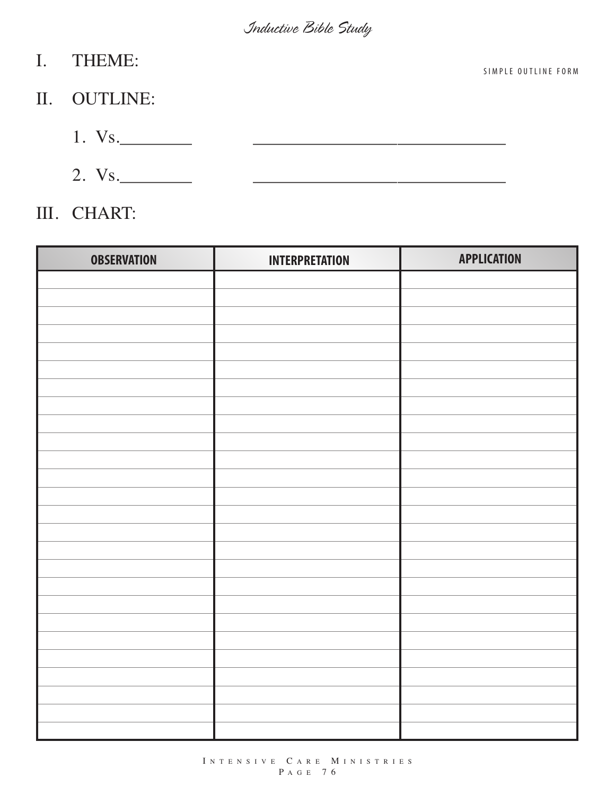F O R M

| $\mathbf{I}$ . | <b>THEME:</b> | SIMPLE OUTLINE |
|----------------|---------------|----------------|
|                | II. OUTLINE:  |                |
|                | 1. Vs.        |                |
|                | 2. Vs.        |                |

## III. CHART:

| <b>OBSERVATION</b> | <b>INTERPRETATION</b> | <b>APPLICATION</b> |
|--------------------|-----------------------|--------------------|
|                    |                       |                    |
|                    |                       |                    |
|                    |                       |                    |
|                    |                       |                    |
|                    |                       |                    |
|                    |                       |                    |
|                    |                       |                    |
|                    |                       |                    |
|                    |                       |                    |
|                    |                       |                    |
|                    |                       |                    |
|                    |                       |                    |
|                    |                       |                    |
|                    |                       |                    |
|                    |                       |                    |
|                    |                       |                    |
|                    |                       |                    |
|                    |                       |                    |
|                    |                       |                    |
|                    |                       |                    |
|                    |                       |                    |
|                    |                       |                    |
|                    |                       |                    |
|                    |                       |                    |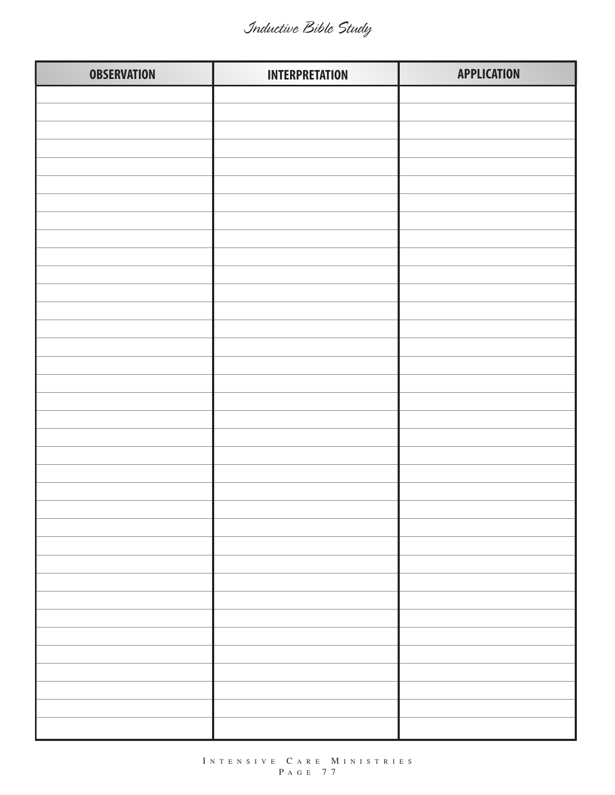| <b>OBSERVATION</b> | <b>INTERPRETATION</b> | <b>APPLICATION</b> |
|--------------------|-----------------------|--------------------|
|                    |                       |                    |
|                    |                       |                    |
|                    |                       |                    |
|                    |                       |                    |
|                    |                       |                    |
|                    |                       |                    |
|                    |                       |                    |
|                    |                       |                    |
|                    |                       |                    |
|                    |                       |                    |
|                    |                       |                    |
|                    |                       |                    |
|                    |                       |                    |
|                    |                       |                    |
|                    |                       |                    |
|                    |                       |                    |
|                    |                       |                    |
|                    |                       |                    |
|                    |                       |                    |
|                    |                       |                    |
|                    |                       |                    |
|                    |                       |                    |
|                    |                       |                    |
|                    |                       |                    |
|                    |                       |                    |
|                    |                       |                    |
|                    |                       |                    |
|                    |                       |                    |
|                    |                       |                    |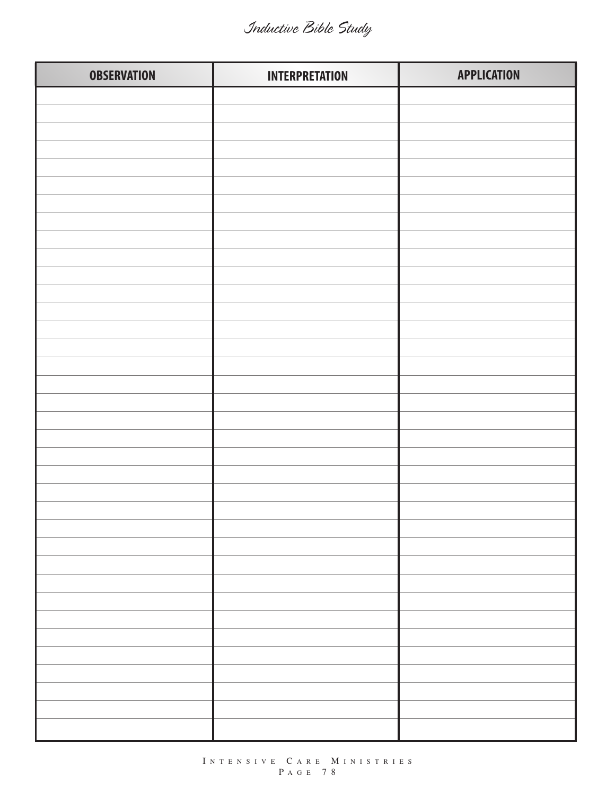| <b>OBSERVATION</b> | <b>INTERPRETATION</b> | <b>APPLICATION</b> |
|--------------------|-----------------------|--------------------|
|                    |                       |                    |
|                    |                       |                    |
|                    |                       |                    |
|                    |                       |                    |
|                    |                       |                    |
|                    |                       |                    |
|                    |                       |                    |
|                    |                       |                    |
|                    |                       |                    |
|                    |                       |                    |
|                    |                       |                    |
|                    |                       |                    |
|                    |                       |                    |
|                    |                       |                    |
|                    |                       |                    |
|                    |                       |                    |
|                    |                       |                    |
|                    |                       |                    |
|                    |                       |                    |
|                    |                       |                    |
|                    |                       |                    |
|                    |                       |                    |
|                    |                       |                    |
|                    |                       |                    |
|                    |                       |                    |
|                    |                       |                    |
|                    |                       |                    |
|                    |                       |                    |
|                    |                       |                    |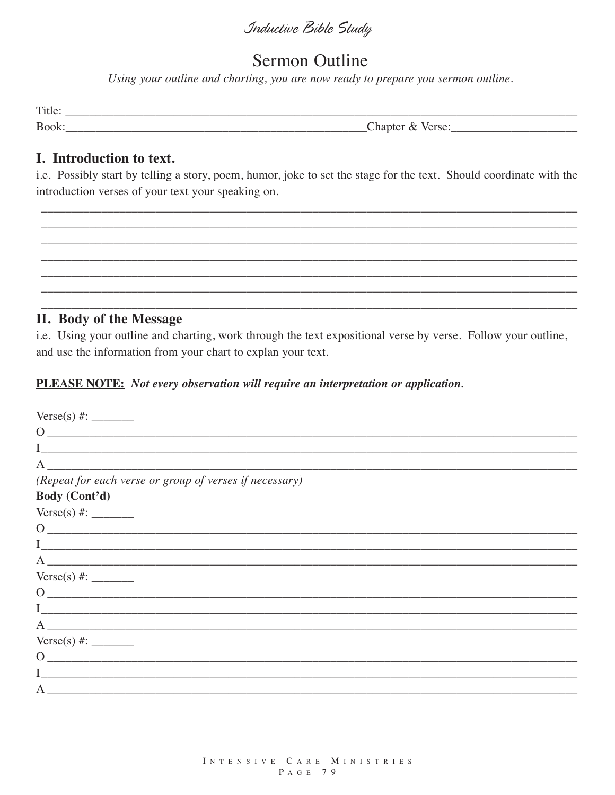### **Sermon Outline**

Using your outline and charting, you are now ready to prepare you sermon outline.

| Title |                            |
|-------|----------------------------|
| Book: | Than.<br>$\sim$<br>ີ<br>ັ້ |

#### I. Introduction to text.

i.e. Possibly start by telling a story, poem, humor, joke to set the stage for the text. Should coordinate with the introduction verses of your text your speaking on.

#### **II. Body of the Message**

i.e. Using your outline and charting, work through the text expositional verse by verse. Follow your outline, and use the information from your chart to explan your text.

#### **PLEASE NOTE:** Not every observation will require an interpretation or application.

| $\overline{O}$<br><u> 1989 - Jan Barnett, fransk politik (d. 1989)</u>                                                                                                                                                                                                                                                                                                                      |
|---------------------------------------------------------------------------------------------------------------------------------------------------------------------------------------------------------------------------------------------------------------------------------------------------------------------------------------------------------------------------------------------|
|                                                                                                                                                                                                                                                                                                                                                                                             |
| A                                                                                                                                                                                                                                                                                                                                                                                           |
| (Repeat for each verse or group of verses if necessary)                                                                                                                                                                                                                                                                                                                                     |
| Body (Cont'd)                                                                                                                                                                                                                                                                                                                                                                               |
|                                                                                                                                                                                                                                                                                                                                                                                             |
| $0 \qquad \qquad$                                                                                                                                                                                                                                                                                                                                                                           |
|                                                                                                                                                                                                                                                                                                                                                                                             |
|                                                                                                                                                                                                                                                                                                                                                                                             |
|                                                                                                                                                                                                                                                                                                                                                                                             |
| $\begin{picture}(150,10) \put(0,0){\dashbox{0.5}(10,0){ }} \put(15,0){\circle{10}} \put(15,0){\circle{10}} \put(15,0){\circle{10}} \put(15,0){\circle{10}} \put(15,0){\circle{10}} \put(15,0){\circle{10}} \put(15,0){\circle{10}} \put(15,0){\circle{10}} \put(15,0){\circle{10}} \put(15,0){\circle{10}} \put(15,0){\circle{10}} \put(15,0){\circle{10}} \put(15,0){\circle{10}} \put(15$ |
|                                                                                                                                                                                                                                                                                                                                                                                             |
| A                                                                                                                                                                                                                                                                                                                                                                                           |
| Verse(s) #:                                                                                                                                                                                                                                                                                                                                                                                 |
| $\Omega$<br><u> 1989 - Johann Barbara, martxa alemaniar arg</u>                                                                                                                                                                                                                                                                                                                             |
| <u> 1989 - Johann Harry Harry Harry Harry Harry Harry Harry Harry Harry Harry Harry Harry Harry Harry Harry Harry</u>                                                                                                                                                                                                                                                                       |
| $A \sim$                                                                                                                                                                                                                                                                                                                                                                                    |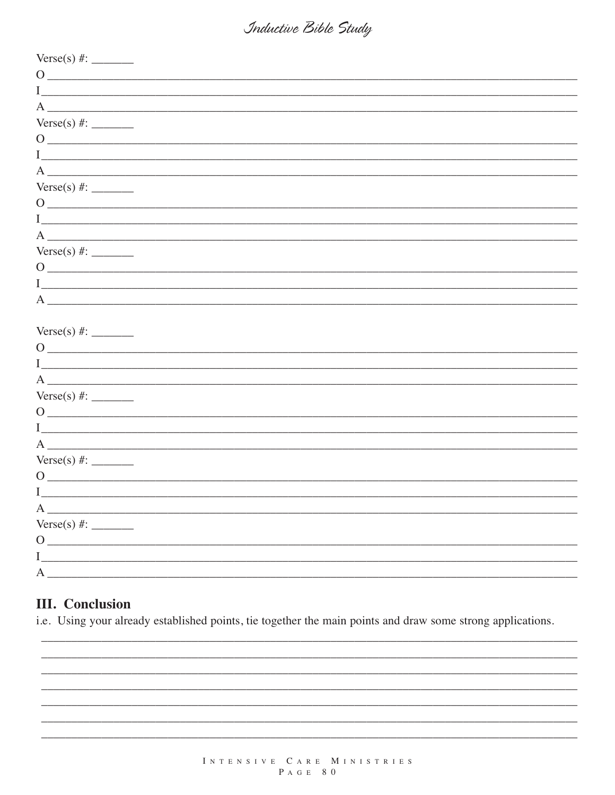| $\begin{picture}(150,10) \put(0,0){\dashbox{0.5}(10,0){ }} \put(15,0){\circle{10}} \put(15,0){\circle{10}} \put(15,0){\circle{10}} \put(15,0){\circle{10}} \put(15,0){\circle{10}} \put(15,0){\circle{10}} \put(15,0){\circle{10}} \put(15,0){\circle{10}} \put(15,0){\circle{10}} \put(15,0){\circle{10}} \put(15,0){\circle{10}} \put(15,0){\circle{10}} \put(15,0){\circle{10}} \put(15$ |
|---------------------------------------------------------------------------------------------------------------------------------------------------------------------------------------------------------------------------------------------------------------------------------------------------------------------------------------------------------------------------------------------|
|                                                                                                                                                                                                                                                                                                                                                                                             |
|                                                                                                                                                                                                                                                                                                                                                                                             |
| Verse(s) #:                                                                                                                                                                                                                                                                                                                                                                                 |
|                                                                                                                                                                                                                                                                                                                                                                                             |
|                                                                                                                                                                                                                                                                                                                                                                                             |
| $\overline{A}$ $\overline{A}$                                                                                                                                                                                                                                                                                                                                                               |
| Verse(s) #:                                                                                                                                                                                                                                                                                                                                                                                 |
| $\begin{picture}(150,10) \put(0,0){\vector(1,0){100}} \put(15,0){\vector(1,0){100}} \put(15,0){\vector(1,0){100}} \put(15,0){\vector(1,0){100}} \put(15,0){\vector(1,0){100}} \put(15,0){\vector(1,0){100}} \put(15,0){\vector(1,0){100}} \put(15,0){\vector(1,0){100}} \put(15,0){\vector(1,0){100}} \put(15,0){\vector(1,0){100}} \put(15,0){\vector(1,0){100}}$                          |
|                                                                                                                                                                                                                                                                                                                                                                                             |
| $A \fbox{---}$                                                                                                                                                                                                                                                                                                                                                                              |
|                                                                                                                                                                                                                                                                                                                                                                                             |
| $\begin{picture}(150,10) \put(0,0){\dashbox{0.5}(10,0){ }} \put(150,0){\circle{10}} \put(150,0){\circle{10}} \put(150,0){\circle{10}} \put(150,0){\circle{10}} \put(150,0){\circle{10}} \put(150,0){\circle{10}} \put(150,0){\circle{10}} \put(150,0){\circle{10}} \put(150,0){\circle{10}} \put(150,0){\circle{10}} \put(150,0){\circle{10}} \put(150,0){\circle{10}} \put(150,$           |
|                                                                                                                                                                                                                                                                                                                                                                                             |
| $A$ $\overline{\phantom{a}}$                                                                                                                                                                                                                                                                                                                                                                |
|                                                                                                                                                                                                                                                                                                                                                                                             |
|                                                                                                                                                                                                                                                                                                                                                                                             |
| $\begin{picture}(150,10) \put(0,0){\vector(1,0){100}} \put(15,0){\vector(1,0){100}} \put(15,0){\vector(1,0){100}} \put(15,0){\vector(1,0){100}} \put(15,0){\vector(1,0){100}} \put(15,0){\vector(1,0){100}} \put(15,0){\vector(1,0){100}} \put(15,0){\vector(1,0){100}} \put(15,0){\vector(1,0){100}} \put(15,0){\vector(1,0){100}} \put(15,0){\vector(1,0){100}}$                          |
|                                                                                                                                                                                                                                                                                                                                                                                             |
|                                                                                                                                                                                                                                                                                                                                                                                             |
|                                                                                                                                                                                                                                                                                                                                                                                             |
|                                                                                                                                                                                                                                                                                                                                                                                             |
|                                                                                                                                                                                                                                                                                                                                                                                             |
| $A \qquad \qquad$                                                                                                                                                                                                                                                                                                                                                                           |
|                                                                                                                                                                                                                                                                                                                                                                                             |
| $\begin{picture}(150,10) \put(0,0){\dashbox{0.5}(10,0){ }} \put(15,0){\circle{10}} \put(15,0){\circle{10}} \put(15,0){\circle{10}} \put(15,0){\circle{10}} \put(15,0){\circle{10}} \put(15,0){\circle{10}} \put(15,0){\circle{10}} \put(15,0){\circle{10}} \put(15,0){\circle{10}} \put(15,0){\circle{10}} \put(15,0){\circle{10}} \put(15,0){\circle{10}} \put(15,0){\circle{10}} \put(15$ |
|                                                                                                                                                                                                                                                                                                                                                                                             |
| $A_{-}$                                                                                                                                                                                                                                                                                                                                                                                     |
| Verse(s) #:                                                                                                                                                                                                                                                                                                                                                                                 |
|                                                                                                                                                                                                                                                                                                                                                                                             |
| $0 \overline{\phantom{a}}$                                                                                                                                                                                                                                                                                                                                                                  |
| $I \quad \qquad$                                                                                                                                                                                                                                                                                                                                                                            |

#### **III.** Conclusion

i.e. Using your already established points, tie together the main points and draw some strong applications.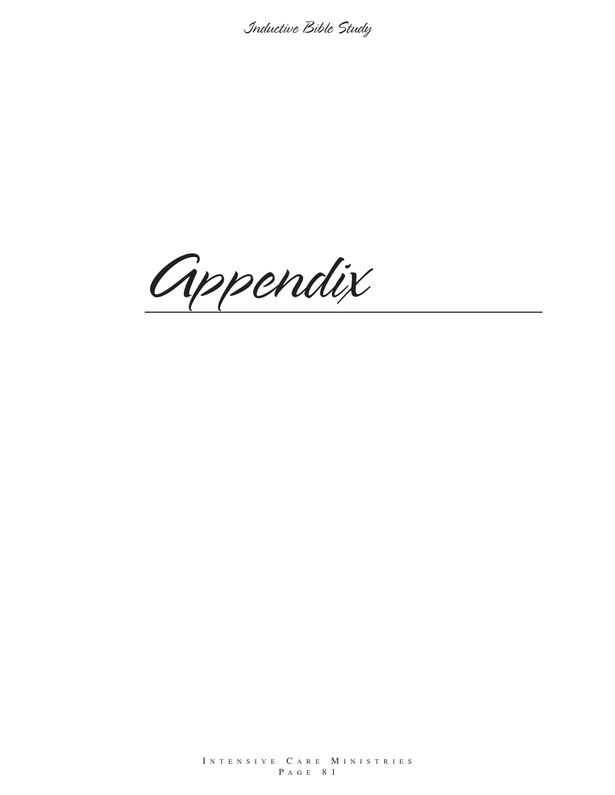*Appendix*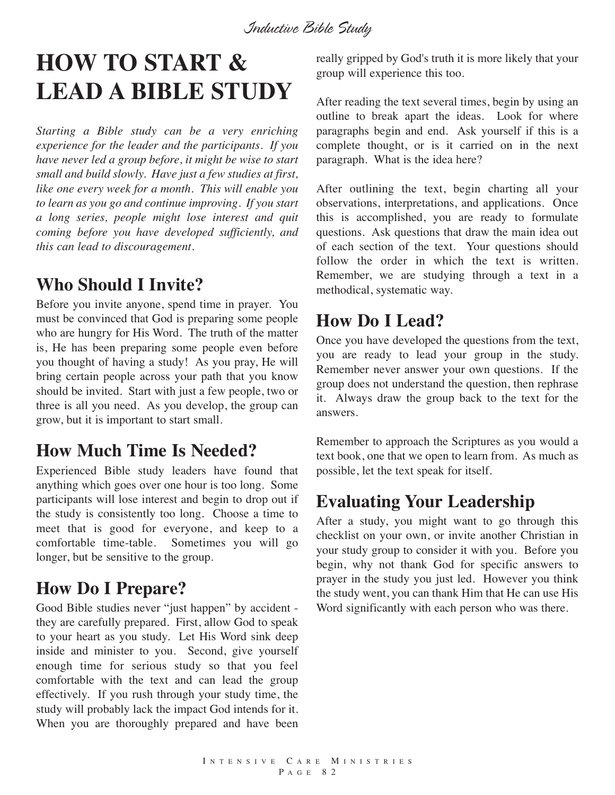# **HOW TO START & LEAD A BIBLE STUDY**

*Starting a Bible study can be a very enriching experience for the leader and the participants. If you have never led a group before, it might be wise to start small and build slowly. Have just a few studies at first, like one every week for a month. This will enable you to learn as you go and continue improving. If you start a long series, people might lose interest and quit coming before you have developed sufficiently, and this can lead to discouragement.*

### **Who Should I Invite?**

Before you invite anyone, spend time in prayer. You must be convinced that God is preparing some people who are hungry for His Word. The truth of the matter is, He has been preparing some people even before you thought of having a study! As you pray, He will bring certain people across your path that you know should be invited. Start with just a few people, two or three is all you need. As you develop, the group can grow, but it is important to start small.

## **How Much Time Is Needed?**

Experienced Bible study leaders have found that anything which goes over one hour is too long. Some participants will lose interest and begin to drop out if the study is consistently too long. Choose a time to meet that is good for everyone, and keep to a comfortable time-table. Sometimes you will go longer, but be sensitive to the group.

## **How Do I Prepare?**

Good Bible studies never "just happen" by accident they are carefully prepared. First, allow God to speak to your heart as you study. Let His Word sink deep inside and minister to you. Second, give yourself enough time for serious study so that you feel comfortable with the text and can lead the group effectively. If you rush through your study time, the study will probably lack the impact God intends for it. When you are thoroughly prepared and have been really gripped by God's truth it is more likely that your group will experience this too.

After reading the text several times, begin by using an outline to break apart the ideas. Look for where paragraphs begin and end. Ask yourself if this is a complete thought, or is it carried on in the next paragraph. What is the idea here?

After outlining the text, begin charting all your observations, interpretations, and applications. Once this is accomplished, you are ready to formulate questions. Ask questions that draw the main idea out of each section of the text. Your questions should follow the order in which the text is written. Remember, we are studying through a text in a methodical, systematic way.

## **How Do I Lead?**

Once you have developed the questions from the text, you are ready to lead your group in the study. Remember never answer your own questions. If the group does not understand the question, then rephrase it. Always draw the group back to the text for the answers.

Remember to approach the Scriptures as you would a text book, one that we open to learn from. As much as possible, let the text speak for itself.

### **Evaluating Your Leadership**

After a study, you might want to go through this checklist on your own, or invite another Christian in your study group to consider it with you. Before you begin, why not thank God for specific answers to prayer in the study you just led. However you think the study went, you can thank Him that He can use His Word significantly with each person who was there.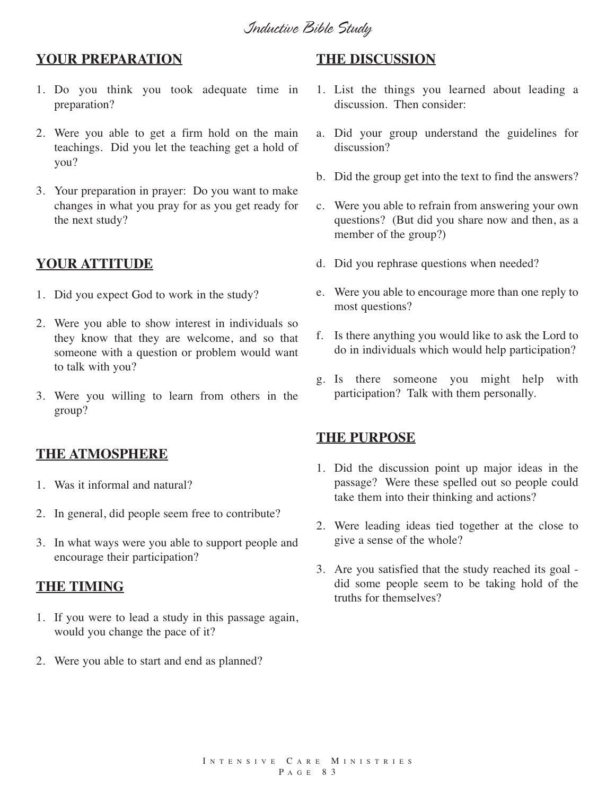#### **YOUR PREPARATION**

- 1. Do you think you took adequate time in preparation?
- 2. Were you able to get a firm hold on the main teachings. Did you let the teaching get a hold of you?
- 3. Your preparation in prayer: Do you want to make changes in what you pray for as you get ready for the next study?

#### **YOUR ATTITUDE**

- 1. Did you expect God to work in the study?
- 2. Were you able to show interest in individuals so they know that they are welcome, and so that someone with a question or problem would want to talk with you?
- 3. Were you willing to learn from others in the group?

#### **THE ATMOSPHERE**

- 1. Was it informal and natural?
- 2. In general, did people seem free to contribute?
- 3. In what ways were you able to support people and encourage their participation?

#### **THE TIMING**

- 1. If you were to lead a study in this passage again, would you change the pace of it?
- 2. Were you able to start and end as planned?

#### **THE DISCUSSION**

- 1. List the things you learned about leading a discussion. Then consider:
- a. Did your group understand the guidelines for discussion?
- b. Did the group get into the text to find the answers?
- c. Were you able to refrain from answering your own questions? (But did you share now and then, as a member of the group?)
- d. Did you rephrase questions when needed?
- e. Were you able to encourage more than one reply to most questions?
- f. Is there anything you would like to ask the Lord to do in individuals which would help participation?
- g. Is there someone you might help with participation? Talk with them personally.

#### **THE PURPOSE**

- 1. Did the discussion point up major ideas in the passage? Were these spelled out so people could take them into their thinking and actions?
- 2. Were leading ideas tied together at the close to give a sense of the whole?
- 3. Are you satisfied that the study reached its goal did some people seem to be taking hold of the truths for themselves?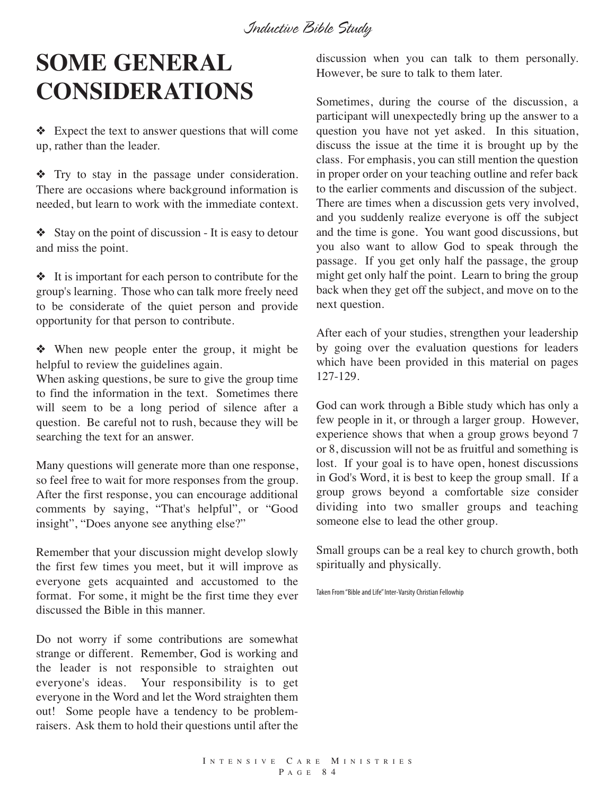*Inductive Bible Study*

# **SOME GENERAL CONSIDERATIONS**

❖ Expect the text to answer questions that will come up, rather than the leader.

❖ Try to stay in the passage under consideration. There are occasions where background information is needed, but learn to work with the immediate context.

❖ Stay on the point of discussion - It is easy to detour and miss the point.

❖ It is important for each person to contribute for the group's learning. Those who can talk more freely need to be considerate of the quiet person and provide opportunity for that person to contribute.

❖ When new people enter the group, it might be helpful to review the guidelines again.

When asking questions, be sure to give the group time to find the information in the text. Sometimes there will seem to be a long period of silence after a question. Be careful not to rush, because they will be searching the text for an answer.

Many questions will generate more than one response, so feel free to wait for more responses from the group. After the first response, you can encourage additional comments by saying, "That's helpful", or "Good insight", "Does anyone see anything else?"

Remember that your discussion might develop slowly the first few times you meet, but it will improve as everyone gets acquainted and accustomed to the format. For some, it might be the first time they ever discussed the Bible in this manner.

Do not worry if some contributions are somewhat strange or different. Remember, God is working and the leader is not responsible to straighten out everyone's ideas. Your responsibility is to get everyone in the Word and let the Word straighten them out! Some people have a tendency to be problemraisers. Ask them to hold their questions until after the

discussion when you can talk to them personally. However, be sure to talk to them later.

Sometimes, during the course of the discussion, a participant will unexpectedly bring up the answer to a question you have not yet asked. In this situation, discuss the issue at the time it is brought up by the class. For emphasis, you can still mention the question in proper order on your teaching outline and refer back to the earlier comments and discussion of the subject. There are times when a discussion gets very involved, and you suddenly realize everyone is off the subject and the time is gone. You want good discussions, but you also want to allow God to speak through the passage. If you get only half the passage, the group might get only half the point. Learn to bring the group back when they get off the subject, and move on to the next question.

After each of your studies, strengthen your leadership by going over the evaluation questions for leaders which have been provided in this material on pages 127-129.

God can work through a Bible study which has only a few people in it, or through a larger group. However, experience shows that when a group grows beyond 7 or 8, discussion will not be as fruitful and something is lost. If your goal is to have open, honest discussions in God's Word, it is best to keep the group small. If a group grows beyond a comfortable size consider dividing into two smaller groups and teaching someone else to lead the other group.

Small groups can be a real key to church growth, both spiritually and physically.

Taken From "Bible and Life" Inter-Varsity Christian Fellowhip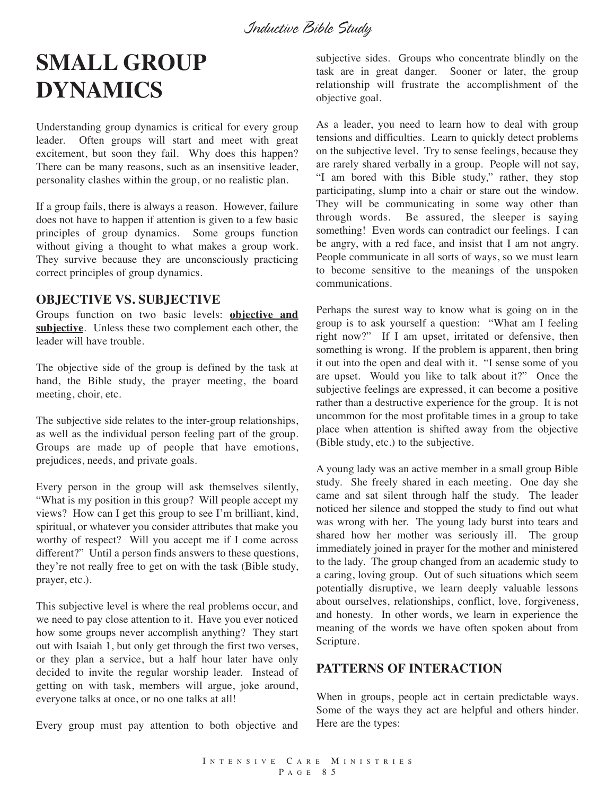## **SMALL GROUP DYNAMICS**

Understanding group dynamics is critical for every group leader. Often groups will start and meet with great excitement, but soon they fail. Why does this happen? There can be many reasons, such as an insensitive leader, personality clashes within the group, or no realistic plan.

If a group fails, there is always a reason. However, failure does not have to happen if attention is given to a few basic principles of group dynamics. Some groups function without giving a thought to what makes a group work. They survive because they are unconsciously practicing correct principles of group dynamics.

#### **OBJECTIVE VS. SUBJECTIVE**

Groups function on two basic levels: **objective and subjective**. Unless these two complement each other, the leader will have trouble.

The objective side of the group is defined by the task at hand, the Bible study, the prayer meeting, the board meeting, choir, etc.

The subjective side relates to the inter-group relationships, as well as the individual person feeling part of the group. Groups are made up of people that have emotions, prejudices, needs, and private goals.

Every person in the group will ask themselves silently, "What is my position in this group? Will people accept my views? How can I get this group to see I'm brilliant, kind, spiritual, or whatever you consider attributes that make you worthy of respect? Will you accept me if I come across different?" Until a person finds answers to these questions, they're not really free to get on with the task (Bible study, prayer, etc.).

This subjective level is where the real problems occur, and we need to pay close attention to it. Have you ever noticed how some groups never accomplish anything? They start out with Isaiah 1, but only get through the first two verses, or they plan a service, but a half hour later have only decided to invite the regular worship leader. Instead of getting on with task, members will argue, joke around, everyone talks at once, or no one talks at all!

Every group must pay attention to both objective and

subjective sides. Groups who concentrate blindly on the task are in great danger. Sooner or later, the group relationship will frustrate the accomplishment of the objective goal.

As a leader, you need to learn how to deal with group tensions and difficulties. Learn to quickly detect problems on the subjective level. Try to sense feelings, because they are rarely shared verbally in a group. People will not say, "I am bored with this Bible study," rather, they stop participating, slump into a chair or stare out the window. They will be communicating in some way other than through words. Be assured, the sleeper is saying something! Even words can contradict our feelings. I can be angry, with a red face, and insist that I am not angry. People communicate in all sorts of ways, so we must learn to become sensitive to the meanings of the unspoken communications.

Perhaps the surest way to know what is going on in the group is to ask yourself a question: "What am I feeling right now?" If I am upset, irritated or defensive, then something is wrong. If the problem is apparent, then bring it out into the open and deal with it. "I sense some of you are upset. Would you like to talk about it?" Once the subjective feelings are expressed, it can become a positive rather than a destructive experience for the group. It is not uncommon for the most profitable times in a group to take place when attention is shifted away from the objective (Bible study, etc.) to the subjective.

A young lady was an active member in a small group Bible study. She freely shared in each meeting. One day she came and sat silent through half the study. The leader noticed her silence and stopped the study to find out what was wrong with her. The young lady burst into tears and shared how her mother was seriously ill. The group immediately joined in prayer for the mother and ministered to the lady. The group changed from an academic study to a caring, loving group. Out of such situations which seem potentially disruptive, we learn deeply valuable lessons about ourselves, relationships, conflict, love, forgiveness, and honesty. In other words, we learn in experience the meaning of the words we have often spoken about from Scripture.

#### **PATTERNS OF INTERACTION**

When in groups, people act in certain predictable ways. Some of the ways they act are helpful and others hinder. Here are the types: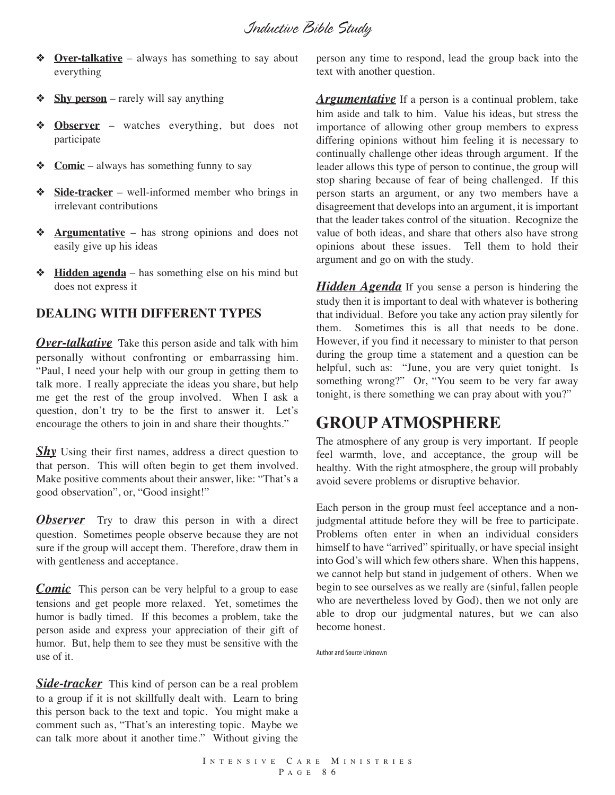- ❖ **Over-talkative** always has something to say about everything
- ❖ **Shy person** rarely will say anything
- ❖ **Observer** watches everything, but does not participate
- ❖ **Comic** always has something funny to say
- ❖ **Side-tracker** well-informed member who brings in irrelevant contributions
- ❖ **Argumentative** has strong opinions and does not easily give up his ideas
- ❖ **Hidden agenda** has something else on his mind but does not express it

#### **DEALING WITH DIFFERENT TYPES**

*Over-talkative* Take this person aside and talk with him personally without confronting or embarrassing him. "Paul, I need your help with our group in getting them to talk more. I really appreciate the ideas you share, but help me get the rest of the group involved. When I ask a question, don't try to be the first to answer it. Let's encourage the others to join in and share their thoughts."

**Shy** Using their first names, address a direct question to that person. This will often begin to get them involved. Make positive comments about their answer, like: "That's a good observation", or, "Good insight!"

**Observer** Try to draw this person in with a direct question. Sometimes people observe because they are not sure if the group will accept them. Therefore, draw them in with gentleness and acceptance.

*Comic* This person can be very helpful to a group to ease tensions and get people more relaxed. Yet, sometimes the humor is badly timed. If this becomes a problem, take the person aside and express your appreciation of their gift of humor. But, help them to see they must be sensitive with the use of it.

**Side-tracker** This kind of person can be a real problem to a group if it is not skillfully dealt with. Learn to bring this person back to the text and topic. You might make a comment such as, "That's an interesting topic. Maybe we can talk more about it another time." Without giving the

person any time to respond, lead the group back into the text with another question.

*Argumentative* If a person is a continual problem, take him aside and talk to him. Value his ideas, but stress the importance of allowing other group members to express differing opinions without him feeling it is necessary to continually challenge other ideas through argument. If the leader allows this type of person to continue, the group will stop sharing because of fear of being challenged. If this person starts an argument, or any two members have a disagreement that develops into an argument, it is important that the leader takes control of the situation. Recognize the value of both ideas, and share that others also have strong opinions about these issues. Tell them to hold their argument and go on with the study.

*Hidden Agenda* If you sense a person is hindering the study then it is important to deal with whatever is bothering that individual. Before you take any action pray silently for them. Sometimes this is all that needs to be done. However, if you find it necessary to minister to that person during the group time a statement and a question can be helpful, such as: "June, you are very quiet tonight. Is something wrong?" Or, "You seem to be very far away tonight, is there something we can pray about with you?"

#### **GROUP ATMOSPHERE**

The atmosphere of any group is very important. If people feel warmth, love, and acceptance, the group will be healthy. With the right atmosphere, the group will probably avoid severe problems or disruptive behavior.

Each person in the group must feel acceptance and a nonjudgmental attitude before they will be free to participate. Problems often enter in when an individual considers himself to have "arrived" spiritually, or have special insight into God's will which few others share. When this happens, we cannot help but stand in judgement of others. When we begin to see ourselves as we really are (sinful, fallen people who are nevertheless loved by God), then we not only are able to drop our judgmental natures, but we can also become honest.

Author and Source Unknown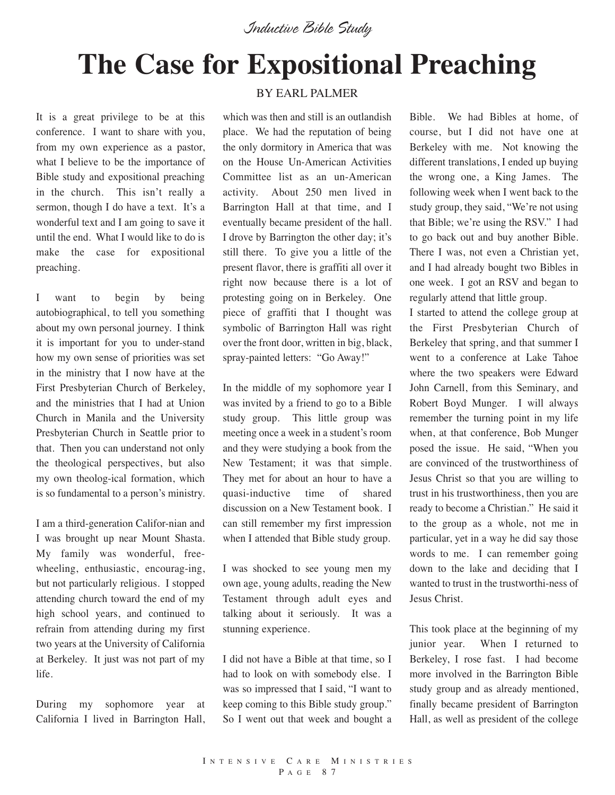# **The Case for Expositional Preaching**

It is a great privilege to be at this conference. I want to share with you, from my own experience as a pastor, what I believe to be the importance of Bible study and expositional preaching in the church. This isn't really a sermon, though I do have a text. It's a wonderful text and I am going to save it until the end. What I would like to do is make the case for expositional preaching.

I want to begin by being autobiographical, to tell you something about my own personal journey. I think it is important for you to under-stand how my own sense of priorities was set in the ministry that I now have at the First Presbyterian Church of Berkeley, and the ministries that I had at Union Church in Manila and the University Presbyterian Church in Seattle prior to that. Then you can understand not only the theological perspectives, but also my own theolog-ical formation, which is so fundamental to a person's ministry.

I am a third-generation Califor-nian and I was brought up near Mount Shasta. My family was wonderful, freewheeling, enthusiastic, encourag-ing, but not particularly religious. I stopped attending church toward the end of my high school years, and continued to refrain from attending during my first two years at the University of California at Berkeley. It just was not part of my life.

During my sophomore year at California I lived in Barrington Hall,

#### BY EARL PALMER

which was then and still is an outlandish place. We had the reputation of being the only dormitory in America that was on the House Un-American Activities Committee list as an un-American activity. About 250 men lived in Barrington Hall at that time, and I eventually became president of the hall. I drove by Barrington the other day; it's still there. To give you a little of the present flavor, there is graffiti all over it right now because there is a lot of protesting going on in Berkeley. One piece of graffiti that I thought was symbolic of Barrington Hall was right over the front door, written in big, black, spray-painted letters: "Go Away!"

In the middle of my sophomore year I was invited by a friend to go to a Bible study group. This little group was meeting once a week in a student's room and they were studying a book from the New Testament; it was that simple. They met for about an hour to have a quasi-inductive time of shared discussion on a New Testament book. I can still remember my first impression when I attended that Bible study group.

I was shocked to see young men my own age, young adults, reading the New Testament through adult eyes and talking about it seriously. It was a stunning experience.

I did not have a Bible at that time, so I had to look on with somebody else. I was so impressed that I said, "I want to keep coming to this Bible study group." So I went out that week and bought a

Bible. We had Bibles at home, of course, but I did not have one at Berkeley with me. Not knowing the different translations, I ended up buying the wrong one, a King James. The following week when I went back to the study group, they said, "We're not using that Bible; we're using the RSV." I had to go back out and buy another Bible. There I was, not even a Christian yet, and I had already bought two Bibles in one week. I got an RSV and began to regularly attend that little group.

I started to attend the college group at the First Presbyterian Church of Berkeley that spring, and that summer I went to a conference at Lake Tahoe where the two speakers were Edward John Carnell, from this Seminary, and Robert Boyd Munger. I will always remember the turning point in my life when, at that conference, Bob Munger posed the issue. He said, "When you are convinced of the trustworthiness of Jesus Christ so that you are willing to trust in his trustworthiness, then you are ready to become a Christian." He said it to the group as a whole, not me in particular, yet in a way he did say those words to me. I can remember going down to the lake and deciding that I wanted to trust in the trustworthi-ness of Jesus Christ.

This took place at the beginning of my junior year. When I returned to Berkeley, I rose fast. I had become more involved in the Barrington Bible study group and as already mentioned, finally became president of Barrington Hall, as well as president of the college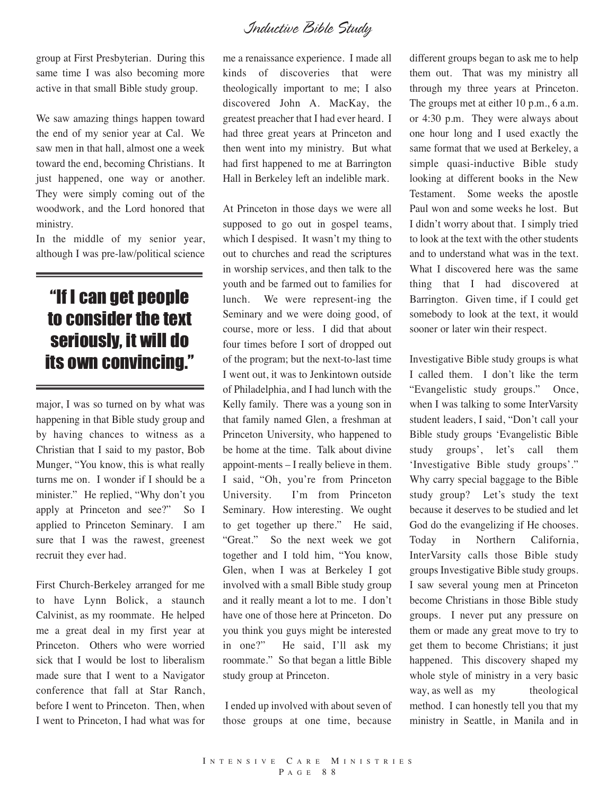group at First Presbyterian. During this same time I was also becoming more active in that small Bible study group.

We saw amazing things happen toward the end of my senior year at Cal. We saw men in that hall, almost one a week toward the end, becoming Christians. It just happened, one way or another. They were simply coming out of the woodwork, and the Lord honored that ministry.

In the middle of my senior year, although I was pre-law/political science

## "If I can get people to consider the text seriously, it will do its own convincing."

major, I was so turned on by what was happening in that Bible study group and by having chances to witness as a Christian that I said to my pastor, Bob Munger, "You know, this is what really turns me on. I wonder if I should be a minister." He replied, "Why don't you apply at Princeton and see?" So I applied to Princeton Seminary. I am sure that I was the rawest, greenest recruit they ever had.

First Church-Berkeley arranged for me to have Lynn Bolick, a staunch Calvinist, as my roommate. He helped me a great deal in my first year at Princeton. Others who were worried sick that I would be lost to liberalism made sure that I went to a Navigator conference that fall at Star Ranch, before I went to Princeton. Then, when I went to Princeton, I had what was for

me a renaissance experience. I made all kinds of discoveries that were theologically important to me; I also discovered John A. MacKay, the greatest preacher that I had ever heard. I had three great years at Princeton and then went into my ministry. But what had first happened to me at Barrington Hall in Berkeley left an indelible mark.

At Princeton in those days we were all supposed to go out in gospel teams, which I despised. It wasn't my thing to out to churches and read the scriptures in worship services, and then talk to the youth and be farmed out to families for lunch. We were represent-ing the Seminary and we were doing good, of course, more or less. I did that about four times before I sort of dropped out of the program; but the next-to-last time I went out, it was to Jenkintown outside of Philadelphia, and I had lunch with the Kelly family. There was a young son in that family named Glen, a freshman at Princeton University, who happened to be home at the time. Talk about divine appoint-ments – I really believe in them. I said, "Oh, you're from Princeton University. I'm from Princeton Seminary. How interesting. We ought to get together up there." He said, "Great." So the next week we got together and I told him, "You know, Glen, when I was at Berkeley I got involved with a small Bible study group and it really meant a lot to me. I don't have one of those here at Princeton. Do you think you guys might be interested in one?" He said, I'll ask my roommate." So that began a little Bible study group at Princeton.

I ended up involved with about seven of those groups at one time, because

different groups began to ask me to help them out. That was my ministry all through my three years at Princeton. The groups met at either 10 p.m., 6 a.m. or 4:30 p.m. They were always about one hour long and I used exactly the same format that we used at Berkeley, a simple quasi-inductive Bible study looking at different books in the New Testament. Some weeks the apostle Paul won and some weeks he lost. But I didn't worry about that. I simply tried to look at the text with the other students and to understand what was in the text. What I discovered here was the same thing that I had discovered at Barrington. Given time, if I could get somebody to look at the text, it would sooner or later win their respect.

Investigative Bible study groups is what I called them. I don't like the term "Evangelistic study groups." Once, when I was talking to some InterVarsity student leaders, I said, "Don't call your Bible study groups 'Evangelistic Bible study groups', let's call them 'Investigative Bible study groups'." Why carry special baggage to the Bible study group? Let's study the text because it deserves to be studied and let God do the evangelizing if He chooses. Today in Northern California, InterVarsity calls those Bible study groups Investigative Bible study groups. I saw several young men at Princeton become Christians in those Bible study groups. I never put any pressure on them or made any great move to try to get them to become Christians; it just happened. This discovery shaped my whole style of ministry in a very basic way, as well as my theological method. I can honestly tell you that my ministry in Seattle, in Manila and in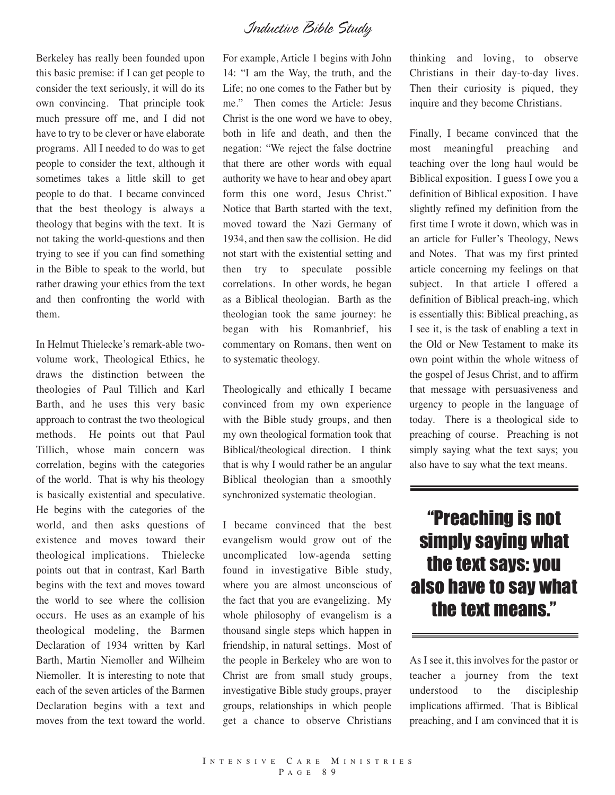Berkeley has really been founded upon this basic premise: if I can get people to consider the text seriously, it will do its own convincing. That principle took much pressure off me, and I did not have to try to be clever or have elaborate programs. All I needed to do was to get people to consider the text, although it sometimes takes a little skill to get people to do that. I became convinced that the best theology is always a theology that begins with the text. It is not taking the world-questions and then trying to see if you can find something in the Bible to speak to the world, but rather drawing your ethics from the text and then confronting the world with them.

In Helmut Thielecke's remark-able twovolume work, Theological Ethics, he draws the distinction between the theologies of Paul Tillich and Karl Barth, and he uses this very basic approach to contrast the two theological methods. He points out that Paul Tillich, whose main concern was correlation, begins with the categories of the world. That is why his theology is basically existential and speculative. He begins with the categories of the world, and then asks questions of existence and moves toward their theological implications. Thielecke points out that in contrast, Karl Barth begins with the text and moves toward the world to see where the collision occurs. He uses as an example of his theological modeling, the Barmen Declaration of 1934 written by Karl Barth, Martin Niemoller and Wilheim Niemoller. It is interesting to note that each of the seven articles of the Barmen Declaration begins with a text and moves from the text toward the world.

For example, Article 1 begins with John 14: "I am the Way, the truth, and the Life; no one comes to the Father but by me." Then comes the Article: Jesus Christ is the one word we have to obey, both in life and death, and then the negation: "We reject the false doctrine that there are other words with equal authority we have to hear and obey apart form this one word, Jesus Christ." Notice that Barth started with the text, moved toward the Nazi Germany of 1934, and then saw the collision. He did not start with the existential setting and then try to speculate possible correlations. In other words, he began as a Biblical theologian. Barth as the theologian took the same journey: he began with his Romanbrief, his commentary on Romans, then went on to systematic theology.

Theologically and ethically I became convinced from my own experience with the Bible study groups, and then my own theological formation took that Biblical/theological direction. I think that is why I would rather be an angular Biblical theologian than a smoothly synchronized systematic theologian.

I became convinced that the best evangelism would grow out of the uncomplicated low-agenda setting found in investigative Bible study, where you are almost unconscious of the fact that you are evangelizing. My whole philosophy of evangelism is a thousand single steps which happen in friendship, in natural settings. Most of the people in Berkeley who are won to Christ are from small study groups, investigative Bible study groups, prayer groups, relationships in which people get a chance to observe Christians

thinking and loving, to observe Christians in their day-to-day lives. Then their curiosity is piqued, they inquire and they become Christians.

Finally, I became convinced that the most meaningful preaching and teaching over the long haul would be Biblical exposition. I guess I owe you a definition of Biblical exposition. I have slightly refined my definition from the first time I wrote it down, which was in an article for Fuller's Theology, News and Notes. That was my first printed article concerning my feelings on that subject. In that article I offered a definition of Biblical preach-ing, which is essentially this: Biblical preaching, as I see it, is the task of enabling a text in the Old or New Testament to make its own point within the whole witness of the gospel of Jesus Christ, and to affirm that message with persuasiveness and urgency to people in the language of today. There is a theological side to preaching of course. Preaching is not simply saying what the text says; you also have to say what the text means.

## "Preaching is not simply saying what the text says: you also have to say what the text means."

As I see it, this involves for the pastor or teacher a journey from the text understood to the discipleship implications affirmed. That is Biblical preaching, and I am convinced that it is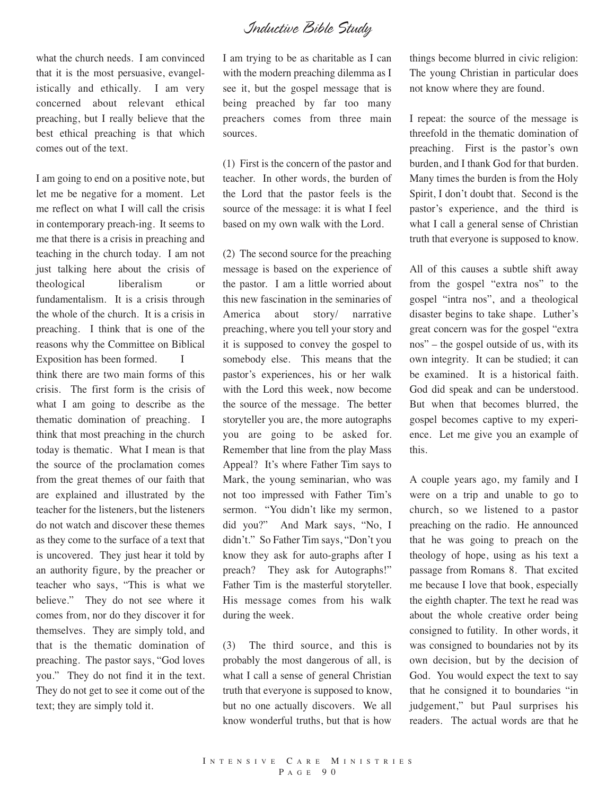what the church needs. I am convinced that it is the most persuasive, evangelistically and ethically. I am very concerned about relevant ethical preaching, but I really believe that the best ethical preaching is that which comes out of the text.

I am going to end on a positive note, but let me be negative for a moment. Let me reflect on what I will call the crisis in contemporary preach-ing. It seems to me that there is a crisis in preaching and teaching in the church today. I am not just talking here about the crisis of theological liberalism or fundamentalism. It is a crisis through the whole of the church. It is a crisis in preaching. I think that is one of the reasons why the Committee on Biblical Exposition has been formed. I think there are two main forms of this crisis. The first form is the crisis of what I am going to describe as the thematic domination of preaching. I think that most preaching in the church today is thematic. What I mean is that the source of the proclamation comes from the great themes of our faith that are explained and illustrated by the teacher for the listeners, but the listeners do not watch and discover these themes as they come to the surface of a text that is uncovered. They just hear it told by an authority figure, by the preacher or teacher who says, "This is what we believe." They do not see where it comes from, nor do they discover it for themselves. They are simply told, and that is the thematic domination of preaching. The pastor says, "God loves you." They do not find it in the text. They do not get to see it come out of the text; they are simply told it.

I am trying to be as charitable as I can with the modern preaching dilemma as I see it, but the gospel message that is being preached by far too many preachers comes from three main sources.

(1) First is the concern of the pastor and teacher. In other words, the burden of the Lord that the pastor feels is the source of the message: it is what I feel based on my own walk with the Lord.

(2) The second source for the preaching message is based on the experience of the pastor. I am a little worried about this new fascination in the seminaries of America about story/ narrative preaching, where you tell your story and it is supposed to convey the gospel to somebody else. This means that the pastor's experiences, his or her walk with the Lord this week, now become the source of the message. The better storyteller you are, the more autographs you are going to be asked for. Remember that line from the play Mass Appeal? It's where Father Tim says to Mark, the young seminarian, who was not too impressed with Father Tim's sermon. "You didn't like my sermon, did you?" And Mark says, "No, I didn't." So Father Tim says, "Don't you know they ask for auto-graphs after I preach? They ask for Autographs!" Father Tim is the masterful storyteller. His message comes from his walk during the week.

(3) The third source, and this is probably the most dangerous of all, is what I call a sense of general Christian truth that everyone is supposed to know, but no one actually discovers. We all know wonderful truths, but that is how

things become blurred in civic religion: The young Christian in particular does not know where they are found.

I repeat: the source of the message is threefold in the thematic domination of preaching. First is the pastor's own burden, and I thank God for that burden. Many times the burden is from the Holy Spirit, I don't doubt that. Second is the pastor's experience, and the third is what I call a general sense of Christian truth that everyone is supposed to know.

All of this causes a subtle shift away from the gospel "extra nos" to the gospel "intra nos", and a theological disaster begins to take shape. Luther's great concern was for the gospel "extra nos" – the gospel outside of us, with its own integrity. It can be studied; it can be examined. It is a historical faith. God did speak and can be understood. But when that becomes blurred, the gospel becomes captive to my experience. Let me give you an example of this.

A couple years ago, my family and I were on a trip and unable to go to church, so we listened to a pastor preaching on the radio. He announced that he was going to preach on the theology of hope, using as his text a passage from Romans 8. That excited me because I love that book, especially the eighth chapter. The text he read was about the whole creative order being consigned to futility. In other words, it was consigned to boundaries not by its own decision, but by the decision of God. You would expect the text to say that he consigned it to boundaries "in judgement," but Paul surprises his readers. The actual words are that he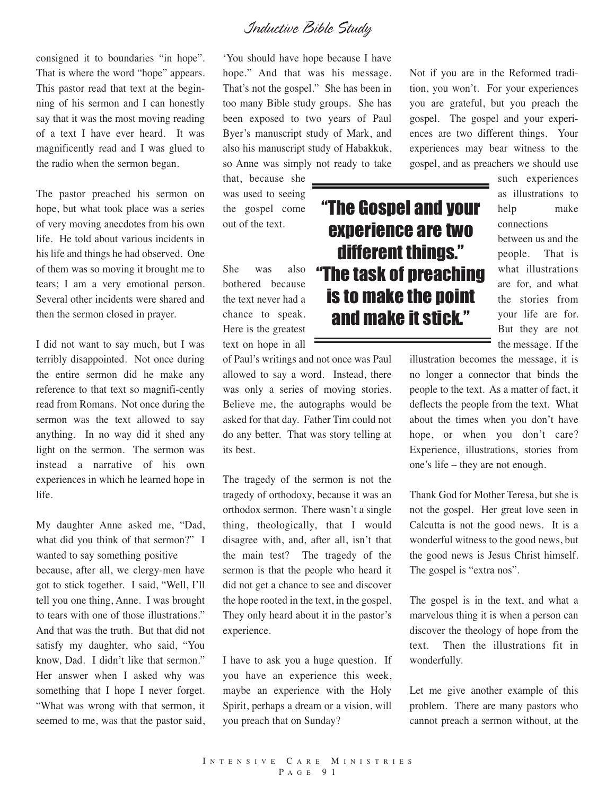consigned it to boundaries "in hope". That is where the word "hope" appears. This pastor read that text at the beginning of his sermon and I can honestly say that it was the most moving reading of a text I have ever heard. It was magnificently read and I was glued to the radio when the sermon began.

The pastor preached his sermon on hope, but what took place was a series of very moving anecdotes from his own life. He told about various incidents in his life and things he had observed. One of them was so moving it brought me to tears; I am a very emotional person. Several other incidents were shared and then the sermon closed in prayer.

I did not want to say much, but I was terribly disappointed. Not once during the entire sermon did he make any reference to that text so magnifi-cently read from Romans. Not once during the sermon was the text allowed to say anything. In no way did it shed any light on the sermon. The sermon was instead a narrative of his own experiences in which he learned hope in life.

My daughter Anne asked me, "Dad, what did you think of that sermon?" I wanted to say something positive because, after all, we clergy-men have got to stick together. I said, "Well, I'll tell you one thing, Anne. I was brought to tears with one of those illustrations." And that was the truth. But that did not satisfy my daughter, who said, "You know, Dad. I didn't like that sermon." Her answer when I asked why was something that I hope I never forget. "What was wrong with that sermon, it seemed to me, was that the pastor said,

'You should have hope because I have hope." And that was his message. That's not the gospel." She has been in too many Bible study groups. She has been exposed to two years of Paul Byer's manuscript study of Mark, and also his manuscript study of Habakkuk, so Anne was simply not ready to take

that, because she was used to seeing the gospel come out of the text.

She was also bothered because the text never had a chance to speak. Here is the greatest text on hope in all

of Paul's writings and not once was Paul allowed to say a word. Instead, there was only a series of moving stories. Believe me, the autographs would be asked for that day. Father Tim could not do any better. That was story telling at its best.

The tragedy of the sermon is not the tragedy of orthodoxy, because it was an orthodox sermon. There wasn't a single thing, theologically, that I would disagree with, and, after all, isn't that the main test? The tragedy of the sermon is that the people who heard it did not get a chance to see and discover the hope rooted in the text, in the gospel. They only heard about it in the pastor's experience.

I have to ask you a huge question. If you have an experience this week, maybe an experience with the Holy Spirit, perhaps a dream or a vision, will you preach that on Sunday?

Not if you are in the Reformed tradition, you won't. For your experiences you are grateful, but you preach the gospel. The gospel and your experiences are two different things. Your experiences may bear witness to the gospel, and as preachers we should use

"The Gospel and your

experience are two

different things."

"The task of preaching

is to make the point

and make it stick."

such experiences as illustrations to help make connections between us and the people. That is what illustrations are for, and what the stories from your life are for. But they are not the message. If the

illustration becomes the message, it is no longer a connector that binds the people to the text. As a matter of fact, it deflects the people from the text. What about the times when you don't have hope, or when you don't care? Experience, illustrations, stories from one's life – they are not enough.

Thank God for Mother Teresa, but she is not the gospel. Her great love seen in Calcutta is not the good news. It is a wonderful witness to the good news, but the good news is Jesus Christ himself. The gospel is "extra nos".

The gospel is in the text, and what a marvelous thing it is when a person can discover the theology of hope from the text. Then the illustrations fit in wonderfully.

Let me give another example of this problem. There are many pastors who cannot preach a sermon without, at the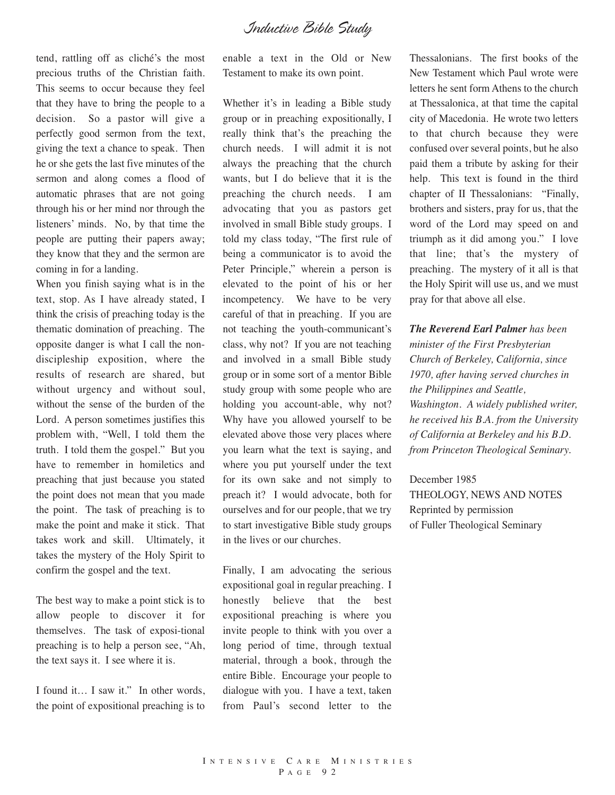tend, rattling off as cliché's the most precious truths of the Christian faith. This seems to occur because they feel that they have to bring the people to a decision. So a pastor will give a perfectly good sermon from the text, giving the text a chance to speak. Then he or she gets the last five minutes of the sermon and along comes a flood of automatic phrases that are not going through his or her mind nor through the listeners' minds. No, by that time the people are putting their papers away; they know that they and the sermon are coming in for a landing.

When you finish saying what is in the text, stop. As I have already stated, I think the crisis of preaching today is the thematic domination of preaching. The opposite danger is what I call the nondiscipleship exposition, where the results of research are shared, but without urgency and without soul, without the sense of the burden of the Lord. A person sometimes justifies this problem with, "Well, I told them the truth. I told them the gospel." But you have to remember in homiletics and preaching that just because you stated the point does not mean that you made the point. The task of preaching is to make the point and make it stick. That takes work and skill. Ultimately, it takes the mystery of the Holy Spirit to confirm the gospel and the text.

The best way to make a point stick is to allow people to discover it for themselves. The task of exposi-tional preaching is to help a person see, "Ah, the text says it. I see where it is.

I found it… I saw it." In other words, the point of expositional preaching is to enable a text in the Old or New Testament to make its own point.

Whether it's in leading a Bible study group or in preaching expositionally, I really think that's the preaching the church needs. I will admit it is not always the preaching that the church wants, but I do believe that it is the preaching the church needs. I am advocating that you as pastors get involved in small Bible study groups. I told my class today, "The first rule of being a communicator is to avoid the Peter Principle," wherein a person is elevated to the point of his or her incompetency. We have to be very careful of that in preaching. If you are not teaching the youth-communicant's class, why not? If you are not teaching and involved in a small Bible study group or in some sort of a mentor Bible study group with some people who are holding you account-able, why not? Why have you allowed yourself to be elevated above those very places where you learn what the text is saying, and where you put yourself under the text for its own sake and not simply to preach it? I would advocate, both for ourselves and for our people, that we try to start investigative Bible study groups in the lives or our churches.

Finally, I am advocating the serious expositional goal in regular preaching. I honestly believe that the best expositional preaching is where you invite people to think with you over a long period of time, through textual material, through a book, through the entire Bible. Encourage your people to dialogue with you. I have a text, taken from Paul's second letter to the

Thessalonians. The first books of the New Testament which Paul wrote were letters he sent form Athens to the church at Thessalonica, at that time the capital city of Macedonia. He wrote two letters to that church because they were confused over several points, but he also paid them a tribute by asking for their help. This text is found in the third chapter of II Thessalonians: "Finally, brothers and sisters, pray for us, that the word of the Lord may speed on and triumph as it did among you." I love that line; that's the mystery of preaching. The mystery of it all is that the Holy Spirit will use us, and we must pray for that above all else.

*The Reverend Earl Palmer has been minister of the First Presbyterian Church of Berkeley, California, since 1970, after having served churches in the Philippines and Seattle, Washington. A widely published writer, he received his B.A. from the University of California at Berkeley and his B.D. from Princeton Theological Seminary.*

December 1985 THEOLOGY, NEWS AND NOTES Reprinted by permission of Fuller Theological Seminary